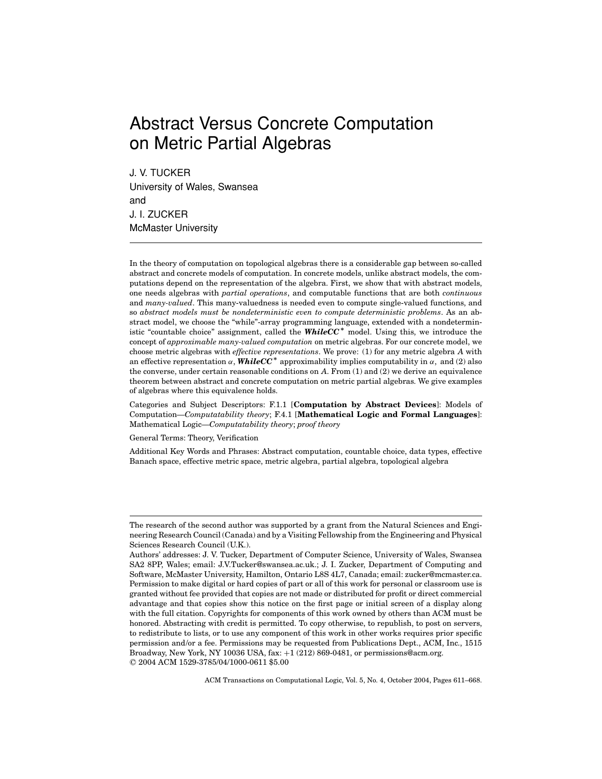# Abstract Versus Concrete Computation on Metric Partial Algebras

J. V. TUCKER University of Wales, Swansea and J. I. ZUCKER McMaster University

In the theory of computation on topological algebras there is a considerable gap between so-called abstract and concrete models of computation. In concrete models, unlike abstract models, the computations depend on the representation of the algebra. First, we show that with abstract models, one needs algebras with *partial operations*, and computable functions that are both *continuous* and *many-valued*. This many-valuedness is needed even to compute single-valued functions, and so *abstract models must be nondeterministic even to compute deterministic problems*. As an abstract model, we choose the "while"-array programming language, extended with a nondeterministic "countable choice" assignment, called the *WhileCC∗* model. Using this, we introduce the concept of *approximable many-valued computation* on metric algebras. For our concrete model, we choose metric algebras with *effective representations*. We prove: (1) for any metric algebra *A* with an effective representation  $\alpha$ , **WhileCC**<sup>\*</sup> approximability implies computability in  $\alpha$ , and (2) also the converse, under certain reasonable conditions on *A*. From (1) and (2) we derive an equivalence theorem between abstract and concrete computation on metric partial algebras. We give examples of algebras where this equivalence holds.

Categories and Subject Descriptors: F.1.1 [**Computation by Abstract Devices**]: Models of Computation—*Computatability theory*; F.4.1 [**Mathematical Logic and Formal Languages**]: Mathematical Logic—*Computatability theory*; *proof theory*

General Terms: Theory, Verification

Additional Key Words and Phrases: Abstract computation, countable choice, data types, effective Banach space, effective metric space, metric algebra, partial algebra, topological algebra

The research of the second author was supported by a grant from the Natural Sciences and Engineering Research Council (Canada) and by a Visiting Fellowship from the Engineering and Physical Sciences Research Council (U.K.).

Authors' addresses: J. V. Tucker, Department of Computer Science, University of Wales, Swansea SA2 8PP, Wales; email: J.V.Tucker@swansea.ac.uk.; J. I. Zucker, Department of Computing and Software, McMaster University, Hamilton, Ontario L8S 4L7, Canada; email: zucker@mcmaster.ca. Permission to make digital or hard copies of part or all of this work for personal or classroom use is granted without fee provided that copies are not made or distributed for profit or direct commercial advantage and that copies show this notice on the first page or initial screen of a display along with the full citation. Copyrights for components of this work owned by others than ACM must be honored. Abstracting with credit is permitted. To copy otherwise, to republish, to post on servers, to redistribute to lists, or to use any component of this work in other works requires prior specific permission and/or a fee. Permissions may be requested from Publications Dept., ACM, Inc., 1515 Broadway, New York, NY 10036 USA,  $\text{fax:} +1$  (212) 869-0481, or permissions@acm.org. <sup>C</sup> 2004 ACM 1529-3785/04/1000-0611 \$5.00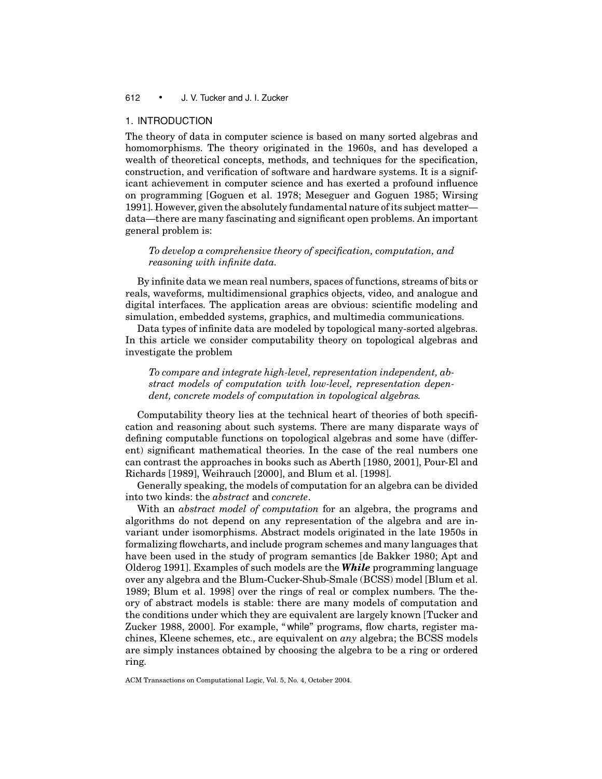# 1. INTRODUCTION

The theory of data in computer science is based on many sorted algebras and homomorphisms. The theory originated in the 1960s, and has developed a wealth of theoretical concepts, methods, and techniques for the specification, construction, and verification of software and hardware systems. It is a significant achievement in computer science and has exerted a profound influence on programming [Goguen et al. 1978; Meseguer and Goguen 1985; Wirsing 1991]. However, given the absolutely fundamental nature of its subject matter data—there are many fascinating and significant open problems. An important general problem is:

*To develop a comprehensive theory of specification, computation, and reasoning with infinite data.*

By infinite data we mean real numbers, spaces of functions, streams of bits or reals, waveforms, multidimensional graphics objects, video, and analogue and digital interfaces. The application areas are obvious: scientific modeling and simulation, embedded systems, graphics, and multimedia communications.

Data types of infinite data are modeled by topological many-sorted algebras. In this article we consider computability theory on topological algebras and investigate the problem

*To compare and integrate high-level, representation independent, abstract models of computation with low-level, representation dependent, concrete models of computation in topological algebras.*

Computability theory lies at the technical heart of theories of both specification and reasoning about such systems. There are many disparate ways of defining computable functions on topological algebras and some have (different) significant mathematical theories. In the case of the real numbers one can contrast the approaches in books such as Aberth [1980, 2001], Pour-El and Richards [1989], Weihrauch [2000], and Blum et al. [1998].

Generally speaking, the models of computation for an algebra can be divided into two kinds: the *abstract* and *concrete*.

With an *abstract model of computation* for an algebra, the programs and algorithms do not depend on any representation of the algebra and are invariant under isomorphisms. Abstract models originated in the late 1950s in formalizing flowcharts, and include program schemes and many languages that have been used in the study of program semantics [de Bakker 1980; Apt and Olderog 1991]. Examples of such models are the *While* programming language over any algebra and the Blum-Cucker-Shub-Smale (BCSS) model [Blum et al. 1989; Blum et al. 1998] over the rings of real or complex numbers. The theory of abstract models is stable: there are many models of computation and the conditions under which they are equivalent are largely known [Tucker and Zucker 1988, 2000]. For example, " while" programs, flow charts, register machines, Kleene schemes, etc., are equivalent on *any* algebra; the BCSS models are simply instances obtained by choosing the algebra to be a ring or ordered ring.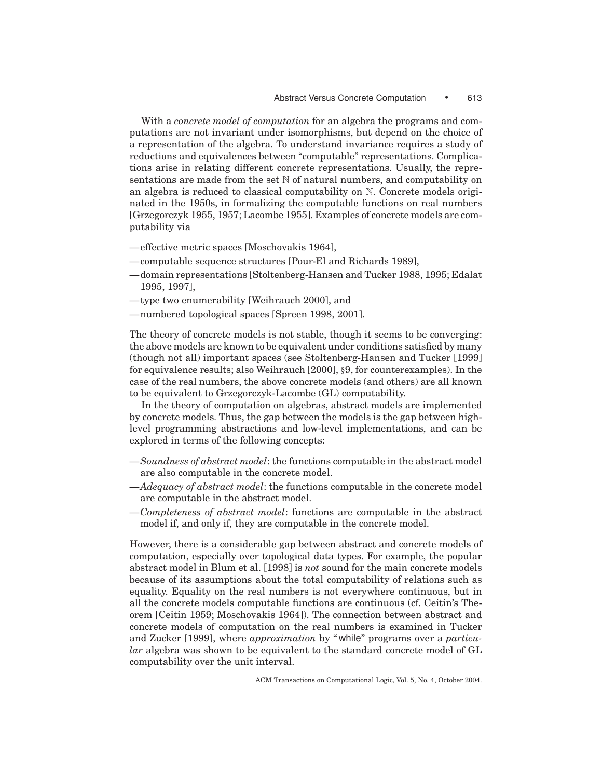#### Abstract Versus Concrete Computation • 613

With a *concrete model of computation* for an algebra the programs and computations are not invariant under isomorphisms, but depend on the choice of a representation of the algebra. To understand invariance requires a study of reductions and equivalences between "computable" representations. Complications arise in relating different concrete representations. Usually, the representations are made from the set  $\mathbb N$  of natural numbers, and computability on an algebra is reduced to classical computability on N. Concrete models originated in the 1950s, in formalizing the computable functions on real numbers [Grzegorczyk 1955, 1957; Lacombe 1955]. Examples of concrete models are computability via

- —effective metric spaces [Moschovakis 1964],
- —computable sequence structures [Pour-El and Richards 1989],
- —domain representations [Stoltenberg-Hansen and Tucker 1988, 1995; Edalat 1995, 1997],
- —type two enumerability [Weihrauch 2000], and
- —numbered topological spaces [Spreen 1998, 2001].

The theory of concrete models is not stable, though it seems to be converging: the above models are known to be equivalent under conditions satisfied by many (though not all) important spaces (see Stoltenberg-Hansen and Tucker [1999] for equivalence results; also Weihrauch [2000], §9, for counterexamples). In the case of the real numbers, the above concrete models (and others) are all known to be equivalent to Grzegorczyk-Lacombe (GL) computability.

In the theory of computation on algebras, abstract models are implemented by concrete models. Thus, the gap between the models is the gap between highlevel programming abstractions and low-level implementations, and can be explored in terms of the following concepts:

- —*Soundness of abstract model*: the functions computable in the abstract model are also computable in the concrete model.
- —*Adequacy of abstract model*: the functions computable in the concrete model are computable in the abstract model.
- —*Completeness of abstract model*: functions are computable in the abstract model if, and only if, they are computable in the concrete model.

However, there is a considerable gap between abstract and concrete models of computation, especially over topological data types. For example, the popular abstract model in Blum et al. [1998] is *not* sound for the main concrete models because of its assumptions about the total computability of relations such as equality. Equality on the real numbers is not everywhere continuous, but in all the concrete models computable functions are continuous (cf. Ceitin's Theorem [Ceitin 1959; Moschovakis 1964]). The connection between abstract and concrete models of computation on the real numbers is examined in Tucker and Zucker [1999], where *approximation* by " while" programs over a *particular* algebra was shown to be equivalent to the standard concrete model of GL computability over the unit interval.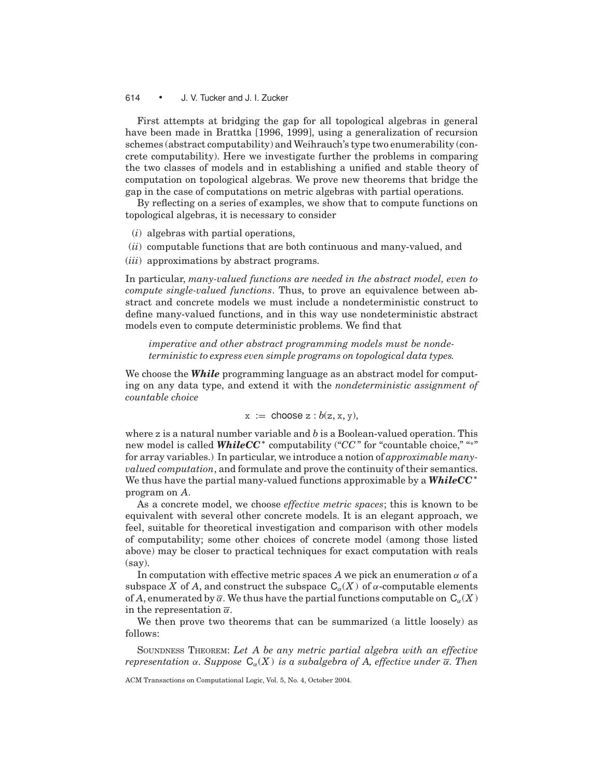First attempts at bridging the gap for all topological algebras in general have been made in Brattka [1996, 1999], using a generalization of recursion schemes (abstract computability) and Weihrauch's type two enumerability (concrete computability). Here we investigate further the problems in comparing the two classes of models and in establishing a unified and stable theory of computation on topological algebras. We prove new theorems that bridge the gap in the case of computations on metric algebras with partial operations.

By reflecting on a series of examples, we show that to compute functions on topological algebras, it is necessary to consider

- (*i*) algebras with partial operations,
- (*ii*) computable functions that are both continuous and many-valued, and
- (*iii*) approximations by abstract programs.

In particular, *many-valued functions are needed in the abstract model, even to compute single-valued functions*. Thus, to prove an equivalence between abstract and concrete models we must include a nondeterministic construct to define many-valued functions, and in this way use nondeterministic abstract models even to compute deterministic problems. We find that

*imperative and other abstract programming models must be nondeterministic to express even simple programs on topological data types.*

We choose the **While** programming language as an abstract model for computing on any data type, and extend it with the *nondeterministic assignment of countable choice*

$$
x := choose z : b(z, x, y),
$$

where z is a natural number variable and *b* is a Boolean-valued operation. This new model is called *WhileCC*<sup>∗</sup> computability ("*CC*<sup></sup>" for "countable choice," "∗" for array variables.) In particular, we introduce a notion of *approximable manyvalued computation*, and formulate and prove the continuity of their semantics. We thus have the partial many-valued functions approximable by a *WhileCC<sup>∗</sup>* program on *A*.

As a concrete model, we choose *effective metric spaces*; this is known to be equivalent with several other concrete models. It is an elegant approach, we feel, suitable for theoretical investigation and comparison with other models of computability; some other choices of concrete model (among those listed above) may be closer to practical techniques for exact computation with reals (say).

In computation with effective metric spaces  $A$  we pick an enumeration  $\alpha$  of a subspace *X* of *A*, and construct the subspace  $C_{\alpha}(X)$  of  $\alpha$ -computable elements of *A*, enumerated by  $\overline{\alpha}$ . We thus have the partial functions computable on  $C_{\alpha}(X)$ in the representation  $\bar{\alpha}$ .

We then prove two theorems that can be summarized (a little loosely) as follows:

SOUNDNESS THEOREM: *Let A be any metric partial algebra with an effective representation*  $\alpha$ *. Suppose*  $C_{\alpha}(X)$  *is a subalgebra of* A, effective under  $\overline{\alpha}$ *. Then*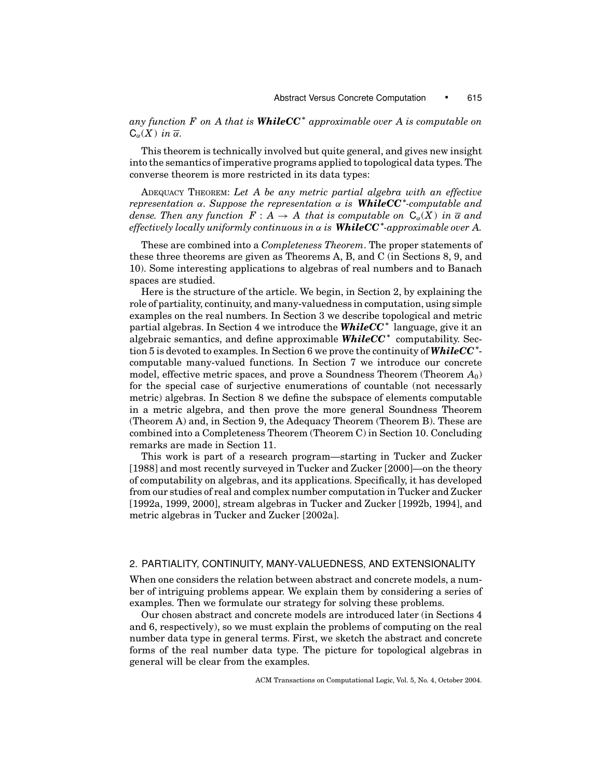*any function F on A that is WhileCC<sup>∗</sup> approximable over A is computable on*  $C_{\alpha}(X)$  *in*  $\overline{\alpha}$ *.* 

This theorem is technically involved but quite general, and gives new insight into the semantics of imperative programs applied to topological data types. The converse theorem is more restricted in its data types:

ADEQUACY THEOREM: *Let A be any metric partial algebra with an effective representation* α*. Suppose the representation* α *is WhileCC<sup>∗</sup> -computable and dense. Then any function*  $F: A \rightarrow A$  *that is computable on*  $C_{\alpha}(X)$  *in*  $\overline{\alpha}$  *and effectively locally uniformly continuous in* α *is WhileCC<sup>∗</sup> -approximable over A.*

These are combined into a *Completeness Theorem*. The proper statements of these three theorems are given as Theorems A, B, and C (in Sections 8, 9, and 10). Some interesting applications to algebras of real numbers and to Banach spaces are studied.

Here is the structure of the article. We begin, in Section 2, by explaining the role of partiality, continuity, and many-valuedness in computation, using simple examples on the real numbers. In Section 3 we describe topological and metric partial algebras. In Section 4 we introduce the *WhileCC<sup>∗</sup>* language, give it an algebraic semantics, and define approximable *WhileCC<sup>∗</sup>* computability. Section 5 is devoted to examples. In Section 6 we prove the continuity of *WhileCC<sup>∗</sup>* computable many-valued functions. In Section 7 we introduce our concrete model, effective metric spaces, and prove a Soundness Theorem (Theorem *A*0) for the special case of surjective enumerations of countable (not necessarly metric) algebras. In Section 8 we define the subspace of elements computable in a metric algebra, and then prove the more general Soundness Theorem (Theorem A) and, in Section 9, the Adequacy Theorem (Theorem B). These are combined into a Completeness Theorem (Theorem C) in Section 10. Concluding remarks are made in Section 11.

This work is part of a research program—starting in Tucker and Zucker [1988] and most recently surveyed in Tucker and Zucker [2000]—on the theory of computability on algebras, and its applications. Specifically, it has developed from our studies of real and complex number computation in Tucker and Zucker [1992a, 1999, 2000], stream algebras in Tucker and Zucker [1992b, 1994], and metric algebras in Tucker and Zucker [2002a].

# 2. PARTIALITY, CONTINUITY, MANY-VALUEDNESS, AND EXTENSIONALITY

When one considers the relation between abstract and concrete models, a number of intriguing problems appear. We explain them by considering a series of examples. Then we formulate our strategy for solving these problems.

Our chosen abstract and concrete models are introduced later (in Sections 4 and 6, respectively), so we must explain the problems of computing on the real number data type in general terms. First, we sketch the abstract and concrete forms of the real number data type. The picture for topological algebras in general will be clear from the examples.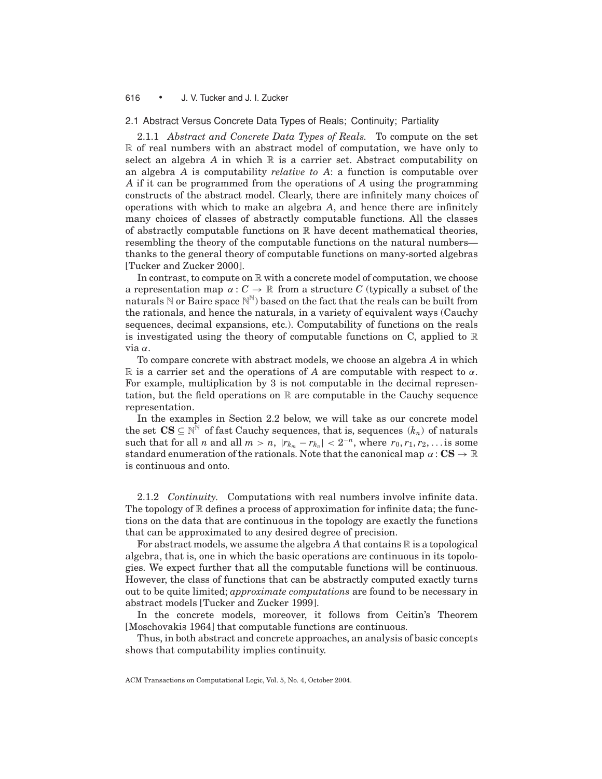#### 2.1 Abstract Versus Concrete Data Types of Reals; Continuity; Partiality

2.1.1 *Abstract and Concrete Data Types of Reals.* To compute on the set  $\mathbb R$  of real numbers with an abstract model of computation, we have only to select an algebra  $A$  in which  $\mathbb R$  is a carrier set. Abstract computability on an algebra *A* is computability *relative to A*: a function is computable over *A* if it can be programmed from the operations of *A* using the programming constructs of the abstract model. Clearly, there are infinitely many choices of operations with which to make an algebra *A*, and hence there are infinitely many choices of classes of abstractly computable functions. All the classes of abstractly computable functions on  $\mathbb R$  have decent mathematical theories, resembling the theory of the computable functions on the natural numbers thanks to the general theory of computable functions on many-sorted algebras [Tucker and Zucker 2000].

In contrast, to compute on R with a concrete model of computation, we choose a representation map  $\alpha: C \to \mathbb{R}$  from a structure *C* (typically a subset of the naturals  $\mathbb N$  or Baire space  $\mathbb N^{\mathbb N}$ ) based on the fact that the reals can be built from the rationals, and hence the naturals, in a variety of equivalent ways (Cauchy sequences, decimal expansions, etc.). Computability of functions on the reals is investigated using the theory of computable functions on C, applied to  $\mathbb R$ via α.

To compare concrete with abstract models, we choose an algebra *A* in which R is a carrier set and the operations of A are computable with respect to  $\alpha$ . For example, multiplication by 3 is not computable in the decimal representation, but the field operations on  $\mathbb R$  are computable in the Cauchy sequence representation.

In the examples in Section 2.2 below, we will take as our concrete model the set  $\text{CS} \subseteq \mathbb{N}^{\mathbb{N}}$  of fast Cauchy sequences, that is, sequences  $(k_n)$  of naturals such that for all *n* and all  $m > n$ ,  $|r_{k_m} - r_{k_n}| < 2^{-n}$ , where  $r_0, r_1, r_2, \ldots$  is some standard enumeration of the rationals. Note that the canonical map  $\alpha : \mathbf{CS} \to \mathbb{R}$ is continuous and onto.

2.1.2 *Continuity.* Computations with real numbers involve infinite data. The topology of  $\mathbb R$  defines a process of approximation for infinite data; the functions on the data that are continuous in the topology are exactly the functions that can be approximated to any desired degree of precision.

For abstract models, we assume the algebra A that contains  $\mathbb R$  is a topological algebra, that is, one in which the basic operations are continuous in its topologies. We expect further that all the computable functions will be continuous. However, the class of functions that can be abstractly computed exactly turns out to be quite limited; *approximate computations* are found to be necessary in abstract models [Tucker and Zucker 1999].

In the concrete models, moreover, it follows from Ceitin's Theorem [Moschovakis 1964] that computable functions are continuous.

Thus, in both abstract and concrete approaches, an analysis of basic concepts shows that computability implies continuity.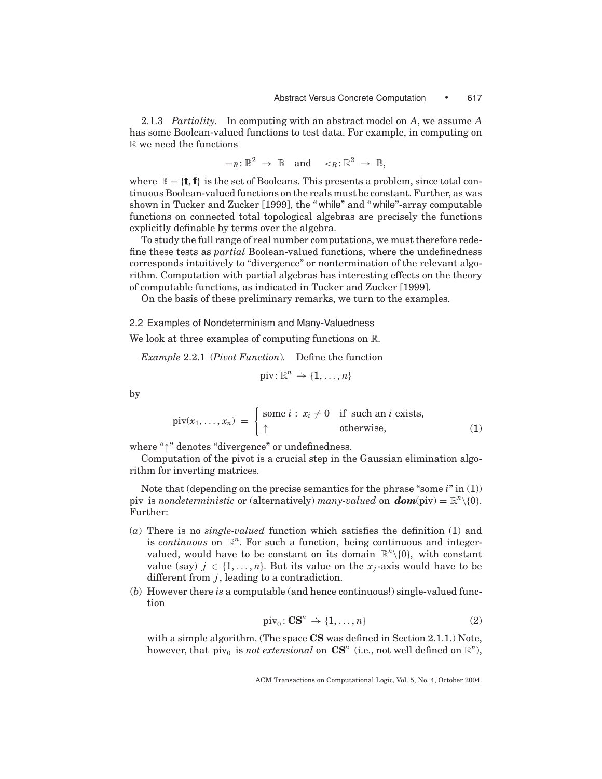2.1.3 *Partiality.* In computing with an abstract model on *A*, we assume *A* has some Boolean-valued functions to test data. For example, in computing on R we need the functions

$$
=_R:\mathbb{R}^2\;\rightarrow\;\mathbb{B}\quad\text{and}\quad<_R:\mathbb{R}^2\;\rightarrow\;\mathbb{B},
$$

where  $\mathbb{B} = \{\mathbf{t}, \mathbf{f}\}\$ is the set of Booleans. This presents a problem, since total continuous Boolean-valued functions on the reals must be constant. Further, as was shown in Tucker and Zucker [1999], the " while" and " while"-array computable functions on connected total topological algebras are precisely the functions explicitly definable by terms over the algebra.

To study the full range of real number computations, we must therefore redefine these tests as *partial* Boolean-valued functions, where the undefinedness corresponds intuitively to "divergence" or nontermination of the relevant algorithm. Computation with partial algebras has interesting effects on the theory of computable functions, as indicated in Tucker and Zucker [1999].

On the basis of these preliminary remarks, we turn to the examples.

2.2 Examples of Nondeterminism and Many-Valuedness

We look at three examples of computing functions on R.

*Example* 2.2.1 (*Pivot Function*)*.* Define the function

$$
\text{piv}: \mathbb{R}^n \to \{1, \ldots, n\}
$$

by

$$
\text{piv}(x_1, \dots, x_n) = \begin{cases} \text{some } i : x_i \neq 0 & \text{if such an } i \text{ exists,} \\ \uparrow & \text{otherwise,} \end{cases}
$$
 (1)

where "↑" denotes "divergence" or undefinedness.

Computation of the pivot is a crucial step in the Gaussian elimination algorithm for inverting matrices.

Note that (depending on the precise semantics for the phrase "some *i*" in (1)) piv is *nondeterministic* or (alternatively) *many-valued* on  $dom$ (piv) =  $\mathbb{R}^n \setminus \{0\}$ . Further:

- (*a*) There is no *single-valued* function which satisfies the definition (1) and is *continuous* on  $\mathbb{R}^n$ . For such a function, being continuous and integervalued, would have to be constant on its domain  $\mathbb{R}^n\setminus\{0\}$ , with constant value (say)  $j \in \{1, \ldots, n\}$ . But its value on the  $x_j$ -axis would have to be different from *j*, leading to a contradiction.
- (*b*) However there *is* a computable (and hence continuous!) single-valued function

$$
\text{piv}_0 \colon \mathbf{CS}^n \to \{1, \dots, n\} \tag{2}
$$

with a simple algorithm. (The space **CS** was defined in Section 2.1.1.) Note, however, that piv<sub>0</sub> is *not extensional* on  $\mathbb{CS}^n$  (i.e., not well defined on  $\mathbb{R}^n$ ),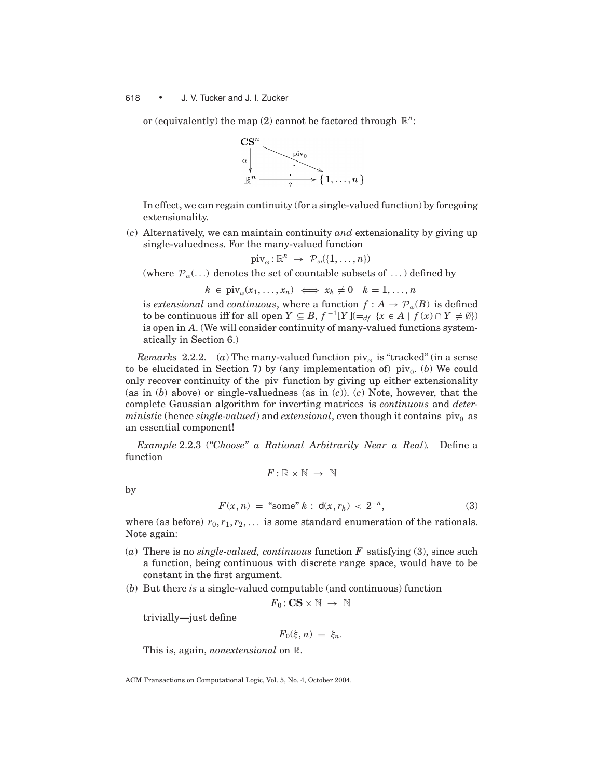or (equivalently) the map (2) cannot be factored through  $\mathbb{R}^n$ :



In effect, we can regain continuity (for a single-valued function) by foregoing extensionality.

(*c*) Alternatively, we can maintain continuity *and* extensionality by giving up single-valuedness. For the many-valued function

$$
\mathrm{piv}_{\omega} \colon \mathbb{R}^n \ \to \ \mathcal{P}_{\omega}(\{1,\ldots,n\})
$$

(where  $\mathcal{P}_{\omega}(\ldots)$  denotes the set of countable subsets of  $\ldots$ ) defined by

 $k \in \text{piv}_{\omega}(x_1, \ldots, x_n) \iff x_k \neq 0 \quad k = 1, \ldots, n$ 

is *extensional* and *continuous*, where a function  $f : A \rightarrow \mathcal{P}_{\omega}(B)$  is defined to be continuous iff for all open  $Y \subseteq B$ ,  $f^{-1}[Y] =_{df} {x \in A | f(x) \cap Y \neq \emptyset}$ is open in *A*. (We will consider continuity of many-valued functions systematically in Section 6.)

*Remarks* 2.2.2. (*a*) The many-valued function  $\pi_{\omega}$  is "tracked" (in a sense to be elucidated in Section 7) by (any implementation of)  $\pi_{0}$ . (*b*) We could only recover continuity of the piv function by giving up either extensionality (as in (*b*) above) or single-valuedness (as in (*c*)). (*c*) Note, however, that the complete Gaussian algorithm for inverting matrices is *continuous* and *deterministic* (hence *single-valued*) and *extensional*, even though it contains  $piv_0$  as an essential component!

*Example* 2.2.3 (*"Choose" a Rational Arbitrarily Near a Real*)*.* Define a function  $F: \mathbb{R} \times \mathbb{N} \rightarrow \mathbb{N}$ 

by

$$
F(x, n) = "some" k : d(x, r_k) < 2^{-n}, \tag{3}
$$

where (as before)  $r_0, r_1, r_2, \ldots$  is some standard enumeration of the rationals. Note again:

- (*a*) There is no *single-valued, continuous* function *F* satisfying (3), since such a function, being continuous with discrete range space, would have to be constant in the first argument.
- (*b*) But there *is* a single-valued computable (and continuous) function

$$
F_0\colon\mathbf{CS}\times\mathbb{N}\ \to\ \mathbb{N}
$$

trivially—just define

$$
F_0(\xi,n) = \xi_n.
$$

This is, again, *nonextensional* on R.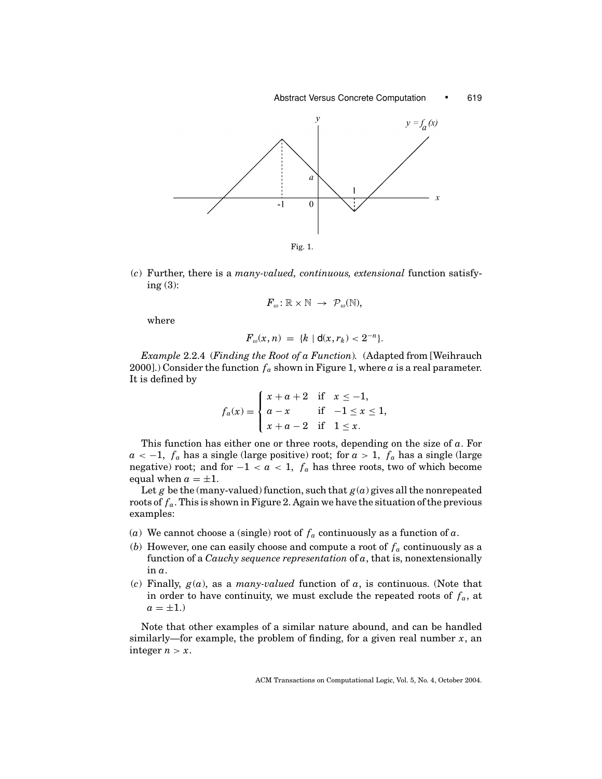

(*c*) Further, there is a *many-valued, continuous, extensional* function satisfying (3):

$$
F_{\omega} \colon \mathbb{R} \times \mathbb{N} \to \mathcal{P}_{\omega}(\mathbb{N}),
$$

where

$$
F_{\omega}(x, n) = \{k \mid d(x, r_k) < 2^{-n}\}.
$$

*Example* 2.2.4 (*Finding the Root of a Function*)*.* (Adapted from [Weihrauch 2000].) Consider the function  $f_a$  shown in Figure 1, where  $a$  is a real parameter. It is defined by

$$
f_a(x) = \begin{cases} x + a + 2 & \text{if } x \le -1, \\ a - x & \text{if } -1 \le x \le 1, \\ x + a - 2 & \text{if } 1 \le x. \end{cases}
$$

This function has either one or three roots, depending on the size of *a*. For  $a < -1$ ,  $f_a$  has a single (large positive) root; for  $a > 1$ ,  $f_a$  has a single (large negative) root; and for −1 < *a* < 1, *fa* has three roots, two of which become equal when  $a = \pm 1$ .

Let  $g$  be the (many-valued) function, such that  $g(a)$  gives all the nonrepeated roots of *fa*. This is shown in Figure 2. Again we have the situation of the previous examples:

- (*a*) We cannot choose a (single) root of  $f_a$  continuously as a function of  $a$ .
- $(b)$  However, one can easily choose and compute a root of  $f_a$  continuously as a function of a *Cauchy sequence representation* of *a*, that is, nonextensionally in *a*.
- (*c*) Finally, *g*(*a*), as a *many-valued* function of *a*, is continuous. (Note that in order to have continuity, we must exclude the repeated roots of  $f_a$ , at  $a = \pm 1.$

Note that other examples of a similar nature abound, and can be handled similarly—for example, the problem of finding, for a given real number *x*, an integer  $n > x$ .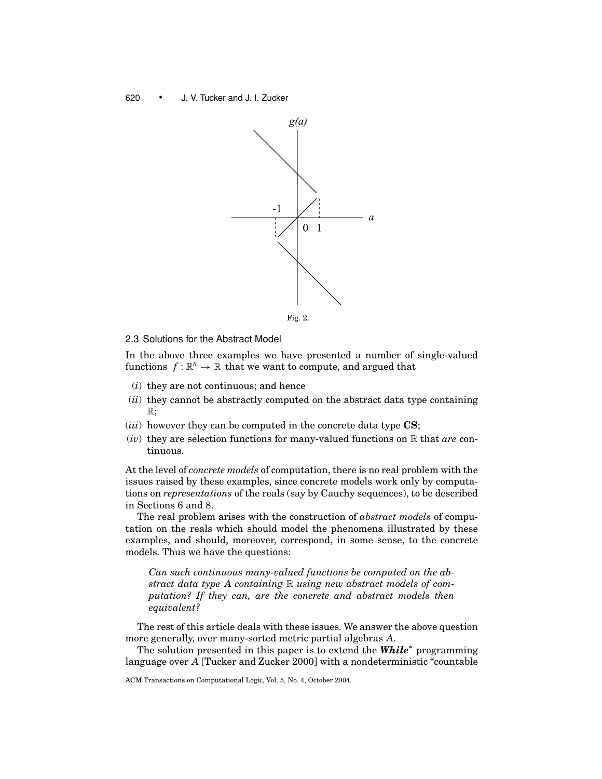

## 2.3 Solutions for the Abstract Model

In the above three examples we have presented a number of single-valued functions  $f: \mathbb{R}^n \to \mathbb{R}$  that we want to compute, and argued that

- (*i*) they are not continuous; and hence
- (*ii*) they cannot be abstractly computed on the abstract data type containing R;
- (*iii*) however they can be computed in the concrete data type **CS**;
- $(iv)$  they are selection functions for many-valued functions on  $\mathbb R$  that *are* continuous.

At the level of *concrete models* of computation, there is no real problem with the issues raised by these examples, since concrete models work only by computations on *representations* of the reals (say by Cauchy sequences), to be described in Sections 6 and 8.

The real problem arises with the construction of *abstract models* of computation on the reals which should model the phenomena illustrated by these examples, and should, moreover, correspond, in some sense, to the concrete models. Thus we have the questions:

*Can such continuous many-valued functions be computed on the abstract data type A containing* R *using new abstract models of computation? If they can, are the concrete and abstract models then equivalent?*

The rest of this article deals with these issues. We answer the above question more generally, over many-sorted metric partial algebras *A*.

The solution presented in this paper is to extend the *While<sup>∗</sup>* programming language over *A* [Tucker and Zucker 2000] with a nondeterministic "countable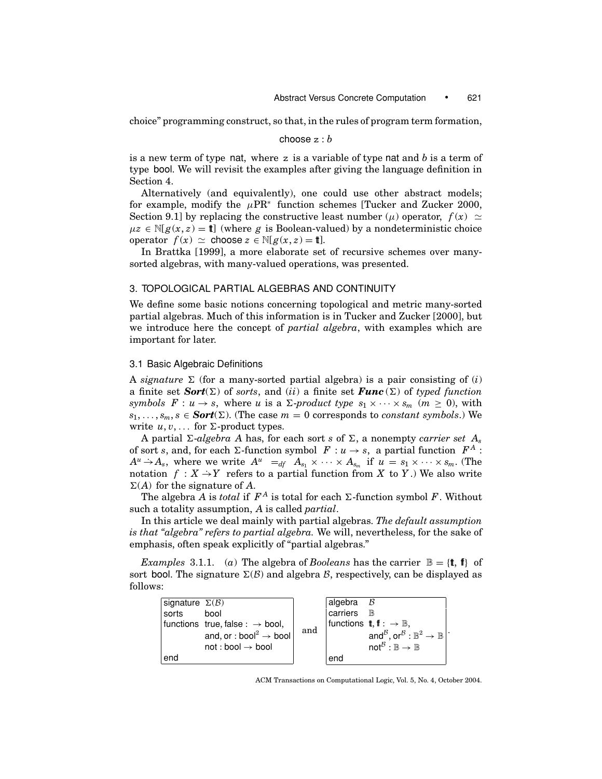choice" programming construct, so that, in the rules of program term formation,

choose z : *b*

is a new term of type nat, where z is a variable of type nat and *b* is a term of type bool. We will revisit the examples after giving the language definition in Section 4.

Alternatively (and equivalently), one could use other abstract models; for example, modify the  $\mu$ PR<sup>∗</sup> function schemes [Tucker and Zucker 2000, Section 9.1] by replacing the constructive least number ( $\mu$ ) operator,  $f(x) \simeq$  $\mu z \in \mathbb{N}[g(x, z) = \mathbf{t}]$  (where *g* is Boolean-valued) by a nondeterministic choice operator  $f(x) \simeq$  choose  $z \in \mathbb{N}[g(x, z) = \mathbf{t}].$ 

In Brattka [1999], a more elaborate set of recursive schemes over manysorted algebras, with many-valued operations, was presented.

# 3. TOPOLOGICAL PARTIAL ALGEBRAS AND CONTINUITY

We define some basic notions concerning topological and metric many-sorted partial algebras. Much of this information is in Tucker and Zucker [2000], but we introduce here the concept of *partial algebra*, with examples which are important for later.

#### 3.1 Basic Algebraic Definitions

A *signature*  $\Sigma$  (for a many-sorted partial algebra) is a pair consisting of *(i)* a finite set *Sort*( $\Sigma$ ) of *sorts*, and (*ii*) a finite set *Func*( $\Sigma$ ) of *typed function symbols*  $F: u \to s$ , where *u* is a  $\Sigma$ -*product type*  $s_1 \times \cdots \times s_m$  ( $m \ge 0$ ), with  $s_1, \ldots, s_m, s \in$  *Sort*( $\Sigma$ ). (The case  $m = 0$  corresponds to *constant symbols*.) We write  $u, v, \ldots$  for  $\Sigma$ -product types.

A partial  $\Sigma$ -algebra A has, for each sort *s* of  $\Sigma$ , a nonempty *carrier set*  $A_s$ of sort *s*, and, for each  $\Sigma$ -function symbol  $F: u \to s$ , a partial function  $F^A$ :  $A^u \rightarrow A_s$ , where we write  $A^u =_{df} A_{s_1} \times \cdots \times A_{s_m}$  if  $u = s_1 \times \cdots \times s_m$ . (The notation  $f: X \to Y$  refers to a partial function from X to Y.) We also write  $\Sigma(A)$  for the signature of A.

The algebra *A* is *total* if  $F^A$  is total for each  $\Sigma$ -function symbol *F*. Without such a totality assumption, *A* is called *partial*.

In this article we deal mainly with partial algebras. *The default assumption is that "algebra" refers to partial algebra.* We will, nevertheless, for the sake of emphasis, often speak explicitly of "partial algebras."

*Examples* 3.1.1. (*a*) The algebra of *Booleans* has the carrier  $\mathbb{B} = \{\mathbf{t}, \mathbf{f}\}\$  of sort bool. The signature  $\Sigma(\mathcal{B})$  and algebra  $\mathcal{B}$ , respectively, can be displayed as follows:



ACM Transactions on Computational Logic, Vol. 5, No. 4, October 2004.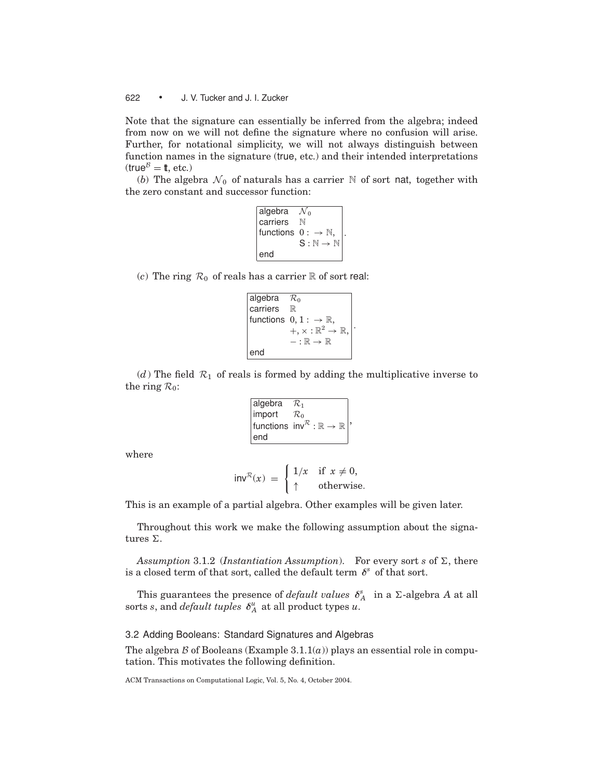Note that the signature can essentially be inferred from the algebra; indeed from now on we will not define the signature where no confusion will arise. Further, for notational simplicity, we will not always distinguish between function names in the signature (true, etc.) and their intended interpretations  $(\mathsf{true}^{\mathcal{B}} = \mathsf{t}, \, \text{etc.})$ 

(*b*) The algebra  $\mathcal{N}_0$  of naturals has a carrier  $\mathbb N$  of sort nat, together with the zero constant and successor function:

```
algebra \mathcal{N}_0carriers \mathbb Nfunctions 0: \rightarrow \mathbb{N},
                 S : \mathbb{N} \to \mathbb{N}end
                                       .
```
(*c*) The ring  $\mathcal{R}_0$  of reals has a carrier  $\mathbb R$  of sort real:

```
algebra \mathcal{R}_0carriers \mathbb Rfunctions 0, 1: \rightarrow \mathbb{R},
                    +,\times:\mathbb{R}^{2}\rightarrow\mathbb{R},-:\mathbb{R}\to\mathbb{R}end
                                                    .
```
( $d$ ) The field  $\mathcal{R}_1$  of reals is formed by adding the multiplicative inverse to the ring  $\mathcal{R}_0$ :

| algebra   | $\mathcal{R}_1$                                                       |
|-----------|-----------------------------------------------------------------------|
| import    | $\mathcal{R}_0$                                                       |
| functions | inv <sup><math>\mathcal{R}</math></sup> : $\mathbb{R} \to \mathbb{R}$ |
| end       |                                                                       |

where

$$
inv^{\mathcal{R}}(x) = \begin{cases} 1/x & \text{if } x \neq 0, \\ \uparrow & \text{otherwise.} \end{cases}
$$

This is an example of a partial algebra. Other examples will be given later.

Throughout this work we make the following assumption about the signatures  $\Sigma$ .

Assumption 3.1.2 (*Instantiation Assumption*). For every sort *s* of  $\Sigma$ , there is a closed term of that sort, called the default term  $\delta^s$  of that sort.

This guarantees the presence of *default values*  $\delta_A^s$  in a  $\Sigma$ -algebra *A* at all  $s$  sorts *s*, and *default tuples*  $\delta^u_A$  at all product types *u*.

# 3.2 Adding Booleans: Standard Signatures and Algebras

The algebra B of Booleans (Example 3.1.1 $(a)$ ) plays an essential role in computation. This motivates the following definition.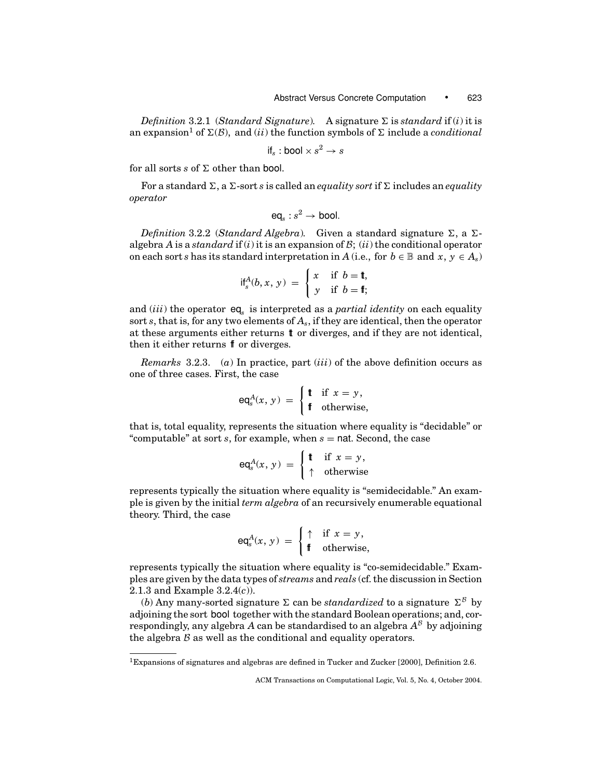*Definition* 3.2.1 (*Standard Signature*). A signature  $\Sigma$  is *standard* if *(i)* it is an expansion<sup>1</sup> of  $\Sigma(\mathcal{B})$ , and *(ii)* the function symbols of  $\Sigma$  include a *conditional* 

$$
\mathsf{if}_s: \mathsf{bool} \times s^2 \to s
$$

for all sorts  $s$  of  $\Sigma$  other than bool.

For a standard  $\Sigma$ , a  $\Sigma$ -sort *s* is called an *equality sort* if  $\Sigma$  includes an *equality operator*

$$
\operatorname{\sf eq}_s:s^2\to \text{\sf bool}.
$$

*Definition* 3.2.2 (*Standard Algebra*). Given a standard signature  $\Sigma$ , a  $\Sigma$ algebra A is a *standard* if (*i*) it is an expansion of  $\mathcal{B}$ ; (*ii*) the conditional operator on each sort *s* has its standard interpretation in *A* (i.e., for  $b \in \mathbb{B}$  and  $x, y \in A_s$ )

$$
if_s^A(b, x, y) = \begin{cases} x & \text{if } b = t, \\ y & \text{if } b = f; \end{cases}
$$

and (*iii*) the operator eq*<sup>s</sup>* is interpreted as a *partial identity* on each equality sort *s*, that is, for any two elements of *As*, if they are identical, then the operator at these arguments either returns  $t$  or diverges, and if they are not identical, then it either returns ff or diverges.

*Remarks* 3.2.3. (*a*) In practice, part (*iii*) of the above definition occurs as one of three cases. First, the case

$$
eq_s^A(x, y) = \begin{cases} \n\mathbf{t} & \text{if } x = y, \\ \n\mathbf{f} & \text{otherwise,} \n\end{cases}
$$

that is, total equality, represents the situation where equality is "decidable" or "computable" at sort *s*, for example, when *s* = nat. Second, the case

$$
eq_s^A(x, y) = \begin{cases} \n\mathbf{t} & \text{if } x = y, \\ \n\uparrow & \text{otherwise} \n\end{cases}
$$

represents typically the situation where equality is "semidecidable." An example is given by the initial *term algebra* of an recursively enumerable equational theory. Third, the case

$$
eq_s^A(x, y) = \begin{cases} \uparrow & \text{if } x = y, \\ \mathbf{f} & \text{otherwise,} \end{cases}
$$

represents typically the situation where equality is "co-semidecidable." Examples are given by the data types of *streams* and *reals* (cf. the discussion in Section 2.1.3 and Example 3.2.4(*c*)).

(*b*) Any many-sorted signature  $\Sigma$  can be *standardized* to a signature  $\Sigma^{\beta}$  by adjoining the sort bool together with the standard Boolean operations; and, correspondingly, any algebra A can be standardised to an algebra  $A^B$  by adjoining the algebra  $\beta$  as well as the conditional and equality operators.

 ${}^{1}$ Expansions of signatures and algebras are defined in Tucker and Zucker [2000], Definition 2.6.

ACM Transactions on Computational Logic, Vol. 5, No. 4, October 2004.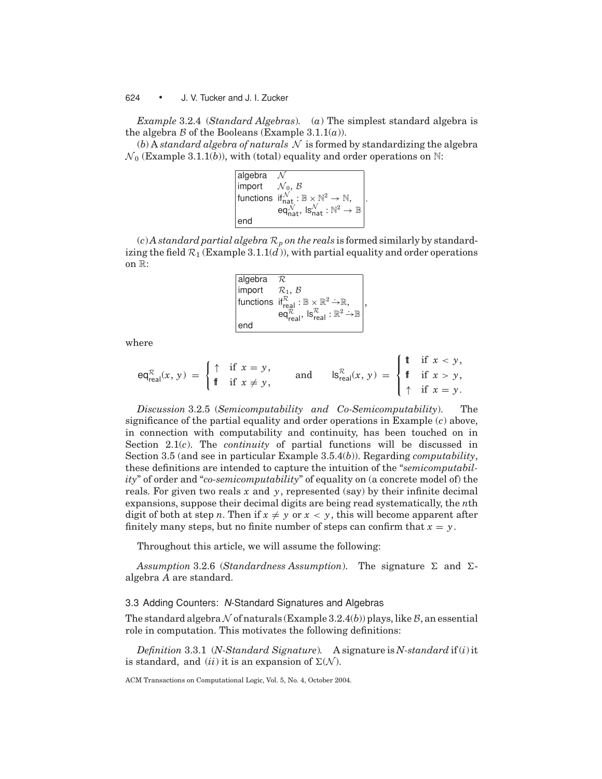*Example* 3.2.4 (*Standard Algebras*)*.* (*a*) The simplest standard algebra is the algebra  $\beta$  of the Booleans (Example 3.1.1(*a*)).

 $(b)$  A *standard algebra of naturals*  $N$  is formed by standardizing the algebra  $\mathcal{N}_0$  (Example 3.1.1(*b*)), with (total) equality and order operations on N:

```
algebra
import \mathcal{N}_0, \mathcal{B}functions if_{\mathsf{nat}}^{\mathcal{N}}: \mathbb{B} \times \mathbb{N}^2 \to \mathbb{N},
                               eq_{\mathsf{nat}}^\mathcal{N}, \, \mathsf{Is}_{\mathsf{nat}}^\mathcal{N} : \mathbb{N}^2 \to \mathbb{B}end
                                                                                                 .
```
 $(c)$  *A standard partial algebra*  $\mathcal{R}_p$  *on the reals* is formed similarly by standardizing the field  $\mathcal{R}_1$  (Example 3.1.1( $d$ )), with partial equality and order operations on R:

| algebra                             | $\bar{R}$                                                                                                                                                                                                                                                                                                          |  |
|-------------------------------------|--------------------------------------------------------------------------------------------------------------------------------------------------------------------------------------------------------------------------------------------------------------------------------------------------------------------|--|
| import $\mathcal{R}_1, \mathcal{B}$ |                                                                                                                                                                                                                                                                                                                    |  |
|                                     | functions if $_{\text{real}}^{\mathcal{R}}$ : $\mathbb{B} \times \mathbb{R}^2 \rightarrow \mathbb{R}$ ,<br>$\operatorname{\sf eq}^{\mathcal R}_{\operatorname{\sf real}}, \, \operatorname{\sf Is}^{\mathcal R}_{\operatorname{\sf real}}: \mathbb R^2 \mathop{\stackrel{\scriptscriptstyle\circ}{\to}} \mathbb B$ |  |
| end                                 |                                                                                                                                                                                                                                                                                                                    |  |

where

$$
\operatorname{\textsf{eq}}_{\operatorname{\textsf{real}}}^{\mathcal R}(x,\,y)\,=\,\begin{cases} \uparrow\quad \text{if}\ \ x=y,\\ \mathfrak f\quad \text{if}\ \ x\neq y,\end{cases}\quad \text{and}\quad \operatorname{\textsf{ls}}_{\operatorname{\textsf{real}}}^{\mathcal R}(x,\,y)\,=\,\begin{cases} \mathfrak k\quad \text{if}\ \ x
$$

*Discussion* 3.2.5 (*Semicomputability and Co-Semicomputability*). The significance of the partial equality and order operations in Example (*c*) above, in connection with computability and continuity, has been touched on in Section 2.1(*c*). The *continuity* of partial functions will be discussed in Section 3.5 (and see in particular Example 3.5.4(*b*)). Regarding *computability*, these definitions are intended to capture the intuition of the "*semicomputability*" of order and "*co-semicomputability*" of equality on (a concrete model of) the reals. For given two reals *x* and *y*, represented (say) by their infinite decimal expansions, suppose their decimal digits are being read systematically, the *n*th digit of both at step *n*. Then if  $x \neq y$  or  $x < y$ , this will become apparent after finitely many steps, but no finite number of steps can confirm that  $x = y$ .

Throughout this article, we will assume the following:

Assumption 3.2.6 (*Standardness Assumption*). The signature  $\Sigma$  and  $\Sigma$ algebra *A* are standard.

# 3.3 Adding Counters: *N*-Standard Signatures and Algebras

The standard algebra  $\mathcal N$  of naturals (Example 3.2.4(*b*)) plays, like  $\mathcal B$ , an essential role in computation. This motivates the following definitions:

*Definition* 3.3.1 (*N-Standard Signature*)*.* A signature is *N-standard* if (*i*) it is standard, and *(ii)* it is an expansion of  $\Sigma(\mathcal{N})$ .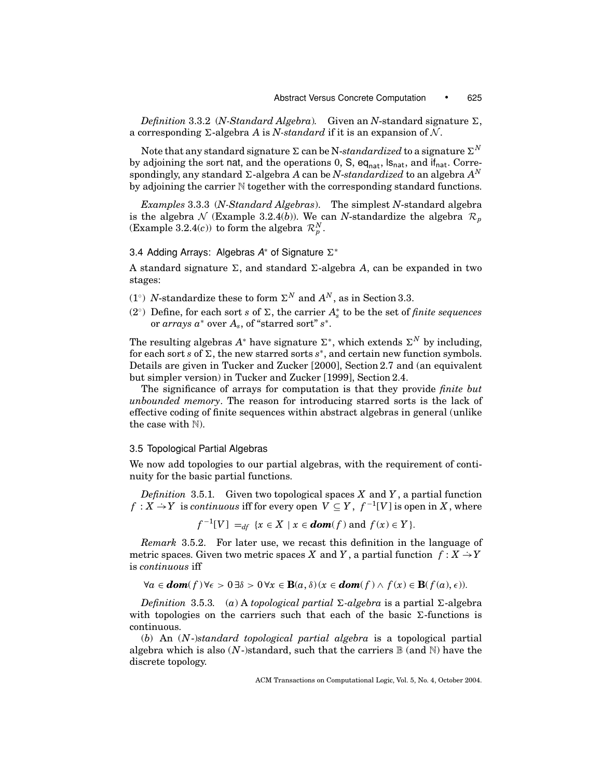*Definition* 3.3.2 (*N-Standard Algebra*). Given an *N*-standard signature  $\Sigma$ , a corresponding  $\Sigma$ -algebra *A* is *N-standard* if it is an expansion of N.

Note that any standard signature  $\Sigma$  can be N-*standardized* to a signature  $\Sigma^N$ by adjoining the sort nat, and the operations 0, S,  $eq_{nat}$ ,  $ls_{nat}$ , and if<sub>nat</sub>. Correspondingly, any standard  $\Sigma$ -algebra *A* can be *N*-*standardized* to an algebra  $A^N$ by adjoining the carrier  $N$  together with the corresponding standard functions.

*Examples* 3.3.3 (*N-Standard Algebras*). The simplest *N*-standard algebra is the algebra N (Example 3.2.4(*b*)). We can *N*-standardize the algebra  $\mathcal{R}_p$ (Example 3.2.4 $(c)$ ) to form the algebra  $\mathcal{R}_p^N$ .

#### 3.4 Adding Arrays: Algebras A<sup>\*</sup> of Signature Σ<sup>\*</sup>

A standard signature  $\Sigma$ , and standard  $\Sigma$ -algebra *A*, can be expanded in two stages:

- (1<sup>o</sup>) *N*-standardize these to form  $\Sigma^N$  and  $A^N$ , as in Section 3.3.
- (2<sup>°</sup>) Define, for each sort *s* of Σ, the carrier  $A^*_{s}$  to be the set of *finite sequences* or *arrays a*<sup>∗</sup> over *As*, of "starred sort" *s*<sup>∗</sup>.

The resulting algebras  $A^*$  have signature  $\Sigma^*$ , which extends  $\Sigma^N$  by including, for each sort *s* of  $\Sigma$ , the new starred sorts *s*<sup>\*</sup>, and certain new function symbols. Details are given in Tucker and Zucker [2000], Section 2.7 and (an equivalent but simpler version) in Tucker and Zucker [1999], Section 2.4.

The significance of arrays for computation is that they provide *finite but unbounded memory*. The reason for introducing starred sorts is the lack of effective coding of finite sequences within abstract algebras in general (unlike the case with N).

## 3.5 Topological Partial Algebras

We now add topologies to our partial algebras, with the requirement of continuity for the basic partial functions.

*Definition* 3.5.1*.* Given two topological spaces *X* and *Y* , a partial function *f* : *X* → *Y* is *continuous* iff for every open  $V ⊆ Y$ ,  $f^{-1}[V]$  is open in *X*, where

$$
f^{-1}[V] =_{df} \{x \in X \mid x \in \text{dom}(f) \text{ and } f(x) \in Y\}.
$$

*Remark* 3.5.2. For later use, we recast this definition in the language of metric spaces. Given two metric spaces *X* and *Y*, a partial function  $f: X \rightarrow Y$ is *continuous* iff

 $∀a ∈ dom(f) ∀ ∈ > 0 ∃ δ > 0 ∀x ∈ B(a, δ)(x ∈ dom(f) ∧ f(x) ∈ B(f(a), ε)).$ 

*Definition* 3.5.3. (*a*) A *topological partial*  $\Sigma$ -*algebra* is a partial  $\Sigma$ -algebra with topologies on the carriers such that each of the basic  $\Sigma$ -functions is continuous.

(*b*) An (*N*-)*standard topological partial algebra* is a topological partial algebra which is also  $(N-)$ standard, such that the carriers  $\mathbb B$  (and N) have the discrete topology.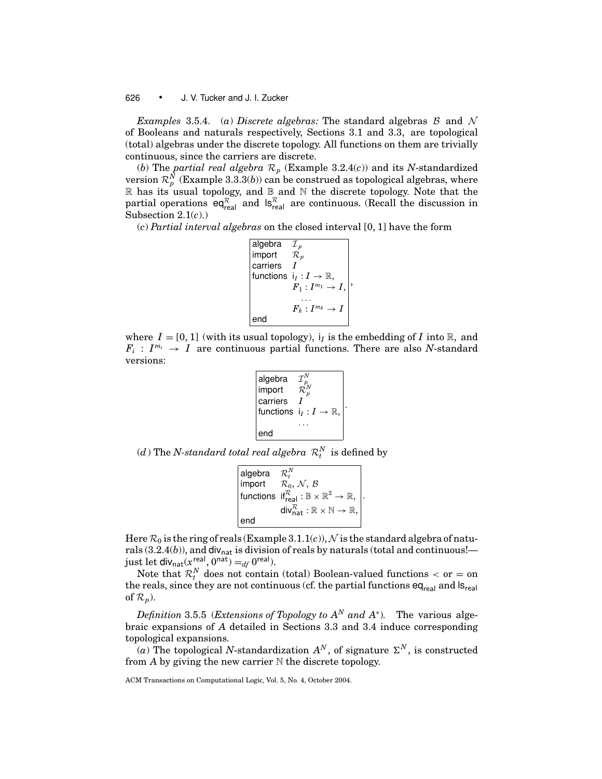*Examples* 3.5.4. (*a*) *Discrete algebras:* The standard algebras  $\beta$  and  $\mathcal{N}$ of Booleans and naturals respectively, Sections 3.1 and 3.3, are topological (total) algebras under the discrete topology. All functions on them are trivially continuous, since the carriers are discrete.

(*b*) The *partial real algebra*  $\mathcal{R}_p$  (Example 3.2.4(*c*)) and its *N*-standardized version  $\mathcal{R}_p^N$  (Example 3.3.3(*b*)) can be construed as topological algebras, where  $\mathbb R$  has its usual topology, and  $\mathbb B$  and  $\mathbb N$  the discrete topology. Note that the partial operations  $eq_{\text{real}}^{\mathcal{R}}$  and  $ls_{\text{real}}^{\mathcal{R}}$  are continuous. (Recall the discussion in Subsection 2.1(*c*).)

(*c*) *Partial interval algebras* on the closed interval [0, 1] have the form

algebra  ${\cal I}_p$ import R*<sup>p</sup>* carriers *I* functions  $i_I: I \to \mathbb{R}$ ,  $F_1: I^{m_1} \to I$ , ...  $F_k: I^{m_k} \to I$ end ,

where  $I = [0, 1]$  (with its usual topology), i<sub>l</sub> is the embedding of *I* into R, and  $F_i: I^{m_i} \to I$  are continuous partial functions. There are also *N*-standard versions:

| algebra   | $\mathcal{I}_p^N$                  |
|-----------|------------------------------------|
| import    | $\mathcal{R}_p^N$                  |
| carriers  | $I$                                |
| functions | $i_I : I \rightarrow \mathbb{R}$ , |
| ...       |                                    |
| end       |                                    |

 $(d)$  The *N-standard total real algebra*  $\mathcal{R}_t^N$  is defined by

| algebra           | $\mathcal{R}_t^N$                                                                        |
|-------------------|------------------------------------------------------------------------------------------|
| import            | $\mathcal{R}_0, \mathcal{N}, \mathcal{B}$                                                |
| functions         | $\text{if}_{\text{real}}^{\mathcal{R}} : \mathbb{B} \times \mathbb{R}^2 \to \mathbb{R},$ |
| div $\text{flat}$ | $\mathbb{R} \times \mathbb{N} \to \mathbb{R},$                                           |
| end               |                                                                                          |

Here  $\mathcal{R}_0$  is the ring of reals (Example 3.1.1(*c*)), N is the standard algebra of naturals  $(3.2.4(b))$ , and div<sub>nat</sub> is division of reals by naturals (total and continuous! just let div<sub>nat</sub> $(x^{\text{real}}, 0^{\text{nat}}) =_{df} 0^{\text{real}}$ .

Note that  $\mathcal{R}_t^N$  does not contain (total) Boolean-valued functions  $\langle$  or  $=$  on the reals, since they are not continuous (cf. the partial functions  $eq_{real}$  and  $ls_{real}$ of  $\mathcal{R}_p$ ).

*Definition* 3.5.5 (*Extensions of Topology to*  $A^N$  *and*  $A^*$ ). The various algebraic expansions of *A* detailed in Sections 3.3 and 3.4 induce corresponding topological expansions.

(*a*) The topological *N*-standardization  $A^N$ , of signature  $\Sigma^N$ , is constructed from A by giving the new carrier  $\mathbb N$  the discrete topology.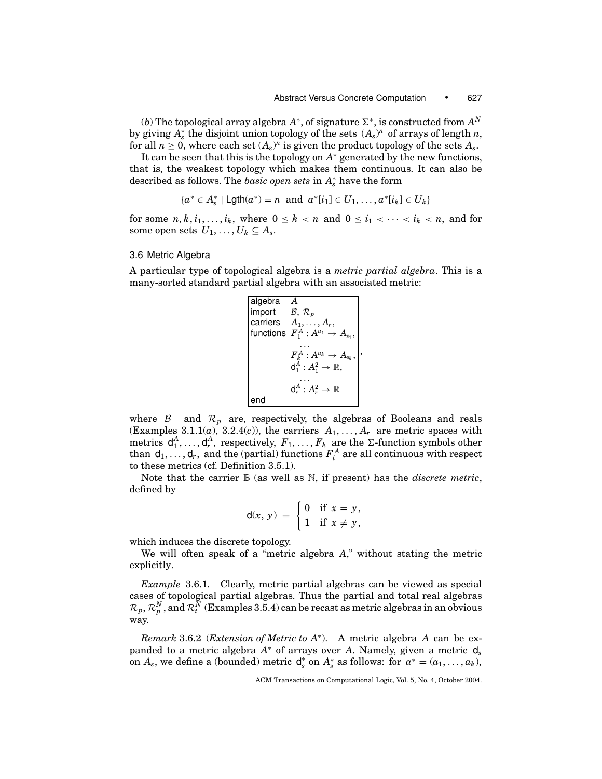(*b*) The topological array algebra  $A^*$ , of signature  $\Sigma^*$ , is constructed from  $A^N$ by giving  $A_s^*$  the disjoint union topology of the sets  $(A_s)^n$  of arrays of length *n*, for all  $n \geq 0$ , where each set  $(A_s)^n$  is given the product topology of the sets  $A_s$ .

It can be seen that this is the topology on *A*<sup>∗</sup> generated by the new functions, that is, the weakest topology which makes them continuous. It can also be described as follows. The *basic open sets* in *A*<sup>∗</sup> *<sup>s</sup>* have the form

$$
{a^* \in A_s^* | \text{Lgth}(a^*) = n \text{ and } a^*[i_1] \in U_1, ..., a^*[i_k] \in U_k}
$$

for some  $n, k, i_1, \ldots, i_k$ , where  $0 \leq k < n$  and  $0 \leq i_1 < \cdots < i_k < n$ , and for some open sets  $U_1, \ldots, U_k \subseteq A_s$ .

# 3.6 Metric Algebra

A particular type of topological algebra is a *metric partial algebra*. This is a many-sorted standard partial algebra with an associated metric:

```
algebra A
import B, R_pcarriers A_1, \ldots, A_r,functions F_1^A: A^{u_1} \rightarrow A_{s_1},
                     ...
                 F_k^A: A^{u_k} \rightarrow A_{s_k},\mathsf{d}_1^A:A_1^2\to\mathbb{R},...
                 \mathsf{d}^A_r: A_r^2 \to \mathbb{R}end
                                              ,
```
where  $\beta$  and  $\mathcal{R}_p$  are, respectively, the algebras of Booleans and reals (Examples 3.1.1(*a*), 3.2.4(*c*)), the carriers  $A_1, \ldots, A_r$  are metric spaces with  $\mathsf{metrics}\ \ \mathsf{d}_1^A,\ldots,\mathsf{d}_r^A,\ \text{respectively},\ F_1,\ldots,F_k\ \ \text{are the $\Sigma$-function symbols other}$ than  $d_1, \ldots, d_r$ , and the (partial) functions  $F_i^A$  are all continuous with respect to these metrics (cf. Definition 3.5.1).

Note that the carrier B (as well as N, if present) has the *discrete metric*, defined by

$$
d(x, y) = \begin{cases} 0 & \text{if } x = y, \\ 1 & \text{if } x \neq y, \end{cases}
$$

which induces the discrete topology.

We will often speak of a "metric algebra *A*," without stating the metric explicitly.

*Example* 3.6.1*.* Clearly, metric partial algebras can be viewed as special cases of topological partial algebras. Thus the partial and total real algebras  $\mathcal{R}_p, \mathcal{R}^N_p,$  and  $\mathcal{R}^N_t$  (Examples 3.5.4) can be recast as metric algebras in an obvious way.

*Remark* 3.6.2 (*Extension of Metric to A*<sup>∗</sup>). A metric algebra *A* can be expanded to a metric algebra *A*<sup>∗</sup> of arrays over *A*. Namely, given a metric d*<sup>s</sup>* on  $A_s$ , we define a (bounded) metric  $d_s^*$  on  $A_s^*$  as follows: for  $a^* = (a_1, \ldots, a_k)$ ,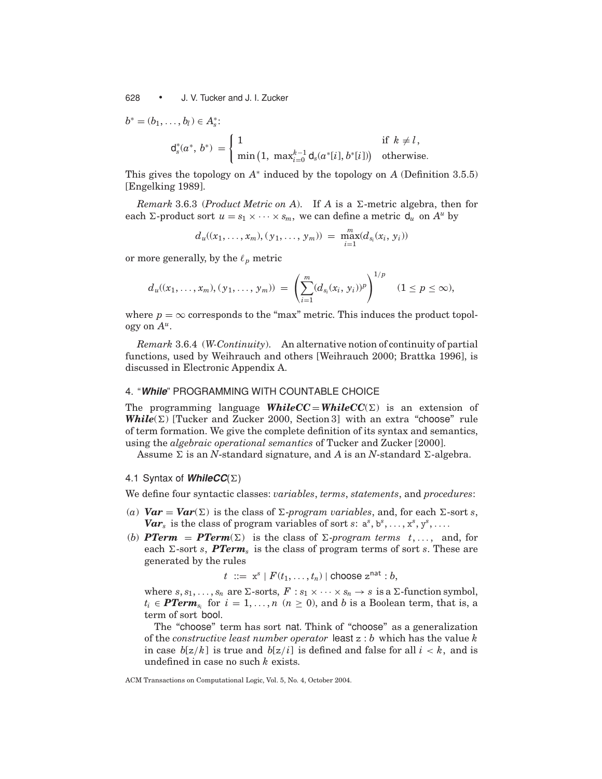$$
b^* = (b_1, ..., b_l) \in A_s^*:
$$
  
\n
$$
d_s^*(a^*, b^*) = \begin{cases} 1 & \text{if } k \neq l, \\ \min(1, \max_{i=0}^{k-1} d_s(a^*[i], b^*[i])) & \text{otherwise.} \end{cases}
$$

This gives the topology on  $A^*$  induced by the topology on  $A$  (Definition 3.5.5) [Engelking 1989].

*Remark* 3.6.3 (*Product Metric on A*). If *A* is a  $\Sigma$ -metric algebra, then for each  $\Sigma$ -product sort  $u = s_1 \times \cdots \times s_m$ , we can define a metric  $d_u$  on  $A^u$  by

$$
d_u((x_1,\ldots,x_m),(y_1,\ldots,y_m)) = \max_{i=1}^m (d_{s_i}(x_i,y_i))
$$

or more generally, by the  $\ell_p$  metric

$$
d_u((x_1,\ldots,x_m),(y_1,\ldots,y_m)) = \left(\sum_{i=1}^m (d_{s_i}(x_i,y_i))^p\right)^{1/p} \quad (1 \leq p \leq \infty),
$$

where  $p = \infty$  corresponds to the "max" metric. This induces the product topology on  $A^u$ .

*Remark* 3.6.4 (*W-Continuity*). An alternative notion of continuity of partial functions, used by Weihrauch and others [Weihrauch 2000; Brattka 1996], is discussed in Electronic Appendix A.

#### 4. "*While*" PROGRAMMING WITH COUNTABLE CHOICE

The programming language *WhileCC* = *WhileCC*( $\Sigma$ ) is an extension of *While*( $\Sigma$ ) [Tucker and Zucker 2000, Section 3] with an extra "choose" rule of term formation. We give the complete definition of its syntax and semantics, using the *algebraic operational semantics* of Tucker and Zucker [2000].

Assume  $\Sigma$  is an *N*-standard signature, and *A* is an *N*-standard  $\Sigma$ -algebra.

# 4.1 Syntax of **WhileCC**( $\Sigma$ )

We define four syntactic classes: *variables*, *terms*, *statements*, and *procedures*:

- (*a*)  $Var = Var(\Sigma)$  is the class of  $\Sigma$ -program variables, and, for each  $\Sigma$ -sort *s*,  $Var_s$  is the class of program variables of sort *s*:  $a^s, b^s, \ldots, x^s, y^s, \ldots$
- (*b*) **PTerm** = **PTerm**( $\Sigma$ ) is the class of  $\Sigma$ -program terms t,..., and, for each  $\Sigma$ -sort *s*, *PTerm*<sub>*s*</sub> is the class of program terms of sort *s*. These are generated by the rules

 $t$  ::=  $x^s$  |  $F(t_1, \ldots, t_n)$  | choose  $z^{\text{nat}}$  : *b*,

where  $s, s_1, \ldots, s_n$  are  $\Sigma$ -sorts,  $F : s_1 \times \cdots \times s_n \to s$  is a  $\Sigma$ -function symbol,  $t_i \in \textbf{PTerm}_{s_i}$  for  $i = 1, ..., n \ (n \geq 0)$ , and *b* is a Boolean term, that is, a term of sort bool.

The "choose" term has sort nat. Think of "choose" as a generalization of the *constructive least number operator* least z : *b* which has the value *k* in case  $b[z/k]$  is true and  $b[z/i]$  is defined and false for all  $i < k$ , and is undefined in case no such *k* exists.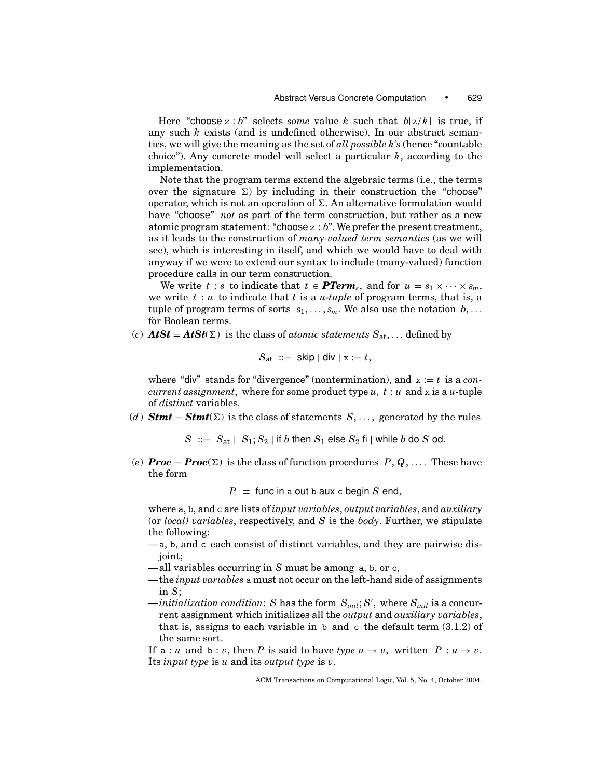Here "choose  $z : b$ " selects *some* value *k* such that  $b[z/k]$  is true, if any such *k* exists (and is undefined otherwise). In our abstract semantics, we will give the meaning as the set of *all possible k's* (hence "countable choice"). Any concrete model will select a particular *k*, according to the implementation.

Note that the program terms extend the algebraic terms (i.e., the terms over the signature  $\Sigma$ ) by including in their construction the "choose" operator, which is not an operation of  $\Sigma$ . An alternative formulation would have "choose" *not* as part of the term construction, but rather as a new atomic program statement: "choose z : *b*". We prefer the present treatment, as it leads to the construction of *many-valued term semantics* (as we will see), which is interesting in itself, and which we would have to deal with anyway if we were to extend our syntax to include (many-valued) function procedure calls in our term construction.

We write *t* : *s* to indicate that  $t \in \mathbf{PTerm}_s$ , and for  $u = s_1 \times \cdots \times s_m$ , we write *t* : *u* to indicate that *t* is a *u*-*tuple* of program terms, that is, a tuple of program terms of sorts  $s_1, \ldots, s_m$ . We also use the notation  $b, \ldots$ for Boolean terms.

(*c*)  $AtSt = AtSt(\Sigma)$  is the class of *atomic statements*  $S_{at}$ , ... defined by

$$
S_{\sf at} \ ::= \ \mathsf{skip} \ | \ \mathsf{div} \ | \ \mathsf{x} := t,
$$

where "div" stands for "divergence" (nontermination), and  $x := t$  is a *concurrent assignment*, where for some product type *u*, *t* : *u* and x is a *u*-tuple of *distinct* variables.

(*d*) **Stmt** = **Stmt**( $\Sigma$ ) is the class of statements *S*, ..., generated by the rules

 $S$  ::=  $S_{at}$  |  $S_1$ ;  $S_2$  | if *b* then  $S_1$  else  $S_2$  fi | while *b* do *S* od.

(*e*) **Proc** = **Proc**( $\Sigma$ ) is the class of function procedures P, Q,.... These have the form

 $P \equiv$  func in a out b aux c begin *S* end,

where a, b, and c are lists of *input variables*, *output variables*, and *auxiliary* (or *local) variables*, respectively, and *S* is the *body*. Further, we stipulate the following:

- —a, b, and c each consist of distinct variables, and they are pairwise disjoint;
- —all variables occurring in *S* must be among a, b, or c,
- —the *input variables* a must not occur on the left-hand side of assignments in *S*;
- —*initialization condition*: *S* has the form *Sinit*; *S* , where *Sinit* is a concurrent assignment which initializes all the *output* and *auxiliary variables*, that is, assigns to each variable in  $b$  and  $c$  the default term  $(3.1.2)$  of the same sort.

If a : *u* and b : *v*, then *P* is said to have *type*  $u \rightarrow v$ , written  $P: u \rightarrow v$ . Its *input type* is *u* and its *output type* is *v*.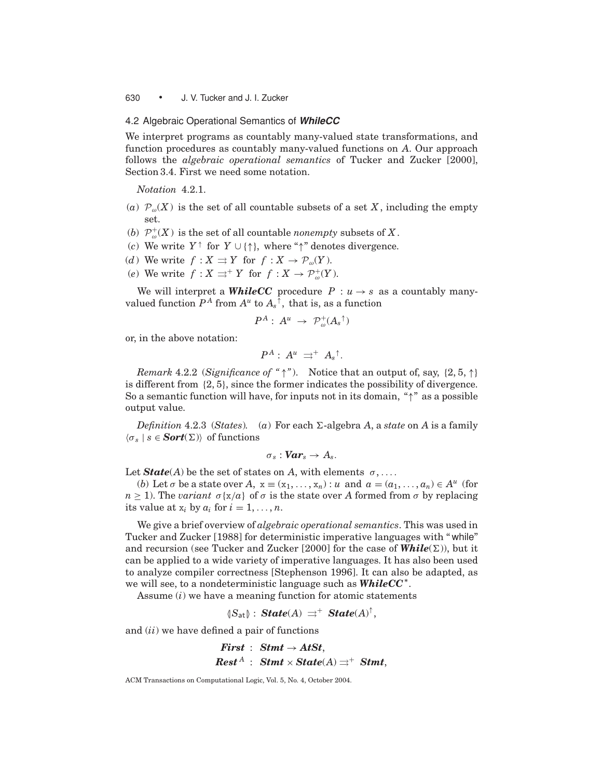#### 4.2 Algebraic Operational Semantics of *WhileCC*

We interpret programs as countably many-valued state transformations, and function procedures as countably many-valued functions on *A*. Our approach follows the *algebraic operational semantics* of Tucker and Zucker [2000], Section 3.4. First we need some notation.

*Notation* 4.2.1.

- (*a*)  $\mathcal{P}_{\omega}(X)$  is the set of all countable subsets of a set X, including the empty set.
- (*b*)  $\mathcal{P}_{\omega}^{+}(X)$  is the set of all countable *nonempty* subsets of X.
- (*c*) We write  $Y^{\uparrow}$  for  $Y \cup \{\uparrow\}$ , where " $\uparrow$ " denotes divergence.
- (*d*) We write  $f: X \rightrightarrows Y$  for  $f: X \to \mathcal{P}_{\omega}(Y)$ .
- (*e*) We write  $f: X \rightrightarrows^+ Y$  for  $f: X \to \mathcal{P}_\omega^+(Y)$ .

We will interpret a *WhileCC* procedure  $P: u \rightarrow s$  as a countably manyvalued function  $P^A$  from  $A^u$  to  $A_s$ <sup>†</sup>, that is, as a function

$$
P^A: A^u \rightarrow \mathcal{P}^+_{\omega}(A_s^{\uparrow})
$$

or, in the above notation:

$$
P^A:\ A^u\ \rightrightarrows^+ \ A_s{}^\uparrow.
$$

*Remark* 4.2.2 (*Significance of* "↑"). Notice that an output of, say, {2, 5, ↑} is different from {2, 5}, since the former indicates the possibility of divergence. So a semantic function will have, for inputs not in its domain, "↑" as a possible output value.

*Definition* 4.2.3 (*States*). (*a*) For each  $\Sigma$ -algebra *A*, a *state* on *A* is a family  $\langle \sigma_s | s \in$  *Sort* $(\Sigma)$  of functions

$$
\sigma_s: \textbf{Var}_s \to A_s.
$$

Let  $State(A)$  be the set of states on *A*, with elements  $\sigma$ , ....

(*b*) Let  $\sigma$  be a state over  $A$ ,  $x \equiv (x_1, \ldots, x_n) : u$  and  $a = (a_1, \ldots, a_n) \in A^u$  (for  $n \geq 1$ ). The *variant*  $\sigma\{x/a\}$  of  $\sigma$  is the state over *A* formed from  $\sigma$  by replacing its value at  $x_i$  by  $a_i$  for  $i = 1, \ldots, n$ .

We give a brief overview of *algebraic operational semantics*. This was used in Tucker and Zucker [1988] for deterministic imperative languages with " while" and recursion (see Tucker and Zucker [2000] for the case of  $\textit{While}(\Sigma)$ ), but it can be applied to a wide variety of imperative languages. It has also been used to analyze compiler correctness [Stephenson 1996]. It can also be adapted, as we will see, to a nondeterministic language such as *WhileCC<sup>∗</sup>* .

Assume (*i*) we have a meaning function for atomic statements

$$
\langle S_{at} \rangle : \text{State}(A) \implies \text{State}(A)^{\uparrow},
$$

and (*ii*) we have defined a pair of functions

First : 
$$
Stmt \rightarrow AtSt
$$
,  
Rest<sup>A</sup> :  $Stmt \times State(A) \rightrightarrows^{+} Stmt$ ,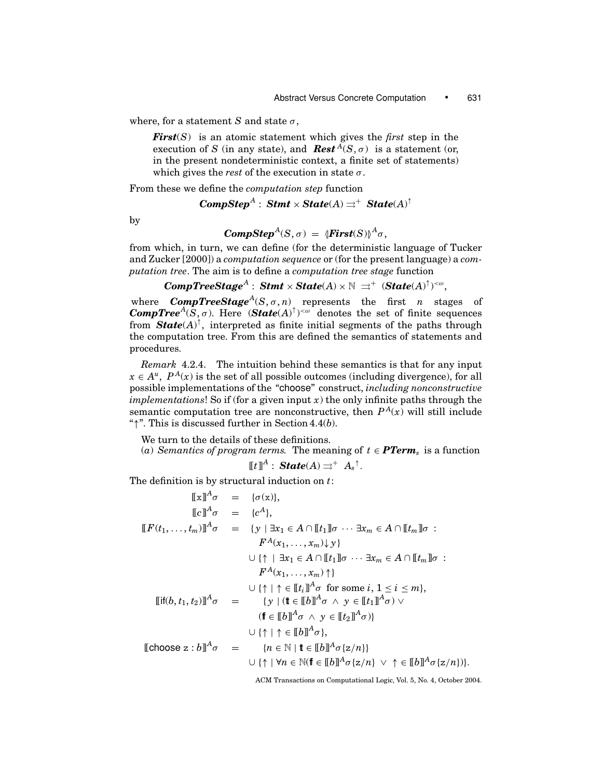where, for a statement *S* and state  $\sigma$ ,

*First*(*S*) is an atomic statement which gives the *first* step in the execution of *S* (in any state), and *Rest*<sup> $A$ </sup>(*S*,  $\sigma$ ) is a statement (or, in the present nondeterministic context, a finite set of statements) which gives the *rest* of the execution in state  $\sigma$ .

From these we define the *computation step* function

 $\boldsymbol{Complex} \boldsymbol{top}^A : \ \boldsymbol{Strut} \times \boldsymbol{State}(A) \rightrightarrows^+ \ \boldsymbol{State}(A)^\dagger$ 

by

$$
CompStep^{A}(S, \sigma) = \langle First(S)\rangle^{A}\sigma,
$$

from which, in turn, we can define (for the deterministic language of Tucker and Zucker [2000]) a *computation sequence* or (for the present language) a *computation tree*. The aim is to define a *computation tree stage* function

 $\boldsymbol{CompTreeStage}^{A}: \ \boldsymbol{Stmt} \times \boldsymbol{State}(A) \times \mathbb{N} \ \rightrightarrows^{+} \ (\boldsymbol{State}(A)^{\uparrow})^{<\omega},$ 

where *CompTreeStage<sup>A</sup>***(***S*,  $\sigma$ , *n*) represents the first *n* stages of  $\textit{CompTree}^A(\tilde{S}, \sigma)$ . Here  $(\textit{State}(A)^{\uparrow})^{\lt \omega}$  denotes the set of finite sequences from **State**(A)<sup>†</sup>, interpreted as finite initial segments of the paths through the computation tree. From this are defined the semantics of statements and procedures.

*Remark* 4.2.4. The intuition behind these semantics is that for any input  $x \in A^u$ ,  $P^A(x)$  is the set of all possible outcomes (including divergence), for all possible implementations of the "choose" construct, *including nonconstructive implementations*! So if (for a given input  $x$ ) the only infinite paths through the semantic computation tree are nonconstructive, then  $P^{A}(x)$  will still include "↑". This is discussed further in Section 4.4(*b*).

We turn to the details of these definitions.

(*a*) *Semantics of program terms.* The meaning of  $t \in \mathbf{PTerm}_s$  is a function

$$
[ \llbracket t \rrbracket ^A : \textit{State}(A) \rightrightarrows ^+ A_s ^{\uparrow}.
$$

The definition is by structural induction on *t*:

$$
\llbracket x \rrbracket^A \sigma = \{\sigma(x)\},
$$
\n
$$
\llbracket c \rrbracket^A \sigma = \{y \mid \exists x_1 \in A \cap \llbracket t_1 \rrbracket \sigma \cdots \exists x_m \in A \cap \llbracket t_m \rrbracket \sigma :
$$
\n
$$
F^A(x_1, \ldots, x_m) \downarrow y \}
$$
\n
$$
\cup \{\uparrow \mid \exists x_1 \in A \cap \llbracket t_1 \rrbracket \sigma \cdots \exists x_m \in A \cap \llbracket t_m \rrbracket \sigma :
$$
\n
$$
F^A(x_1, \ldots, x_m) \downarrow y \}
$$
\n
$$
\cup \{\uparrow \mid \exists x_1 \in A \cap \llbracket t_1 \rrbracket \sigma \cdots \exists x_m \in A \cap \llbracket t_m \rrbracket \sigma :
$$
\n
$$
F^A(x_1, \ldots, x_m) \uparrow \}
$$
\n
$$
\cup \{\uparrow \mid \uparrow \in \llbracket t_i \rrbracket^A \sigma \text{ for some } i, 1 \le i \le m \},
$$
\n
$$
\llbracket \text{if}(b, t_1, t_2) \rrbracket^A \sigma = \{y \mid (\uparrow \in \llbracket b \rrbracket^A \sigma \wedge y \in \llbracket t_1 \rrbracket^A \sigma) \vee \sigma \text{ if } \in \llbracket b \rrbracket^A \sigma \}
$$
\n
$$
\cup \{\uparrow \mid \uparrow \in \llbracket b \rrbracket^A \sigma \}
$$
\n
$$
\cup \{\uparrow \mid \uparrow \in \llbracket b \rrbracket^A \sigma \{z/n\} \}
$$
\n
$$
\cup \{\uparrow \mid \forall n \in \mathbb{N} \text{ if } \in \llbracket b \rrbracket^A \sigma \{z/n\} \} \vee \uparrow \in \llbracket b \rrbracket^A \sigma \{z/n\} \}.
$$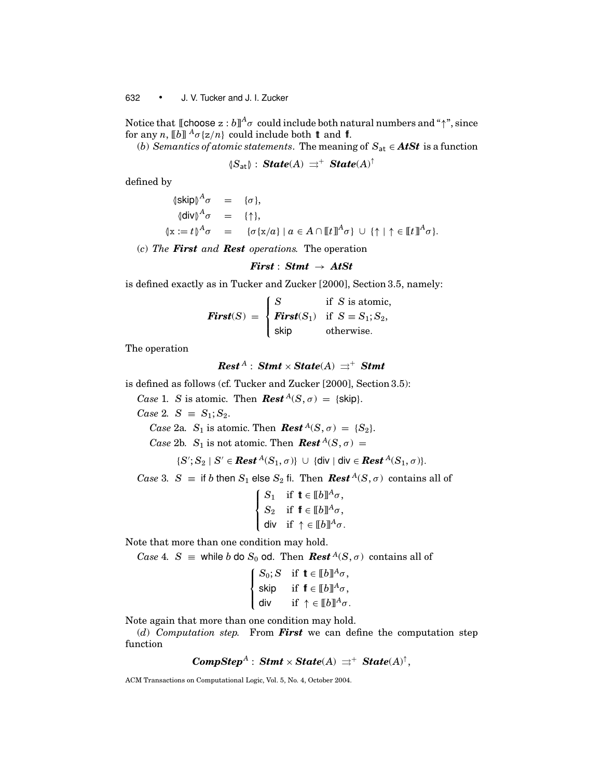Notice that  $[\text{Choose } z : b]$ <sup> $A_{\sigma}$ </sup> could include both natural numbers and " $\uparrow$ ", since for any *n*,  $[[b]]^A \sigma \{z/n\}$  could include both **t** and **f**.

(*b*) *Semantics of atomic statements*. The meaning of *S*at ∈ *AtSt* is a function

$$
\langle S_{\sf at} \rangle : \textit{State}(A) \implies^+ \textit{State}(A)^{\uparrow}
$$

defined by

 $\langle$ skip $\rangle^A \sigma = \{\sigma\},\$  $\langle \text{div} \rangle^A \sigma = \{ \uparrow \},$  $\langle x := t \rangle^A \sigma = {\sigma \{x/a\} \mid a \in A \cap [t]^A \sigma\} \cup {\uparrow \mid \uparrow \in [t]^A \sigma}.$ 

(*c*) *The First and Rest operations.* The operation

$$
First: \; Stmt \; \rightarrow \; AtSt
$$

is defined exactly as in Tucker and Zucker [2000], Section 3.5, namely:

**First**(S) = 
$$
\begin{cases} S & \text{if } S \text{ is atomic,} \\ \textbf{First}(S_1) & \text{if } S \equiv S_1; S_2, \\ \text{skip} & \text{otherwise.} \end{cases}
$$

The operation

$$
Rest^A: \quad \mathbf{Strnt} \times \mathbf{State}(A) \implies^+ \mathbf{Strnt}
$$

is defined as follows (cf. Tucker and Zucker [2000], Section 3.5):

*Case* 1*. S* is atomic. Then *Rest*  $A(S, \sigma) = \{\text{skip}\}\}.$ 

 $Case 2. S \equiv S_1; S_2.$ 

*Case* 2a.  $S_1$  is atomic. Then *Rest*  $A(S, \sigma) = \{S_2\}.$ 

*Case* 2b.  $S_1$  is not atomic. Then  $\text{Rest}^A(S, \sigma)$  =

$$
\{S'; S_2 \mid S' \in \text{Rest}^A(S_1, \sigma)\} \ \cup \ \{\text{div} \mid \text{div} \in \text{Rest}^A(S_1, \sigma)\}.
$$

*Case* 3*.*  $S \equiv$  if *b* then  $S_1$  else  $S_2$  fi. Then *Rest*  $A(S, \sigma)$  contains all of

$$
\begin{cases}\nS_1 & \text{if } \mathbf{t} \in [\![b]\!]^A \sigma, \\
S_2 & \text{if } \mathbf{f} \in [\![b]\!]^A \sigma, \\
\text{div} & \text{if } \uparrow \in [\![b]\!]^A \sigma.\n\end{cases}
$$

Note that more than one condition may hold.

*Case* 4*.*  $S \equiv$  while *b* do  $S_0$  od. Then  $\text{Rest}^A(S, \sigma)$  contains all of

$$
\begin{cases} S_0; S & \text{if } t \in [[b]]^A \sigma, \\ \text{skip} & \text{if } f \in [[b]]^A \sigma, \\ \text{div} & \text{if } \uparrow \in [[b]]^A \sigma, \end{cases}
$$

Note again that more than one condition may hold.

(*d*) *Computation step.* From *First* we can define the computation step function

$$
CompStepA: \textit{Stmt} \times \textit{State}(A) \implies \textit{State}(A)^{\uparrow},
$$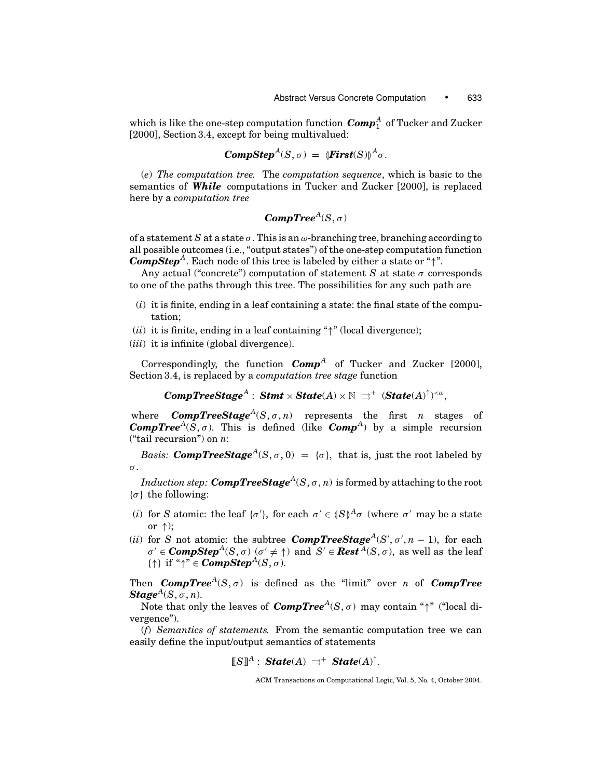which is like the one-step computation function  $\mathit{Comp}^A_1$  of Tucker and Zucker [2000], Section 3.4, except for being multivalued:

**ComplexStep**<sup>A</sup>(S, 
$$
\sigma
$$
) =  $\langle$ **First**(S) $\rangle$ <sup>A</sup> $\sigma$ .

(*e*) *The computation tree.* The *computation sequence*, which is basic to the semantics of *While* computations in Tucker and Zucker [2000], is replaced here by a *computation tree*

**CompTree**<sup>A</sup>(S, 
$$
\sigma
$$
)

of a statement *S* at a state  $\sigma$ . This is an  $\omega$ -branching tree, branching according to all possible outcomes (i.e., "output states") of the one-step computation function *CompStep<sup>A</sup>*. Each node of this tree is labeled by either a state or " $\uparrow$ ".

Any actual ("concrete") computation of statement  $S$  at state  $\sigma$  corresponds to one of the paths through this tree. The possibilities for any such path are

- $(i)$  it is finite, ending in a leaf containing a state: the final state of the computation;
- $(ii)$  it is finite, ending in a leaf containing " $\uparrow$ " (local divergence);
- (*iii*) it is infinite (global divergence).

Correspondingly, the function *Comp<sup>A</sup>* of Tucker and Zucker [2000], Section 3.4, is replaced by a *computation tree stage* function

**CompTreeStage<sup>A</sup>**: **Strat** × **State**(A) × 
$$
\mathbb{N} \implies
$$
 (**State**(A)<sup>†</sup>)< $\leq \omega$ ,

where *CompTreeStage<sup>A</sup>***(***S*,  $\sigma$ , *n*) represents the first *n* stages of *CompTree<sup>A</sup>(S,*  $\sigma$ *)*. This is defined (like *Comp<sup>A</sup>)* **by a simple recursion** ("tail recursion") on *n*:

*Basis: CompTreeStage<sup>A</sup>***(***S*,  $\sigma$ , 0) = { $\sigma$ }, that is, just the root labeled by σ.

*Induction step: CompTreeStage<sup>A</sup>***(***S*,  $\sigma$ , *n*) is formed by attaching to the root  $\{\sigma\}$  the following:

- (*i*) for *S* atomic: the leaf { $\sigma'$ }, for each  $\sigma' \in \{S\}^A \sigma$  (where  $\sigma'$  may be a state or  $\uparrow$ );
- (*ii*) for *S* not atomic: the subtree  $CompTreeStage^A(S', \sigma', n 1)$ , for each  $\sigma' \in \mathbf{CompStep}^A(S, \sigma)$  ( $\sigma' \neq \uparrow$ ) and  $S' \in \mathbf{Rest}^A(S, \sigma)$ , as well as the leaf  $\{\uparrow\}$  if " $\uparrow$ "  $\in \text{CompStep}^A(S, \sigma)$ .

Then *CompTree<sup>A</sup>***(***S***,**  $\sigma$ **)** is defined as the "limit" over *n* of *CompTree*  $Stage<sup>A</sup>(S, \sigma, n)$ .

Note that only the leaves of  $CompTree^A(S, \sigma)$  may contain "<sup>\*</sup>" ("local divergence").

(*f*) *Semantics of statements.* From the semantic computation tree we can easily define the input/output semantics of statements

 $\llbracket S \rrbracket^A: \textit{State}(A) \rightrightarrows^+ \textit{State}(A)^\uparrow.$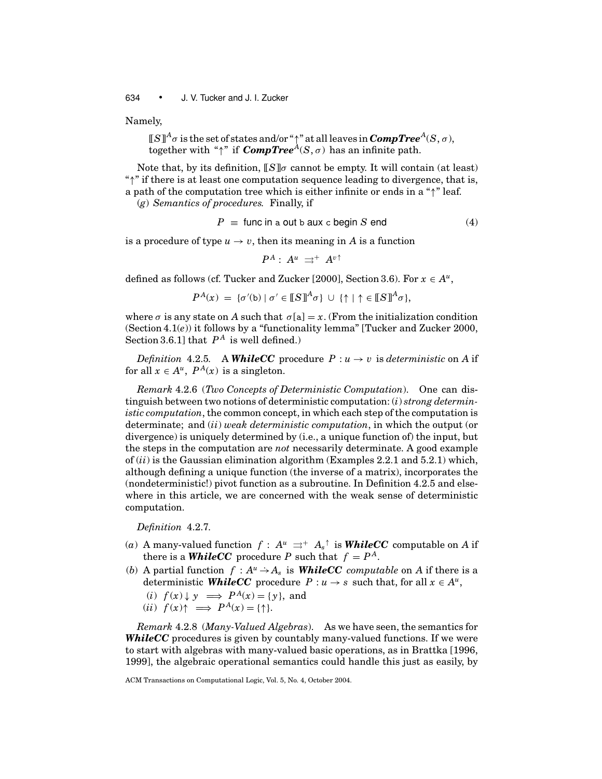Namely,

 $[\![S]\!]^A$ σ is the set of states and/or "<sup>\*</sup>" at all leaves in *CompTree<sup>A</sup>*(*S*,  $\sigma$ ), together with " $\uparrow$ " if **CompTree**<sup>*A*</sup>(*S*,  $\sigma$ ) has an infinite path.

Note that, by its definition,  $[[S]]\sigma$  cannot be empty. It will contain (at least) "↑" if there is at least one computation sequence leading to divergence, that is, a path of the computation tree which is either infinite or ends in a "↑" leaf.

(*g*) *Semantics of procedures.* Finally, if

$$
P = \text{func in a out b aux c begin } S \text{ end} \tag{4}
$$

is a procedure of type  $u \to v$ , then its meaning in A is a function

$$
P^A:~A^u~~\rightrightarrows^+~A^{v\,\uparrow}
$$

defined as follows (cf. Tucker and Zucker [2000], Section 3.6). For  $x \in A^u$ ,

$$
P^{A}(x) = \{ \sigma'(b) \mid \sigma' \in \llbracket S \rrbracket^{A} \sigma \} \cup \{ \uparrow \mid \uparrow \in \llbracket S \rrbracket^{A} \sigma \},
$$

where  $\sigma$  is any state on A such that  $\sigma[a] = x$ . (From the initialization condition (Section 4.1(*e*)) it follows by a "functionality lemma" [Tucker and Zucker 2000, Section 3.6.1] that  $P^A$  is well defined.)

*Definition* 4.2.5*.* A *WhileCC* procedure  $P: u \rightarrow v$  is *deterministic* on *A* if for all  $x \in A^u$ ,  $P^A(x)$  is a singleton.

*Remark* 4.2.6 (*Two Concepts of Deterministic Computation*). One can distinguish between two notions of deterministic computation: (*i*) *strong deterministic computation*, the common concept, in which each step of the computation is determinate; and (*ii*) *weak deterministic computation*, in which the output (or divergence) is uniquely determined by (i.e., a unique function of) the input, but the steps in the computation are *not* necessarily determinate. A good example of (*ii*) is the Gaussian elimination algorithm (Examples 2.2.1 and 5.2.1) which, although defining a unique function (the inverse of a matrix), incorporates the (nondeterministic!) pivot function as a subroutine. In Definition 4.2.5 and elsewhere in this article, we are concerned with the weak sense of deterministic computation.

*Definition* 4.2.7*.*

- $(a)$  A many-valued function  $f : A^u \rightrightarrows^+ A_s^\uparrow$  is **WhileCC** computable on A if there is a *WhileCC* procedure *P* such that  $f = P^A$ .
- (*b*) A partial function  $f : A^u \rightarrow A_s$  is **WhileCC** *computable* on *A* if there is a deterministic *WhileCC* procedure  $P: u \to s$  such that, for all  $x \in A^u$ ,

(*i*)  $f(x) \downarrow y \implies P^A(x) = \{y\}$ , and

 $(iii)$   $f(x)$   $\uparrow \implies P^{A}(x) = \{\uparrow\}$ .

*Remark* 4.2.8 (*Many-Valued Algebras*). As we have seen, the semantics for *WhileCC* procedures is given by countably many-valued functions. If we were to start with algebras with many-valued basic operations, as in Brattka [1996, 1999], the algebraic operational semantics could handle this just as easily, by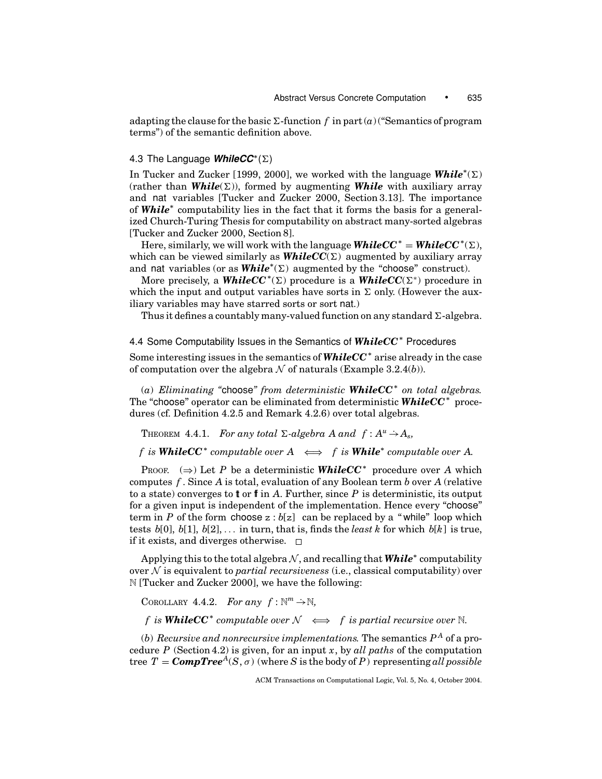adapting the clause for the basic  $\Sigma$ -function f in part (*a*) ("Semantics of program terms") of the semantic definition above.

# 4.3 The Language *WhileCC*<sup>\*</sup>(∑)

In Tucker and Zucker [1999, 2000], we worked with the language *While<sup>∗</sup>* () (rather than *While*( $\Sigma$ )), formed by augmenting *While* with auxiliary array and nat variables [Tucker and Zucker 2000, Section 3.13]. The importance of *While<sup>∗</sup>* computability lies in the fact that it forms the basis for a generalized Church-Turing Thesis for computability on abstract many-sorted algebras [Tucker and Zucker 2000, Section 8].

Here, similarly, we will work with the language  $\textit{WhileCC}^* = \textit{WhileCC}^*(\Sigma),$ which can be viewed similarly as **WhileCC**( $\Sigma$ ) augmented by auxiliary array and nat variables (or as  $\textit{While}^*(\Sigma)$  augmented by the "choose" construct).

More precisely, a *WhileCC*<sup>\*</sup>(Σ) procedure is a *WhileCC*(Σ<sup>\*</sup>) procedure in which the input and output variables have sorts in  $\Sigma$  only. (However the auxiliary variables may have starred sorts or sort nat.)

Thus it defines a countably many-valued function on any standard  $\Sigma$ -algebra.

# 4.4 Some Computability Issues in the Semantics of *WhileCC<sup>∗</sup>* Procedures

Some interesting issues in the semantics of *WhileCC<sup>∗</sup>* arise already in the case of computation over the algebra  $N$  of naturals (Example 3.2.4(*b*)).

(*a*) *Eliminating "*choose*" from deterministic WhileCC<sup>∗</sup> on total algebras.* The "choose" operator can be eliminated from deterministic *WhileCC<sup>∗</sup>* procedures (cf. Definition 4.2.5 and Remark 4.2.6) over total algebras.

**THEOREM 4.4.1.** *For any total*  $\Sigma$ -*algebra A and*  $f : A^u \rightarrow A_s$ ,

*f* is **WhileCC**<sup>\*</sup> *computable over*  $A \iff f$  *is* **While**<sup>\*</sup> *computable over*  $A$ *.* 

PROOF.  $(\Rightarrow)$  Let *P* be a deterministic **WhileCC**<sup>\*</sup> procedure over *A* which computes *f* . Since *A* is total, evaluation of any Boolean term *b* over *A* (relative to a state) converges to  $\bf{t}$  or  $\bf{f}$  in A. Further, since P is deterministic, its output for a given input is independent of the implementation. Hence every "choose" term in *P* of the form choose  $z : b[z]$  can be replaced by a "while" loop which tests  $b[0], b[1], b[2], \ldots$  in turn, that is, finds the *least k* for which  $b[k]$  is true, if it exists, and diverges otherwise.  $\Box$ 

Applying this to the total algebra  $N$ , and recalling that **While**<sup>\*</sup> computability over  $N$  is equivalent to *partial recursiveness* (i.e., classical computability) over N [Tucker and Zucker 2000], we have the following:

COROLLARY 4.4.2. *For any*  $f : \mathbb{N}^m \rightarrow \mathbb{N}$ ,

*f* is **WhileCC**<sup>\*</sup> computable over  $N \iff f$  is partial recursive over  $N$ .

(*b*) *Recursive and nonrecursive implementations. The semantics*  $P^A$  *of a pro*cedure *P* (Section 4.2) is given, for an input *x*, by *all paths* of the computation tree  $T = \text{CompTree}^A(S, \sigma)$  (where *S* is the body of *P*) representing *all possible*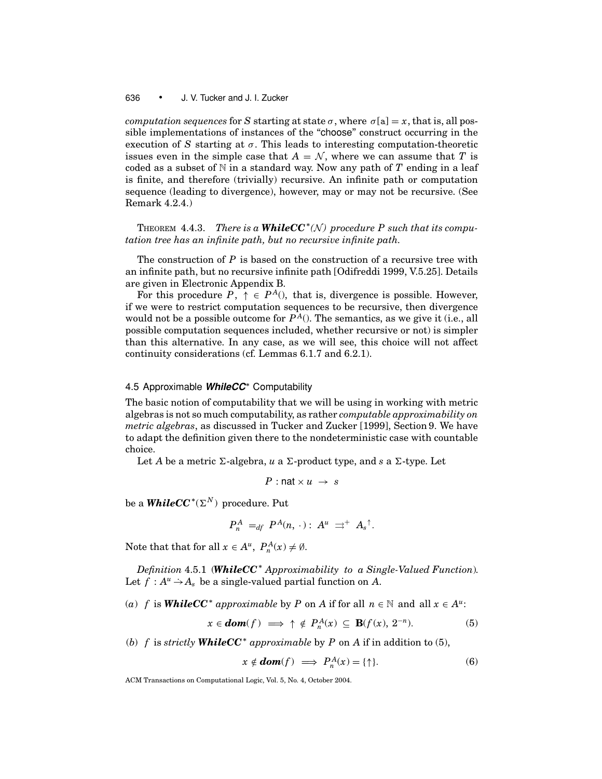*computation sequences* for *S* starting at state  $\sigma$ , where  $\sigma[a] = x$ , that is, all possible implementations of instances of the "choose" construct occurring in the execution of  $S$  starting at  $\sigma$ . This leads to interesting computation-theoretic issues even in the simple case that  $A = \mathcal{N}$ , where we can assume that *T* is coded as a subset of N in a standard way. Now any path of *T* ending in a leaf is finite, and therefore (trivially) recursive. An infinite path or computation sequence (leading to divergence), however, may or may not be recursive. (See Remark 4.2.4.)

 $\text{THEOREM 4.4.3.}$  *There is a*  $\textbf{WhileCC}^*(\mathcal{N})$  *procedure P such that its computation tree has an infinite path, but no recursive infinite path.*

The construction of *P* is based on the construction of a recursive tree with an infinite path, but no recursive infinite path [Odifreddi 1999, V.5.25]. Details are given in Electronic Appendix B.

For this procedure  $P$ ,  $\uparrow \in P^A$ (), that is, divergence is possible. However, if we were to restrict computation sequences to be recursive, then divergence would not be a possible outcome for  $P^A$ . The semantics, as we give it (i.e., all possible computation sequences included, whether recursive or not) is simpler than this alternative. In any case, as we will see, this choice will not affect continuity considerations (cf. Lemmas 6.1.7 and 6.2.1).

## 4.5 Approximable *WhileCC<sup>∗</sup>* Computability

The basic notion of computability that we will be using in working with metric algebras is not so much computability, as rather *computable approximability on metric algebras*, as discussed in Tucker and Zucker [1999], Section 9. We have to adapt the definition given there to the nondeterministic case with countable choice.

Let *A* be a metric  $\Sigma$ -algebra, *u* a  $\Sigma$ -product type, and *s* a  $\Sigma$ -type. Let

$$
P : \text{nat} \times u \rightarrow s
$$

be a *WhileCC<sup>∗</sup>* ( *<sup>N</sup>* ) procedure. Put

$$
P_n^A =_{df} P^A(n, .): A^u \Rightarrow^+ A_s^{\uparrow}.
$$

Note that that for all  $x \in A^u$ ,  $P_n^A(x) \neq \emptyset$ .

*Definition* 4.5.1 (*WhileCC<sup>∗</sup> Approximability to a Single-Valued Function*)*.* Let  $f : A^u \rightarrow A_s$  be a single-valued partial function on A.

(*a*) *f* is *WhileCC***<sup>\*</sup>** *approximable* by *P* on *A* if for all  $n \in \mathbb{N}$  and all  $x \in A^u$ :

$$
x \in \mathbf{dom}(f) \implies \uparrow \notin P_n^A(x) \subseteq \mathbf{B}(f(x), 2^{-n}). \tag{5}
$$

(*b*) *f* is *strictly WhileCC<sup>∗</sup> approximable* by *P* on *A* if in addition to (5),

$$
x \notin \mathbf{dom}(f) \implies P_n^A(x) = \{ \uparrow \}. \tag{6}
$$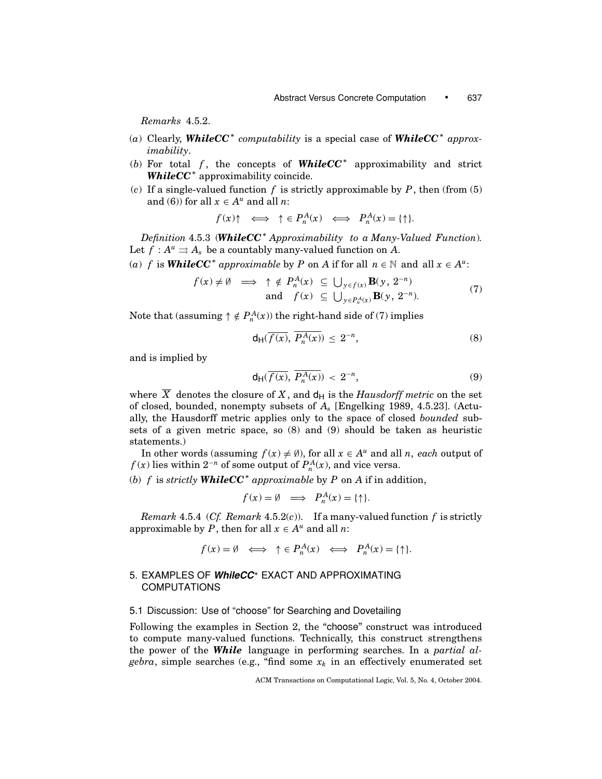*Remarks* 4.5.2.

- (*a*) Clearly, *WhileCC<sup>∗</sup> computability* is a special case of *WhileCC<sup>∗</sup> approximability*.
- (*b*) For total  $f$ , the concepts of **WhileCC**<sup>\*</sup> approximability and strict *WhileCC<sup>∗</sup>* approximability coincide.
- (*c*) If a single-valued function *f* is strictly approximable by *P*, then (from (5) and (6)) for all  $x \in A^u$  and all *n*:

$$
f(x)\uparrow \iff \uparrow \in P_n^A(x) \iff P_n^A(x) = \{\uparrow\}.
$$

*Definition* 4.5.3 (*WhileCC<sup>∗</sup> Approximability to a Many-Valued Function*)*.* Let  $f : A^u \rightrightarrows A_s$  be a countably many-valued function on A.

(*a*) *f* is *WhileCC***<sup>\*</sup>** *approximable* by *P* on *A* if for all  $n \in \mathbb{N}$  and all  $x \in A^u$ :

$$
f(x) \neq \emptyset \implies \uparrow \notin P_n^A(x) \subseteq \bigcup_{y \in f(x)} \mathbf{B}(y, 2^{-n})
$$
  
and  $f(x) \subseteq \bigcup_{y \in P_n^A(x)} \mathbf{B}(y, 2^{-n}).$  (7)

Note that (assuming  $\uparrow \notin P_n^A(x)$ ) the right-hand side of (7) implies

$$
\mathsf{d}_{\mathsf{H}}(\overline{f(x)}, \overline{P_n^A(x)}) \le 2^{-n},\tag{8}
$$

and is implied by

$$
\mathsf{d}_{\mathsf{H}}(\overline{f(x)},\overline{P_n^A(x)}) < 2^{-n},\tag{9}
$$

where  $\overline{X}$  denotes the closure of X, and  $d_H$  is the *Hausdorff metric* on the set of closed, bounded, nonempty subsets of *As* [Engelking 1989, 4.5.23]. (Actually, the Hausdorff metric applies only to the space of closed *bounded* subsets of a given metric space, so (8) and (9) should be taken as heuristic statements.)

In other words (assuming  $f(x) \neq \emptyset$ ), for all  $x \in A^u$  and all *n*, *each* output of *f* (*x*) lies within  $2^{-n}$  of some output of  $P_n^A(x)$ , and vice versa.

(*b*) *f* is *strictly WhileCC<sup>∗</sup> approximable* by *P* on *A* if in addition,

$$
f(x) = \emptyset \implies P_n^A(x) = \{\uparrow\}.
$$

*Remark* 4.5.4 (*Cf. Remark* 4.5.2(*c*)). If a many-valued function *f* is strictly approximable by *P*, then for all  $x \in A^u$  and all *n*:

$$
f(x) = \emptyset \iff \uparrow \in P_n^A(x) \iff P_n^A(x) = \{\uparrow\}.
$$

# 5. EXAMPLES OF *WhileCC<sup>∗</sup>* EXACT AND APPROXIMATING COMPUTATIONS

# 5.1 Discussion: Use of "choose" for Searching and Dovetailing

Following the examples in Section 2, the "choose" construct was introduced to compute many-valued functions. Technically, this construct strengthens the power of the *While* language in performing searches. In a *partial algebra*, simple searches (e.g., "find some  $x_k$  in an effectively enumerated set

ACM Transactions on Computational Logic, Vol. 5, No. 4, October 2004.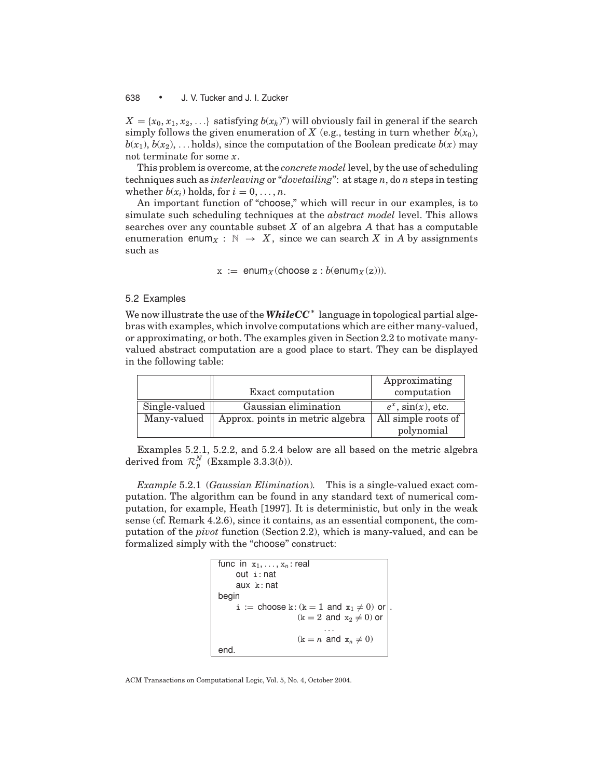$X = \{x_0, x_1, x_2, \ldots\}$  satisfying  $b(x_k)$ " will obviously fail in general if the search simply follows the given enumeration of *X* (e.g., testing in turn whether  $b(x_0)$ ,  $b(x_1)$ ,  $b(x_2)$ , ... holds), since the computation of the Boolean predicate  $b(x)$  may not terminate for some *x*.

This problem is overcome, at the *concrete model* level, by the use of scheduling techniques such as *interleaving* or "*dovetailing*": at stage *n*, do *n* steps in testing whether  $b(x_i)$  holds, for  $i = 0, \ldots, n$ .

An important function of "choose," which will recur in our examples, is to simulate such scheduling techniques at the *abstract model* level. This allows searches over any countable subset *X* of an algebra *A* that has a computable enumeration enum<sub>*X*</sub> :  $\mathbb{N} \to X$ , since we can search *X* in *A* by assignments such as

 $x := \text{enum}_X(\text{choose } z : b(\text{enum}_X(z))).$ 

# 5.2 Examples

We now illustrate the use of the *WhileCC<sup>∗</sup>* language in topological partial algebras with examples, which involve computations which are either many-valued, or approximating, or both. The examples given in Section 2.2 to motivate manyvalued abstract computation are a good place to start. They can be displayed in the following table:

|               |                                  | Approximating        |
|---------------|----------------------------------|----------------------|
|               | Exact computation                | computation          |
| Single-valued | Gaussian elimination             | $e^x$ , sin(x), etc. |
| Many-valued   | Approx. points in metric algebra | All simple roots of  |
|               |                                  | polynomial           |

Examples 5.2.1, 5.2.2, and 5.2.4 below are all based on the metric algebra derived from  $\mathcal{R}_p^N$  (Example 3.3.3(*b*)).

*Example* 5.2.1 (*Gaussian Elimination*)*.* This is a single-valued exact computation. The algorithm can be found in any standard text of numerical computation, for example, Heath [1997]. It is deterministic, but only in the weak sense (cf. Remark 4.2.6), since it contains, as an essential component, the computation of the *pivot* function (Section 2.2), which is many-valued, and can be formalized simply with the "choose" construct:

```
func in x_1, \ldots, x_n: real
     out i: nat
     aux k: nat
begin
     i := choose k: (k = 1 and x_1 \neq 0) or
                        (k = 2 and x_2 \neq 0) or
                                ...
                        (k = n \text{ and } x_n \neq 0)end.
                                                    .
```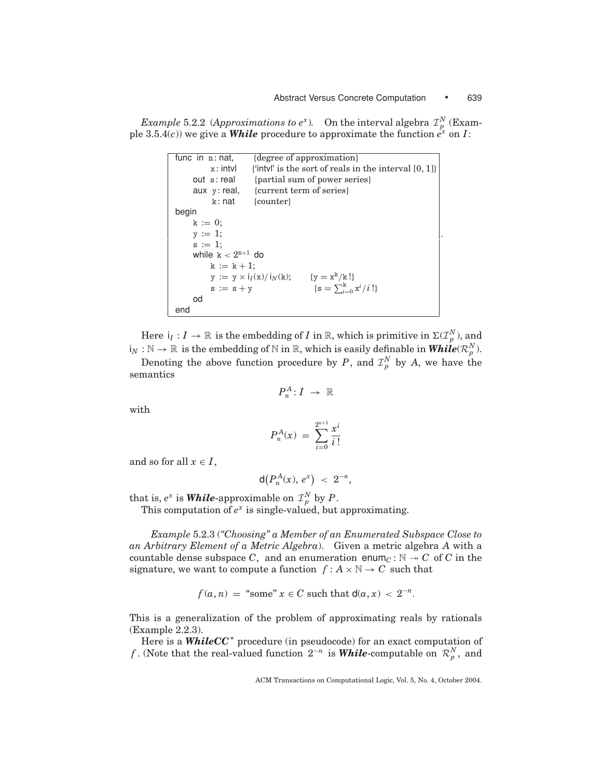*Example* 5.2.2 (*Approximations to*  $e^x$ *). On the interval algebra*  $\mathcal{I}_p^N$  (*Exam*ple 3.5.4(*c*)) we give a *While* procedure to approximate the function  $e^{x}$  on *I*:

| func in $n:$ nat,      | {degree of approximation}                                |
|------------------------|----------------------------------------------------------|
| $x:$ intyl             | {'intyl' is the sort of reals in the interval $[0, 1]$ } |
| out s: real            | {partial sum of power series}                            |
| $aux$ $y:$ real,       | {current term of series}                                 |
| k:nat                  | ${counter}$                                              |
| begin                  |                                                          |
| $k := 0;$              |                                                          |
| $y := 1$ ;             |                                                          |
| $s := 1$ :             |                                                          |
| while $k < 2^{n+1}$ do |                                                          |
| $k := k + 1$ ;         |                                                          |
|                        | $y := y \times i_I(x)/i_N(k);$ ${y = x^k/k!}$            |
| $s := s + y$           | $\{s = \sum_{i=0}^{k} x^{i}/i!\}$                        |
| od                     |                                                          |
| end                    |                                                          |

Here  $i_I: I \to \mathbb{R}$  is the embedding of *I* in  $\mathbb{R}$ , which is primitive in  $\Sigma(\mathcal{I}_p^N)$ , and  $i_N:\mathbb{N}\to\mathbb{R}$  is the embedding of  $\mathbb N$  in  $\mathbb R,$  which is easily definable in  $\textit{While}(\mathcal{R}_p^N).$ 

Denoting the above function procedure by  $P$ , and  $\mathcal{I}_p^N$  by  $A$ , we have the semantics

$$
P_n^A\colon I\;\to\;\mathbb{R}
$$

with

$$
P_n^A(x) = \sum_{i=0}^{2^{n+1}} \frac{x^i}{i!}
$$

and so for all  $x \in I$ ,

$$
\mathsf{d}\big(P_n^A(x),\,e^x\big) \; < \; 2^{-n},
$$

that is,  $e^x$  is **While**-approximable on  $\mathcal{I}_p^N$  by  $P$ .

This computation of *e<sup>x</sup>* is single-valued, but approximating.

*Example* 5.2.3 (*"Choosing" a Member of an Enumerated Subspace Close to an Arbitrary Element of a Metric Algebra*). Given a metric algebra *A* with a countable dense subspace  $C, \,$  and an enumeration  $\,$  enum $_C \colon \mathbb{N} \twoheadrightarrow C \,$  of  $C$  in the signature, we want to compute a function  $\ f: A \times \mathbb{N} \rightarrow C$  such that

$$
f(a, n) =
$$
 "some"  $x \in C$  such that  $d(a, x) < 2^{-n}$ .

This is a generalization of the problem of approximating reals by rationals (Example 2.2.3).

Here is a **WhileCC**<sup>\*</sup> procedure (in pseudocode) for an exact computation of *f* . (Note that the real-valued function  $2^{-n}$  is *While*-computable on  $\mathcal{R}_p^N$ , and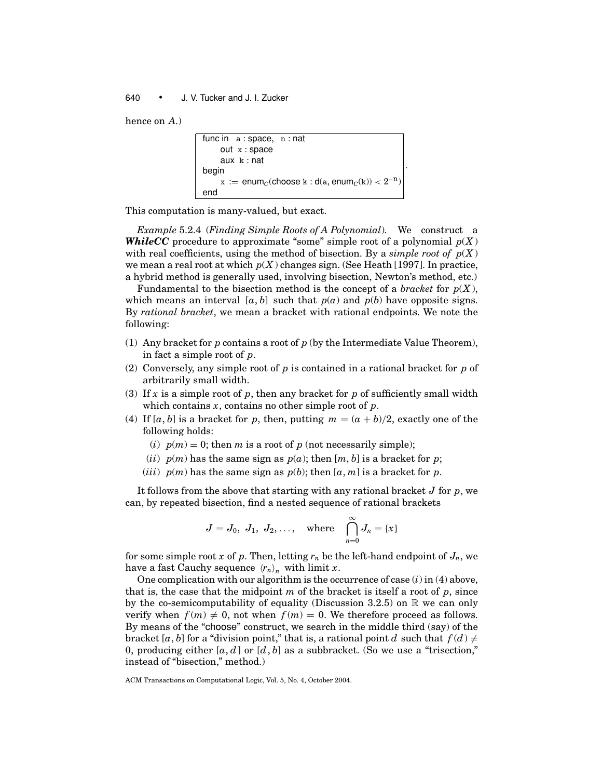hence on *A*.)

```
func in a : space, n : nat
     out x : space
     aux k : nat
begin
     x := \text{enum}_C(\text{choose } k : d(a, \text{enum}_C(k)) < 2^{-n})end
```
.

This computation is many-valued, but exact.

*Example* 5.2.4 (*Finding Simple Roots of A Polynomial*)*.* We construct a **WhileCC** procedure to approximate "some" simple root of a polynomial  $p(X)$ with real coefficients, using the method of bisection. By a *simple root of*  $p(X)$ we mean a real root at which  $p(X)$  changes sign. (See Heath [1997]. In practice, a hybrid method is generally used, involving bisection, Newton's method, etc.)

Fundamental to the bisection method is the concept of a *bracket* for  $p(X)$ , which means an interval  $[a, b]$  such that  $p(a)$  and  $p(b)$  have opposite signs. By *rational bracket*, we mean a bracket with rational endpoints. We note the following:

- (1) Any bracket for *p* contains a root of *p* (by the Intermediate Value Theorem), in fact a simple root of *p*.
- (2) Conversely, any simple root of *p* is contained in a rational bracket for *p* of arbitrarily small width.
- (3) If  $x$  is a simple root of  $p$ , then any bracket for  $p$  of sufficiently small width which contains *x*, contains no other simple root of *p*.
- (4) If  $[a, b]$  is a bracket for *p*, then, putting  $m = (a + b)/2$ , exactly one of the following holds:
	- (*i*)  $p(m) = 0$ ; then *m* is a root of *p* (not necessarily simple);
	- (*ii*)  $p(m)$  has the same sign as  $p(a)$ ; then  $[m, b]$  is a bracket for  $p$ ;
	- (*iii*)  $p(m)$  has the same sign as  $p(b)$ ; then [a, m] is a bracket for p.

It follows from the above that starting with any rational bracket *J* for *p*, we can, by repeated bisection, find a nested sequence of rational brackets

$$
J = J_0, J_1, J_2, \ldots, \text{ where } \bigcap_{n=0}^{\infty} J_n = \{x\}
$$

for some simple root *x* of *p*. Then, letting  $r_n$  be the left-hand endpoint of  $J_n$ , we have a fast Cauchy sequence  $\langle r_n \rangle_n$  with limit *x*.

One complication with our algorithm is the occurrence of case (*i*) in (4) above, that is, the case that the midpoint *m* of the bracket is itself a root of *p*, since by the co-semicomputability of equality (Discussion 3.2.5) on  $\mathbb R$  we can only verify when  $f(m) \neq 0$ , not when  $f(m) = 0$ . We therefore proceed as follows. By means of the "choose" construct, we search in the middle third (say) of the bracket [a, b] for a "division point," that is, a rational point d such that  $f(d) \neq$ 0, producing either  $[a, d]$  or  $[d, b]$  as a subbracket. (So we use a "trisection," instead of "bisection," method.)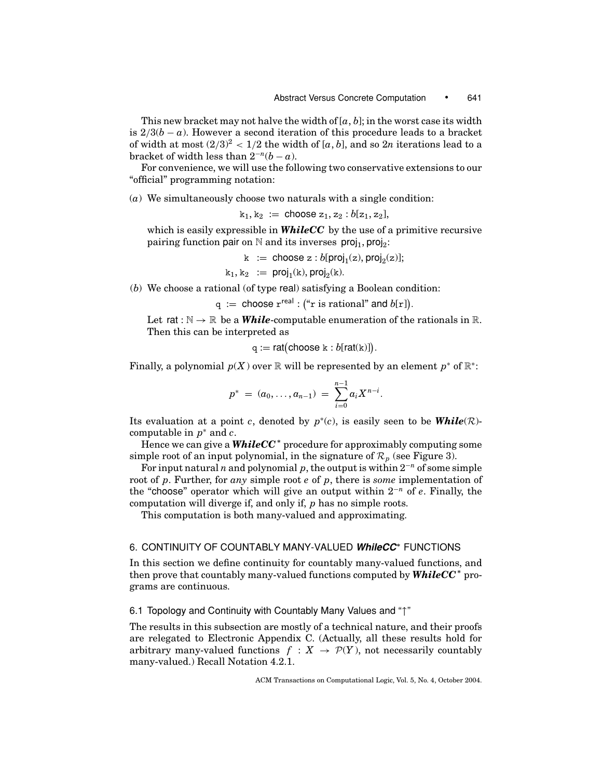This new bracket may not halve the width of  $[a, b]$ ; in the worst case its width is  $2/3(b-a)$ . However a second iteration of this procedure leads to a bracket of width at most  $(2/3)^2 < 1/2$  the width of [a, b], and so 2n iterations lead to a bracket of width less than  $2^{-n}(b - a)$ .

For convenience, we will use the following two conservative extensions to our "official" programming notation:

(*a*) We simultaneously choose two naturals with a single condition:

$$
k_1, k_2 := \text{choose } z_1, z_2 : b[z_1, z_2],
$$

which is easily expressible in *WhileCC* by the use of a primitive recursive pairing function pair on  $\mathbb N$  and its inverses proj<sub>1</sub>, proj<sub>2</sub>:

$$
\mathtt{k} \ := \ \textsf{choose}\ \mathtt{z} : b[\mathsf{proj}_1(\mathtt{z}), \mathsf{proj}_2(\mathtt{z})];
$$

$$
\mathtt{k}_1,\mathtt{k}_2 \ := \ \mathsf{proj}_1(\mathtt{k}), \mathsf{proj}_2(\mathtt{k}).
$$

(*b*) We choose a rational (of type real) satisfying a Boolean condition:

q := choose 
$$
r^{\text{real}}
$$
 : ("r is rational" and  $b[r]$ ).

Let rat :  $\mathbb{N} \to \mathbb{R}$  be a **While**-computable enumeration of the rationals in  $\mathbb{R}$ . Then this can be interpreted as

$$
q := \text{rat}(\text{choose } k : b[\text{rat}(k)]).
$$

Finally, a polynomial  $p(X)$  over R will be represented by an element  $p^*$  of  $\mathbb{R}^*$ :

$$
p^* \ = \ (a_0, \ldots, a_{n-1}) \ = \ \sum_{i=0}^{n-1} a_i X^{n-i}.
$$

Its evaluation at a point *c*, denoted by  $p^*(c)$ , is easily seen to be **While**( $\mathcal{R}$ )computable in *p*<sup>∗</sup> and *c*.

Hence we can give a *WhileCC<sup>∗</sup>* procedure for approximably computing some simple root of an input polynomial, in the signature of  $\mathcal{R}_p$  (see Figure 3).

For input natural *n* and polynomial *p*, the output is within  $2^{-n}$  of some simple root of *p*. Further, for *any* simple root *e* of *p*, there is *some* implementation of the "choose" operator which will give an output within 2<sup>−</sup>*<sup>n</sup>* of *e*. Finally, the computation will diverge if, and only if, *p* has no simple roots.

This computation is both many-valued and approximating.

# 6. CONTINUITY OF COUNTABLY MANY-VALUED *WhileCC<sup>∗</sup>* FUNCTIONS

In this section we define continuity for countably many-valued functions, and then prove that countably many-valued functions computed by *WhileCC<sup>∗</sup>* programs are continuous.

# 6.1 Topology and Continuity with Countably Many Values and "*↑*"

The results in this subsection are mostly of a technical nature, and their proofs are relegated to Electronic Appendix C. (Actually, all these results hold for arbitrary many-valued functions  $f : X \rightarrow \mathcal{P}(Y)$ , not necessarily countably many-valued.) Recall Notation 4.2.1.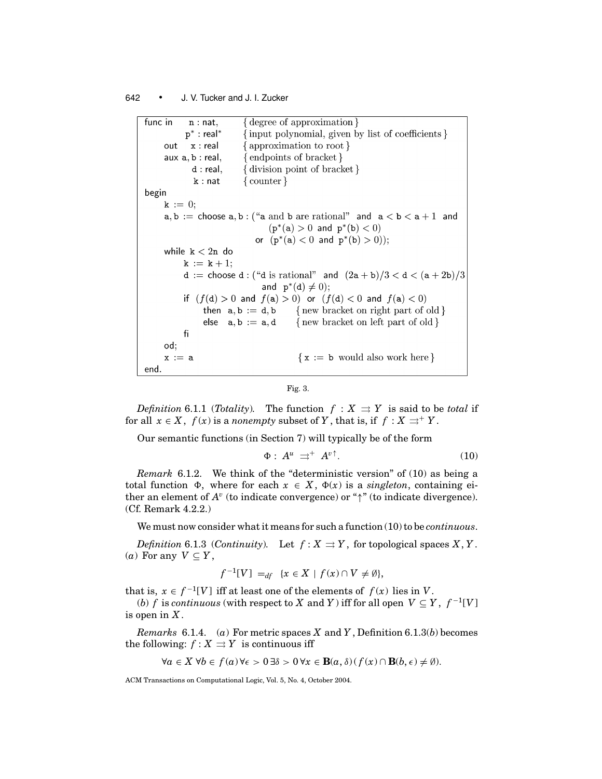```
{ degree of approximation }
func in
          n: nat,p^* : real*
                       {input polynomial, given by list of coefficients}
                       {approximation to root}
    out
         x : real
    aux a, b : real,{endpoints of bracket}
                       { division point of bracket }
           d: real,
           k:nat\{\text{counter }\}begin
    k := 0;
    a, b := choose a, b : ("a and b are rational" and a < b < a + 1 and
                             (p^*(a) > 0 and p^*(b) < 0or (p^*(a) < 0 and p^*(b) > 0);
    while k < 2n do
         k := k + 1;d := choose d : ("d is rational" and (2a + b)/3 < d < (a + 2b)/3and p^*(d) \neq 0;
         if (f(d) > 0 and f(a) > 0 or (f(d) < 0 and f(a) < 0then a, b := d, b{new bracket on right part of old }
              else a, b := a, d\{ new bracket on left part of old\}fi
    od:
                                    \{x := b \text{ would also work here}\}x := aend.
```
Fig. 3.

*Definition* 6.1.1 (*Totality*). The function  $f : X \rightrightarrows Y$  is said to be *total* if for all  $x \in X$ ,  $f(x)$  is a *nonempty* subset of *Y*, that is, if  $f : X \rightrightarrows^+ Y$ .

Our semantic functions (in Section 7) will typically be of the form

$$
\Phi: A^u \rightrightarrows^+ A^{v\uparrow}.
$$
 (10)

*Remark* 6.1.2. We think of the "deterministic version" of (10) as being a total function  $\Phi$ , where for each  $x \in X$ ,  $\Phi(x)$  is a *singleton*, containing either an element of  $A^v$  (to indicate convergence) or " $\uparrow$ " (to indicate divergence). (Cf. Remark 4.2.2.)

We must now consider what it means for such a function (10) to be *continuous*.

*Definition* 6.1.3 (*Continuity*). Let  $f: X \rightrightarrows Y$ , for topological spaces X, Y. (*a*) For any  $V \subseteq Y$ ,

$$
f^{-1}[V] =_{df} \{x \in X \mid f(x) \cap V \neq \emptyset\},\
$$

that is,  $x \in f^{-1}[V]$  iff at least one of the elements of  $f(x)$  lies in V.

(*b*) *f* is *continuous* (with respect to *X* and *Y*) iff for all open  $V \subseteq Y$ ,  $f^{-1}[V]$ is open in *X* .

*Remarks* 6.1.4. (*a*) For metric spaces *X* and *Y*, Definition 6.1.3(*b*) becomes the following:  $f : X \rightrightarrows Y$  is continuous iff

$$
\forall a \in X \ \forall b \in f(a) \ \forall \epsilon > 0 \ \exists \delta > 0 \ \forall x \in \mathbf{B}(a, \delta) \ (f(x) \cap \mathbf{B}(b, \epsilon) \neq \emptyset).
$$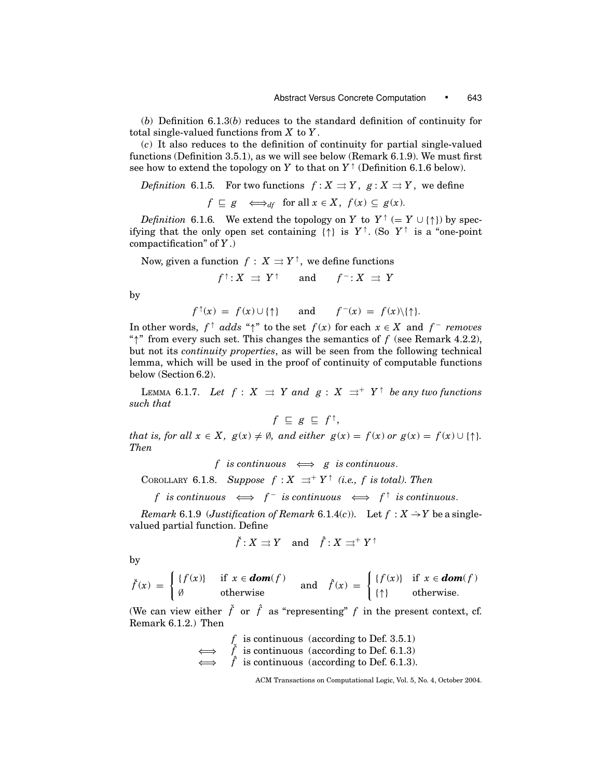(*b*) Definition 6.1.3(*b*) reduces to the standard definition of continuity for total single-valued functions from *X* to *Y* .

(*c*) It also reduces to the definition of continuity for partial single-valued functions (Definition 3.5.1), as we will see below (Remark 6.1.9). We must first see how to extend the topology on *Y* to that on  $Y^{\uparrow}$  (Definition 6.1.6 below).

*Definition* 6.1.5*.* For two functions  $f: X \rightrightarrows Y, g: X \rightrightarrows Y$ , we define

 $f \subseteq g \iff df$  for all  $x \in X$ ,  $f(x) \subseteq g(x)$ .

*Definition* 6.1.6. We extend the topology on *Y* to  $Y^{\uparrow} (= Y \cup \{\uparrow\})$  by specifying that the only open set containing  $\{\uparrow\}$  is *Y*<sup> $\uparrow$ </sup>. (So *Y*<sup> $\uparrow$ </sup> is a "one-point" compactification" of *Y* .)

Now, given a function  $f: X \rightrightarrows Y^{\uparrow}$ , we define functions

$$
f^{\uparrow} \colon X \implies Y^{\uparrow} \qquad \text{and} \qquad f^{-} \colon X \implies Y
$$

by

$$
f^{\uparrow}(x) = f(x) \cup {\uparrow}
$$
 and  $f^{\neg}(x) = f(x) {\uparrow}$ .

In other words,  $f \uparrow adds$  " $\uparrow$ " to the set  $f(x)$  for each  $x \in X$  and  $f^{-}$  *removes* "↑" from every such set. This changes the semantics of *f* (see Remark 4.2.2), but not its *continuity properties*, as will be seen from the following technical lemma, which will be used in the proof of continuity of computable functions below (Section 6.2).

LEMMA 6.1.7. Let  $f: X \rightrightarrows Y$  and  $g: X \rightrightarrows^+ Y$ <sup> $\uparrow$ </sup> be any two functions *such that*

$$
f \subseteq g \subseteq f^{\uparrow},
$$

*that is, for all*  $x \in X$ *,*  $g(x) \neq \emptyset$ *, and either*  $g(x) = f(x)$  *or*  $g(x) = f(x) \cup \{\uparrow\}$ *. Then*

*f* is continuous  $\iff$  *g* is continuous.

COROLLARY 6.1.8. *Suppose*  $f : X \rightrightarrows^{+} Y^{\uparrow}$  *(i.e., f is total). Then* 

*f* is continuous  $\iff$  *f*  $\Rightarrow$  *f*  $\Rightarrow$  *f*  $\Rightarrow$  *f*  $\Rightarrow$  *f*  $\Rightarrow$  *f*  $\Rightarrow$  *f*  $\Rightarrow$  *f*  $\Rightarrow$  *f*  $\Rightarrow$  *f*  $\Rightarrow$  *f*  $\Rightarrow$  *f*  $\Rightarrow$  *f*  $\Rightarrow$  *f*  $\Rightarrow$  *f*  $\Rightarrow$  *f*  $\Rightarrow$  *f*  $\Rightarrow$  *f*  $\Rightarrow$  *f*  $\Rightarrow$  *f*  $\Rightarrow$  *f*  $\Rightarrow$  *f*  $\Rightarrow$ 

*Remark* 6.1.9 (*Justification of Remark* 6.1.4(*c*)). Let  $f : X \rightarrow Y$  be a singlevalued partial function. Define

$$
\check f:X\rightrightarrows Y\quad\text{and}\quad \hat f:X\rightrightarrows^+Y^\uparrow
$$

by

$$
\check{f}(x) = \begin{cases} \{f(x)\} & \text{if } x \in \text{dom}(f) \\ \emptyset & \text{otherwise} \end{cases} \quad \text{and} \quad \hat{f}(x) = \begin{cases} \{f(x)\} & \text{if } x \in \text{dom}(f) \\ \{\uparrow\} & \text{otherwise.} \end{cases}
$$

(We can view either  $\check{f}$  or  $\hat{f}$  as "representing"  $f$  in the present context, cf. Remark 6.1.2.) Then

*f* is continuous (according to Def. 3.5.1)  

$$
\iff
$$
 *f* is continuous (according to Def. 6.1.3)  
 $\iff$  *f* is continuous (according to Def. 6.1.3).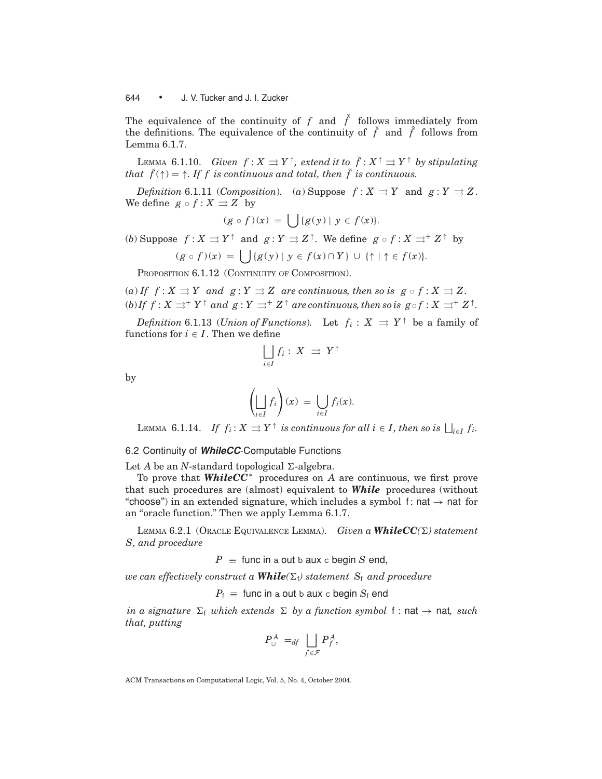The equivalence of the continuity of  $f$  and  $\check{f}$  follows immediately from the definitions. The equivalence of the continuity of  $\check{f}$  and  $\hat{f}$  follows from Lemma 6.1.7.

LEMMA 6.1.10. *Given*  $f: X \rightrightarrows Y^{\uparrow}$ , *extend it to*  $\tilde{f}: X^{\uparrow} \rightrightarrows Y^{\uparrow}$  *by stipulating that*  $\tilde{f}(\uparrow) = \uparrow$ *. If f is continuous and total, then*  $\tilde{f}$  *is continuous.* 

*Definition* 6.1.11 (*Composition*). (*a*) Suppose  $f: X \rightrightarrows Y$  and  $g: Y \rightrightarrows Z$ . We define  $g \circ f : X \rightrightarrows Z$  by

$$
(g \circ f)(x) = \bigcup \{g(y) \mid y \in f(x)\}.
$$

(*b*) Suppose  $f: X \rightrightarrows Y^{\uparrow}$  and  $g: Y \rightrightarrows Z^{\uparrow}$ . We define  $g \circ f: X \rightrightarrows^+ Z^{\uparrow}$  by

 $(g \circ f)(x) = \int$   $[g(y) | y \in f(x) \cap Y$  ∪ {↑ | ↑ ∈  $f(x)$ }.

PROPOSITION  $6.1.12$  (CONTINUITY OF COMPOSITION).

(*a*) If  $f: X \rightrightarrows Y$  and  $g: Y \rightrightarrows Z$  are continuous, then so is  $g \circ f: X \rightrightarrows Z$ . (*b*) If  $f: X \rightrightarrows^+ Y \rightrightarrows^+ and g: Y \rightrightarrows^+ Z \rightrightarrows^+ are continuous, then so is  $g \circ f: X \rightrightarrows^+ Z \rightrightarrows^+ A$ .$ 

*Definition* 6.1.13 (*Union of Functions*). Let  $f_i : X \rightrightarrows Y^{\uparrow}$  be a family of functions for  $i \in I$ . Then we define

$$
\bigsqcup_{i\in I} f_i:\, X\;\rightrightarrows\; Y^{\,\uparrow}
$$

by

$$
\left(\bigsqcup_{i\in I}f_i\right)(x) = \bigcup_{i\in I}f_i(x).
$$

LEMMA 6.1.14. *If*  $f_i: X \rightrightarrows Y^{\uparrow}$  *is continuous for all*  $i \in I$ *, then so is*  $\bigsqcup_{i \in I} f_i$ *.* 

6.2 Continuity of *WhileCC*-Computable Functions

Let *A* be an *N*-standard topological  $\Sigma$ -algebra.

To prove that *WhileCC<sup>∗</sup>* procedures on *A* are continuous, we first prove that such procedures are (almost) equivalent to *While* procedures (without "choose") in an extended signature, which includes a symbol f: nat  $\rightarrow$  nat for an "oracle function." Then we apply Lemma 6.1.7.

LEMMA  $6.2.1$  (ORACLE EQUIVALENCE LEMMA). *Given a WhileCC(* $\Sigma$ *) statement S, and procedure*

 $P \equiv$  func in a out b aux c begin *S* end,

*we can effectively construct a While* $(\Sigma_i)$  *statement*  $S_i$  *and procedure* 

 $P_f$  = func in a out b aux c begin  $S_f$  end

*in a signature*  $\Sigma_i$  *which extends*  $\Sigma$  *by a function symbol* f : nat  $\rightarrow$  nat, *such that, putting*

$$
P^A_\sqcup =_{df} \bigsqcup_{f \in \mathcal{F}} P^A_f,
$$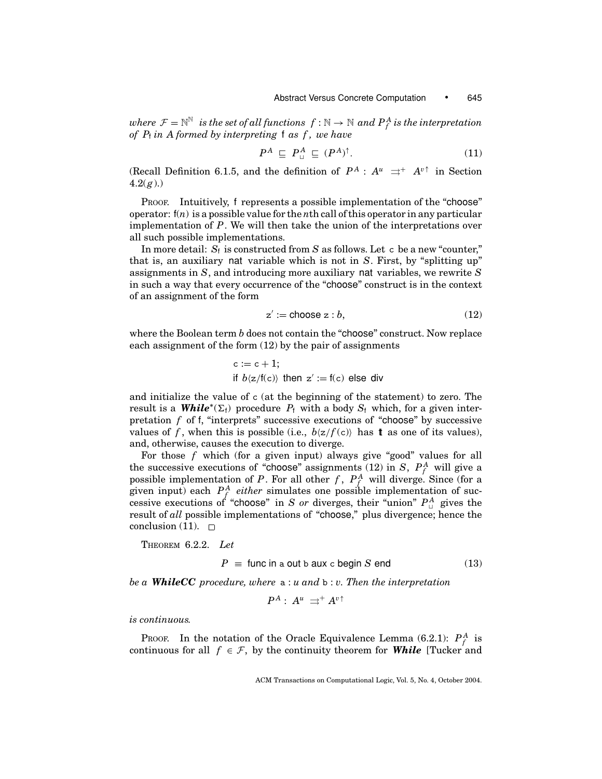*where*  $\mathcal{F} = \mathbb{N}^{\mathbb{N}}$  *is the set of all functions*  $f : \mathbb{N} \to \mathbb{N}$  and  $P_f^A$  *is the interpretation of P*<sup>f</sup> *in A formed by interpreting* f *as f , we have*

$$
P^A \sqsubseteq P^A_{\sqcup} \sqsubseteq (P^A)^{\uparrow}.
$$
 (11)

(Recall Definition 6.1.5, and the definition of  $P^A$ :  $A^u \rightrightarrows^+ A^{v\uparrow}$  in Section 4.2(*g*).)

PROOF. Intuitively, f represents a possible implementation of the "choose" operator: f(*n*) is a possible value for the *n*th call of this operator in any particular implementation of *P*. We will then take the union of the interpretations over all such possible implementations.

In more detail:  $S_f$  is constructed from *S* as follows. Let c be a new "counter," that is, an auxiliary nat variable which is not in *S*. First, by "splitting up" assignments in *S*, and introducing more auxiliary nat variables, we rewrite *S* in such a way that every occurrence of the "choose" construct is in the context of an assignment of the form

$$
z' := \text{choose } z : b,\tag{12}
$$

where the Boolean term *b* does not contain the "choose" construct. Now replace each assignment of the form (12) by the pair of assignments

$$
c := c + 1;
$$
  
if  $b\langle z/f(c) \rangle$  then  $z' := f(c)$  else div

and initialize the value of c (at the beginning of the statement) to zero. The result is a  $\textit{While}^*(\Sigma_{\text{f}})$  procedure  $P_{\text{f}}$  with a body  $S_{\text{f}}$  which, for a given interpretation *f* of f, "interprets" successive executions of "choose" by successive values of *f*, when this is possible (i.e.,  $b\langle z/f(c)\rangle$  has **t** as one of its values), and, otherwise, causes the execution to diverge.

For those *f* which (for a given input) always give "good" values for all the successive executions of "choose" assignments (12) in  $S$ ,  $P_f^A$  will give a possible implementation of *P*. For all other *f*,  $P_f^A$  will diverge. Since (for a given input) each  $P_f^A$  *either* simulates one possible implementation of successive executions of "choose" in *S* or diverges, their "union"  $P_{\perp}^{A}$  gives the result of *all* possible implementations of "choose," plus divergence; hence the conclusion  $(11)$ .  $\Box$ 

THEOREM 6.2.2. *Let*

$$
P = \text{func in a out b aux c begin } S \text{ end} \tag{13}
$$

*be a WhileCC procedure, where* a : *u and* b : *v. Then the interpretation*

$$
P^A:\ A^u\ \rightrightarrows^+ A^{v\,\uparrow}
$$

*is continuous.*

PROOF. In the notation of the Oracle Equivalence Lemma (6.2.1):  $P_f^A$  is continuous for all  $f \in \mathcal{F}$ , by the continuity theorem for **While** [Tucker and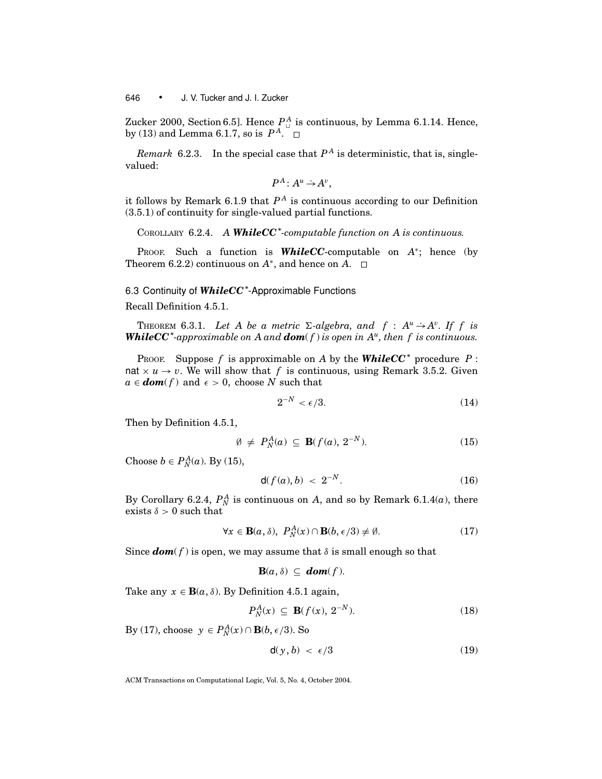Zucker 2000, Section 6.5]. Hence  $P^A_{\sqcup}$  is continuous, by Lemma 6.1.14. Hence, by (13) and Lemma 6.1.7, so is  $P^A$ .  $\square$ 

*Remark* 6.2.3. In the special case that  $P^A$  is deterministic, that is, singlevalued:

$$
P^A \colon A^u \to A^v,
$$

it follows by Remark 6.1.9 that  $P^A$  is continuous according to our Definition (3.5.1) of continuity for single-valued partial functions.

COROLLARY 6.2.4. *A WhileCC<sup>∗</sup> -computable function on A is continuous.*

PROOF. Such a function is *WhileCC*-computable on *A*<sup>∗</sup>; hence (by Theorem 6.2.2) continuous on  $A^*$ , and hence on  $A$ .  $□$ 

# 6.3 Continuity of *WhileCC<sup>∗</sup>* -Approximable Functions

Recall Definition 4.5.1.

THEOREM 6.3.1. Let A be a metric  $\Sigma$ -algebra, and  $f : A^u \rightarrow A^v$ . If f is *WhileCC<sup>∗</sup> -approximable on A and dom*( *f* ) *is open in Au, then f is continuous.*

PROOF. Suppose *f* is approximable on *A* by the *WhileCC<sup>∗</sup>* procedure *P* : nat  $\times u \rightarrow v$ . We will show that f is continuous, using Remark 3.5.2. Given  $a \in dom(f)$  and  $\epsilon > 0$ , choose *N* such that

$$
2^{-N} < \epsilon/3. \tag{14}
$$

Then by Definition 4.5.1,

$$
\emptyset \neq P_N^A(a) \subseteq \mathbf{B}(f(a), 2^{-N}). \tag{15}
$$

Choose  $b \in P_N^A(a)$ . By (15),

$$
\mathsf{d}(f(a),b) < 2^{-N}.\tag{16}
$$

By Corollary 6.2.4,  $P_N^A$  is continuous on *A*, and so by Remark 6.1.4(*a*), there exists  $\delta > 0$  such that

$$
\forall x \in \mathbf{B}(a,\delta), \ P_N^A(x) \cap \mathbf{B}(b,\epsilon/3) \neq \emptyset. \tag{17}
$$

Since  $dom(f)$  is open, we may assume that  $\delta$  is small enough so that

$$
\mathbf{B}(a,\delta) \subseteq \textit{dom}(f).
$$

Take any  $x \in \mathbf{B}(a, \delta)$ . By Definition 4.5.1 again,

$$
P_N^A(x) \subseteq \mathbf{B}(f(x), 2^{-N}).\tag{18}
$$

By (17), choose  $y \in P_N^A(x) \cap \mathbf{B}(b, \epsilon/3)$ . So

$$
\mathsf{d}(y,b) < \epsilon/3 \tag{19}
$$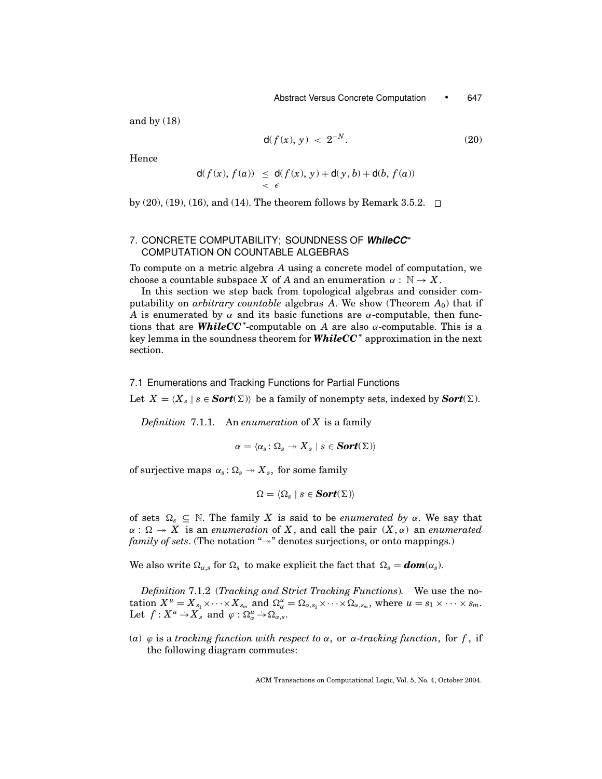and by  $(18)$ 

$$
\mathsf{d}(f(x), y) < 2^{-N}.\tag{20}
$$

Hence

$$
\mathsf{d}(f(x), f(a)) \leq \mathsf{d}(f(x), y) + \mathsf{d}(y, b) + \mathsf{d}(b, f(a))
$$
  
<  $\epsilon$ 

by (20), (19), (16), and (14). The theorem follows by Remark 3.5.2.  $\Box$ 

# 7. CONCRETE COMPUTABILITY; SOUNDNESS OF *WhileCC<sup>∗</sup>* COMPUTATION ON COUNTABLE ALGEBRAS

To compute on a metric algebra *A* using a concrete model of computation, we choose a countable subspace *X* of *A* and an enumeration  $\alpha : \mathbb{N} \to X$ .

In this section we step back from topological algebras and consider computability on *arbitrary countable* algebras *A*. We show (Theorem *A*0) that if *A* is enumerated by  $\alpha$  and its basic functions are  $\alpha$ -computable, then functions that are *WhileCC<sup>∗</sup>* -computable on *A* are also α-computable. This is a key lemma in the soundness theorem for *WhileCC<sup>∗</sup>* approximation in the next section.

7.1 Enumerations and Tracking Functions for Partial Functions Let  $X = \langle X_s | s \in **Sort**(\Sigma) \rangle$  be a family of nonempty sets, indexed by **.** 

*Definition* 7.1.1*.* An *enumeration* of *X* is a family

 $\alpha = \langle \alpha_s \colon \Omega_s \twoheadrightarrow X_s \mid s \in \textit{Sort}(\Sigma) \rangle$ 

of surjective maps  $\alpha_s \colon \Omega_s \twoheadrightarrow X_s, \text{ for some family}$ 

$$
\Omega = \langle \Omega_s \mid s \in \text{Sort}(\Sigma) \rangle
$$

of sets  $\Omega_s \subseteq \mathbb{N}$ . The family X is said to be *enumerated by*  $\alpha$ . We say that  $\alpha$  :  $\Omega$   $\twoheadrightarrow$   $X$  is an *enumeration* of  $X,$  and call the pair  $(X,\alpha)$  an *enumerated family of sets.* (The notation " $\rightarrow$  " denotes surjections, or onto mappings.)

We also write  $\Omega_{\alpha,s}$  for  $\Omega_s$  to make explicit the fact that  $\Omega_s = \textbf{dom}(\alpha_s)$ .

*Definition* 7.1.2 (*Tracking and Strict Tracking Functions*)*.* We use the notation  $X^u = X_{s_1} \times \cdots \times X_{s_m}$  and  $\Omega^u_\alpha = \Omega_{\alpha,s_1} \times \cdots \times \Omega_{\alpha,s_m}$ , where  $u = s_1 \times \cdots \times s_m$ . Let  $f: X^u \to X_s^{\sigma_1}$  and  $\varphi: \Omega_\alpha^u \to \Omega_{\alpha,s}$ .

(*a*)  $\varphi$  is a *tracking function with respect to*  $\alpha$ , or  $\alpha$ -*tracking function*, for *f*, if the following diagram commutes: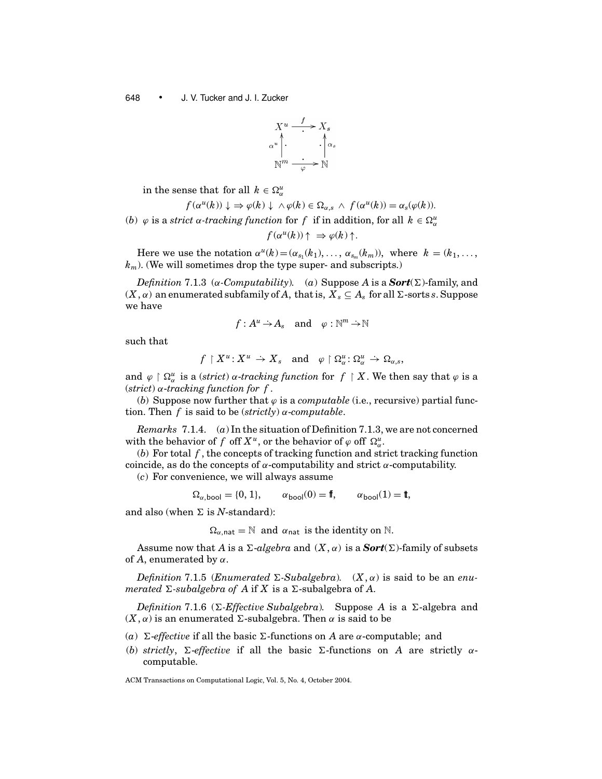

in the sense that for all  $k \in \Omega^n_\alpha$ 

$$
f(\alpha^u(k)) \downarrow \Rightarrow \varphi(k) \downarrow \wedge \varphi(k) \in \Omega_{\alpha,s} \wedge f(\alpha^u(k)) = \alpha_s(\varphi(k)).
$$

(*b*)  $\varphi$  is a *strict*  $\alpha$ -tracking function for f if in addition, for all  $k \in \Omega_{\alpha}^{\mu}$ 

$$
f(\alpha^u(k))\uparrow \Rightarrow \varphi(k)\uparrow.
$$

Here we use the notation  $\alpha^{u}(k) = (\alpha_{s_1}(k_1), \ldots, \alpha_{s_m}(k_m))$ , where  $k = (k_1, \ldots, k_m)$  $k_m$ ). (We will sometimes drop the type super- and subscripts.)

*Definition* 7.1.3 ( $\alpha$ -*Computability*). (*a*) Suppose *A* is a *Sort*( $\Sigma$ )-family, and  $(X, \alpha)$  an enumerated subfamily of A, that is,  $X_s \subseteq A_s$  for all  $\Sigma$ -sorts *s*. Suppose we have

$$
f: A^u \rightarrow A_s
$$
 and  $\varphi: \mathbb{N}^m \rightarrow \mathbb{N}$ 

such that

$$
f\restriction X^u\colon X^u\,\to X_s\quad\text{and}\quad \varphi\restriction\Omega^u_\alpha\colon\Omega^u_\alpha\,\to\,\Omega_{\alpha,s},
$$

and  $\varphi \restriction \Omega^u_\alpha$  is a (*strict*)  $\alpha$ -*tracking function* for  $f \restriction X$ . We then say that  $\varphi$  is a (*strict*) α-*tracking function for f* .

(*b*) Suppose now further that  $\varphi$  is a *computable* (i.e., recursive) partial function. Then *f* is said to be (*strictly*) α-*computable*.

*Remarks* 7.1.4. (*a*) In the situation of Definition 7.1.3, we are not concerned with the behavior of *f* off  $X^u$ , or the behavior of  $\varphi$  off  $\Omega^u_\alpha$ .

(*b*) For total *f* , the concepts of tracking function and strict tracking function coincide, as do the concepts of  $\alpha$ -computability and strict  $\alpha$ -computability.

(*c*) For convenience, we will always assume

$$
\Omega_{\alpha,\text{bool}} = \{0, 1\}, \qquad \alpha_{\text{bool}}(0) = \mathbf{f}, \qquad \alpha_{\text{bool}}(1) = \mathbf{t},
$$

and also (when  $\Sigma$  is  $N\text{-standard}$  :

 $\Omega_{\alpha, \text{nat}} = \mathbb{N}$  and  $\alpha_{\text{nat}}$  is the identity on  $\mathbb{N}$ .

Assume now that *A* is a  $\Sigma$ -algebra and  $(X, \alpha)$  is a *Sort*( $\Sigma$ )-family of subsets of *A*, enumerated by  $\alpha$ .

*Definition* 7.1.5 (*Enumerated*  $\Sigma$ -*Subalgebra*).  $(X, \alpha)$  is said to be an *enumerated*  $\Sigma$ -subalgebra of A if X is a  $\Sigma$ -subalgebra of A.

*Definition* 7.1.6 ( $\Sigma$ -*Effective Subalgebra*). Suppose *A* is a  $\Sigma$ -algebra and  $(X, \alpha)$  is an enumerated  $\Sigma$ -subalgebra. Then  $\alpha$  is said to be

- (*a*)  $\Sigma$ -*effective* if all the basic  $\Sigma$ -functions on *A* are  $\alpha$ -computable; and
- (*b*) *strictly*,  $\Sigma$ -*effective* if all the basic  $\Sigma$ -functions on *A* are strictly  $\alpha$ computable.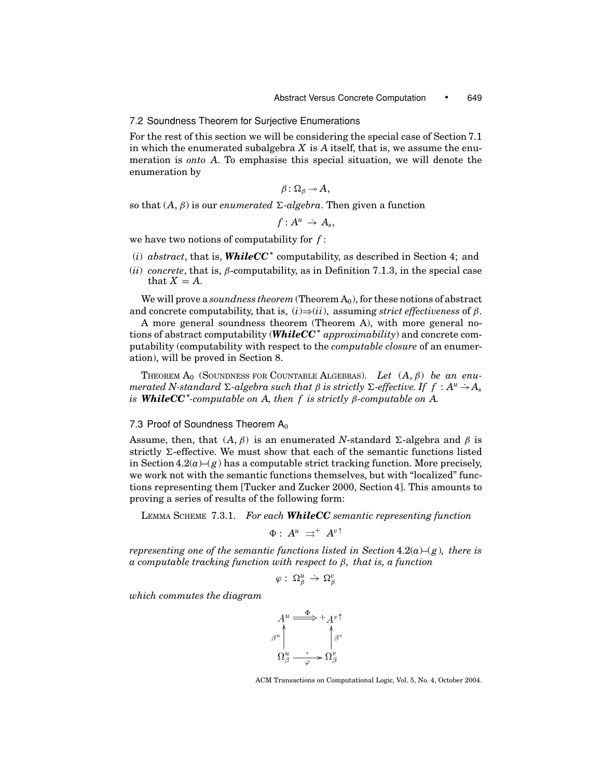7.2 Soundness Theorem for Surjective Enumerations

For the rest of this section we will be considering the special case of Section 7.1 in which the enumerated subalgebra *X* is *A* itself, that is, we assume the enumeration is *onto A*. To emphasise this special situation, we will denote the enumeration by

$$
\beta\colon \Omega_\beta\twoheadrightarrow A,
$$

so that  $(A, \beta)$  is our *enumerated*  $\Sigma$ -algebra. Then given a function

 $f: A^u \rightarrow A_s$ 

we have two notions of computability for *f* :

- (*i*) *abstract*, that is, *WhileCC<sup>∗</sup>* computability, as described in Section 4; and
- (*ii*) *concrete*, that is,  $\beta$ -computability, as in Definition 7.1.3, in the special case that  $X = A$ .

We will prove a *soundness theorem* (Theorem  $A_0$ ), for these notions of abstract and concrete computability, that is,  $(i) \Rightarrow (ii)$ , assuming *strict effectiveness* of  $\beta$ .

A more general soundness theorem (Theorem A), with more general notions of abstract computability (*WhileCC<sup>∗</sup> approximability*) and concrete computability (computability with respect to the *computable closure* of an enumeration), will be proved in Section 8.

THEOREM  $A_0$  (SOUNDNESS FOR COUNTABLE ALGEBRAS). Let  $(A, \beta)$  be an enu*merated N-standard*  $\Sigma$ -*algebra such that*  $\beta$  *is strictly*  $\Sigma$ -*effective.* If  $f : A^u \rightarrow A_s$ *is WhileCC<sup>∗</sup> -computable on A, then f is strictly* β*-computable on A.*

# 7.3 Proof of Soundness Theorem  $A_0$

Assume, then, that  $(A, \beta)$  is an enumerated *N*-standard  $\Sigma$ -algebra and  $\beta$  is strictly  $\Sigma$ -effective. We must show that each of the semantic functions listed in Section  $4.2(a)$ – $(g)$  has a computable strict tracking function. More precisely, we work not with the semantic functions themselves, but with "localized" functions representing them [Tucker and Zucker 2000, Section 4]. This amounts to proving a series of results of the following form:

LEMMA SCHEME 7.3.1. *For each WhileCC semantic representing function*

$$
\Phi:\ A^u\ \rightrightarrows^+\ A^{v\,\uparrow}
$$

*representing one of the semantic functions listed in Section* 4.2( $a$ )–( $g$ ), there is *a computable tracking function with respect to* β*, that is, a function*

$$
\varphi: \ \Omega^u_\beta \ \dot{\to} \ \Omega^v_\beta
$$

*which commutes the diagram*

$$
A^u \xrightarrow{\Phi} A^{v \uparrow}
$$
  

$$
\beta^u \uparrow \qquad \qquad \beta^v
$$
  

$$
\Omega^u_\beta \xrightarrow{\cdot} \Omega^v_\beta
$$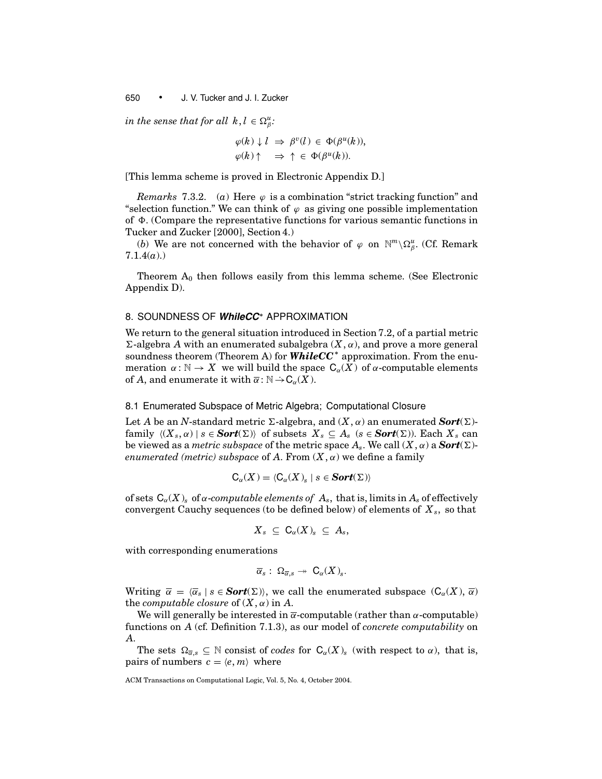$\int$ *in the sense that for all k, l*  $\in \Omega_{\beta}^u$ *:* 

$$
\varphi(k) \downarrow l \Rightarrow \beta^{v}(l) \in \Phi(\beta^{u}(k)),
$$
  

$$
\varphi(k) \uparrow \Rightarrow \uparrow \in \Phi(\beta^{u}(k)).
$$

[This lemma scheme is proved in Electronic Appendix D.]

*Remarks* 7.3.2. (*a*) Here  $\varphi$  is a combination "strict tracking function" and "selection function." We can think of  $\varphi$  as giving one possible implementation of  $\Phi$ . (Compare the representative functions for various semantic functions in Tucker and Zucker [2000], Section 4.)

(*b*) We are not concerned with the behavior of  $\varphi$  on  $\mathbb{N}^m \setminus \Omega_{\beta}^u$ . (Cf. Remark  $7.1.4(a)$ .)

Theorem  $A_0$  then follows easily from this lemma scheme. (See Electronic Appendix D).

#### 8. SOUNDNESS OF *WhileCC<sup>∗</sup>* APPROXIMATION

We return to the general situation introduced in Section 7.2, of a partial metric  $\Sigma$ -algebra *A* with an enumerated subalgebra  $(X, \alpha)$ , and prove a more general soundness theorem (Theorem A) for **WhileCC**<sup>\*</sup> approximation. From the enumeration  $\alpha : \mathbb{N} \to X$  we will build the space  $C_{\alpha}(X)$  of  $\alpha$ -computable elements of *A*, and enumerate it with  $\overline{\alpha}$ :  $\mathbb{N} \rightarrow C_{\alpha}(X)$ .

#### 8.1 Enumerated Subspace of Metric Algebra; Computational Closure

Let *A* be an *N*-standard metric  $\Sigma$ -algebra, and  $(X, \alpha)$  an enumerated **Sort**( $\Sigma$ )family  $\langle (X_s, \alpha) | s \in \text{Sort}(\Sigma) \rangle$  of subsets  $X_s \subseteq A_s$   $(s \in \text{Sort}(\Sigma))$ . Each  $X_s$  can be viewed as a *metric subspace* of the metric space  $A_s$ . We call  $(X, \alpha)$  a **Sort** $(\Sigma)$ *enumerated (metric) subspace* of A. From  $(X, \alpha)$  we define a family

$$
C_{\alpha}(X) = \langle C_{\alpha}(X)_{s} \mid s \in Sort(\Sigma) \rangle
$$

of sets  $C_{\alpha}(X)$ , of  $\alpha$ -*computable elements of*  $A_s$ , that is, limits in  $A_s$  of effectively convergent Cauchy sequences (to be defined below) of elements of *X <sup>s</sup>*, so that

$$
X_s \subseteq \mathsf{C}_{\alpha}(X)_s \subseteq A_s,
$$

with corresponding enumerations

$$
\overline{\alpha}_s: \ \Omega_{\overline{\alpha},s} \twoheadrightarrow \ \mathsf{C}_{\alpha}(X)_s.
$$

Writing  $\overline{\alpha} = \langle \overline{\alpha}_s \mid s \in$  **Sort**( $\Sigma$ )), we call the enumerated subspace  $(C_{\alpha}(X), \overline{\alpha})$ the *computable closure* of  $(X, \alpha)$  in A.

We will generally be interested in  $\bar{\alpha}$ -computable (rather than  $\alpha$ -computable) functions on *A* (cf. Definition 7.1.3), as our model of *concrete computability* on *A*.

The sets  $\Omega_{\overline{\alpha},s} \subseteq \mathbb{N}$  consist of *codes* for  $C_{\alpha}(X)_{s}$  (with respect to  $\alpha$ ), that is, pairs of numbers  $c = \langle e, m \rangle$  where

ACM Transactions on Computational Logic, Vol. 5, No. 4, October 2004.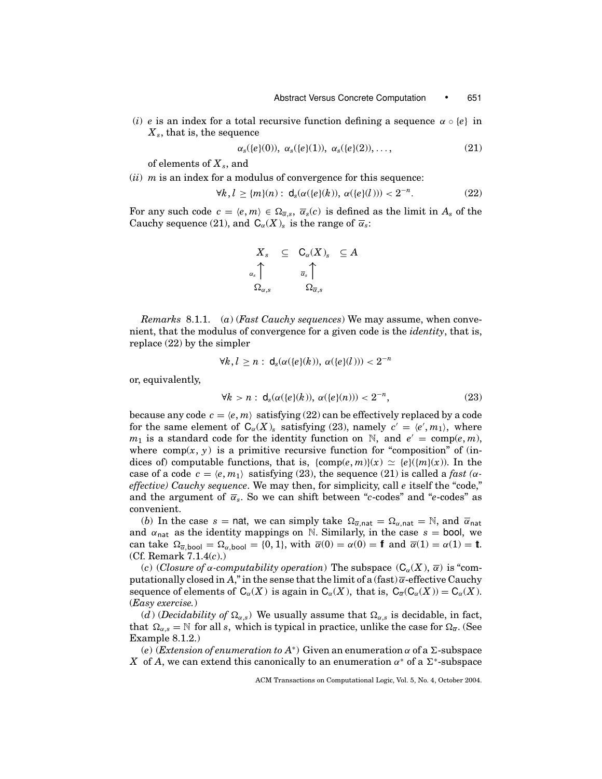(*i*) *e* is an index for a total recursive function defining a sequence  $\alpha \circ \{e\}$  in *X <sup>s</sup>*, that is, the sequence

$$
\alpha_s(\{e\}(0)), \ \alpha_s(\{e\}(1)), \ \alpha_s(\{e\}(2)), \ldots,
$$
\n(21)

of elements of *X <sup>s</sup>*, and

 $(iii)$  *m* is an index for a modulus of convergence for this sequence:

$$
\forall k, l \geq \{m\}(n): \mathsf{d}_s(\alpha(\{e\}(k)), \alpha(\{e\}(l))) < 2^{-n}.\tag{22}
$$

For any such code  $c = \langle e, m \rangle \in \Omega_{\overline{\alpha},s}$ ,  $\overline{\alpha}_s(c)$  is defined as the limit in  $A_s$  of the Cauchy sequence (21), and  $C_{\alpha}(X)$  is the range of  $\overline{\alpha}_s$ .

$$
\begin{array}{ccc} X_s & \subseteq & \mathsf{C}_\alpha(X)_s & \subseteq A \\ \curvearrowleft & & \overline{\alpha}_s \uparrow \\ & & \Omega_{\alpha,s} & & \Omega_{\overline{\alpha},s} \end{array}
$$

*Remarks* 8.1.1. (*a*) (*Fast Cauchy sequences*) We may assume, when convenient, that the modulus of convergence for a given code is the *identity*, that is, replace (22) by the simpler

$$
\forall k,l \geq n : \mathsf{d}_s(\alpha(\{e\}(k)), \alpha(\{e\}(l))) < 2^{-n}
$$

or, equivalently,

$$
\forall k > n : d_s(\alpha(\{e\}(k)), \alpha(\{e\}(n))) < 2^{-n}, \tag{23}
$$

because any code  $c = \langle e, m \rangle$  satisfying (22) can be effectively replaced by a code for the same element of  $C_{\alpha}(X)$ , satisfying (23), namely  $c' = \langle e', m_1 \rangle$ , where  $m_1$  is a standard code for the identity function on N, and  $e' = \text{comp}(e, m)$ , where  $\text{comp}(x, y)$  is a primitive recursive function for "composition" of (indices of) computable functions, that is,  ${\rm (comp}(e, m){\rm (}x{\rm )} \simeq {\rm \{e\}}({\rm \{m\}}(x))$ . In the case of a code  $c = \langle e, m_1 \rangle$  satisfying (23), the sequence (21) is called a *fast* ( $\alpha$ *effective) Cauchy sequence*. We may then, for simplicity, call *e* itself the "code," and the argument of  $\bar{\alpha}_s$ . So we can shift between "*c*-codes" and "*e*-codes" as convenient.

(*b*) In the case  $s =$  nat, we can simply take  $\Omega_{\overline{\alpha}, \text{nat}} = \Omega_{\alpha, \text{nat}} = \mathbb{N}$ , and  $\overline{\alpha}_{\text{nat}}$ and  $\alpha_{\text{nat}}$  as the identity mappings on N. Similarly, in the case  $s =$  bool, we can take  $\Omega_{\overline{\alpha},\text{bool}} = \Omega_{\alpha,\text{bool}} = \{0, 1\}$ , with  $\overline{\alpha}(0) = \alpha(0) = \mathbf{f}$  and  $\overline{\alpha}(1) = \alpha(1) = \mathbf{t}$ . (Cf. Remark 7.1.4(*c*).)

(*c*) (*Closure of*  $\alpha$ *-computability operation*) The subspace  $(C_{\alpha}(X), \overline{\alpha})$  is "computationally closed in *A*," in the sense that the limit of a (fast)  $\overline{\alpha}$ -effective Cauchy sequence of elements of  $C_{\alpha}(X)$  is again in  $C_{\alpha}(X)$ , that is,  $C_{\overline{\alpha}}(C_{\alpha}(X)) = C_{\alpha}(X)$ . (*Easy exercise.*)

(*d*) (Decidability of  $\Omega_{\alpha,s}$ ) We usually assume that  $\Omega_{\alpha,s}$  is decidable, in fact, that  $\Omega_{\alpha,s} = \mathbb{N}$  for all *s*, which is typical in practice, unlike the case for  $\Omega_{\overline{\alpha}}$ . (See Example 8.1.2.)

(*e*) (*Extension of enumeration to*  $A^*$ ) Given an enumeration  $\alpha$  of a  $\Sigma$ -subspace *X* of *A*, we can extend this canonically to an enumeration  $\alpha^*$  of a  $\Sigma^*$ -subspace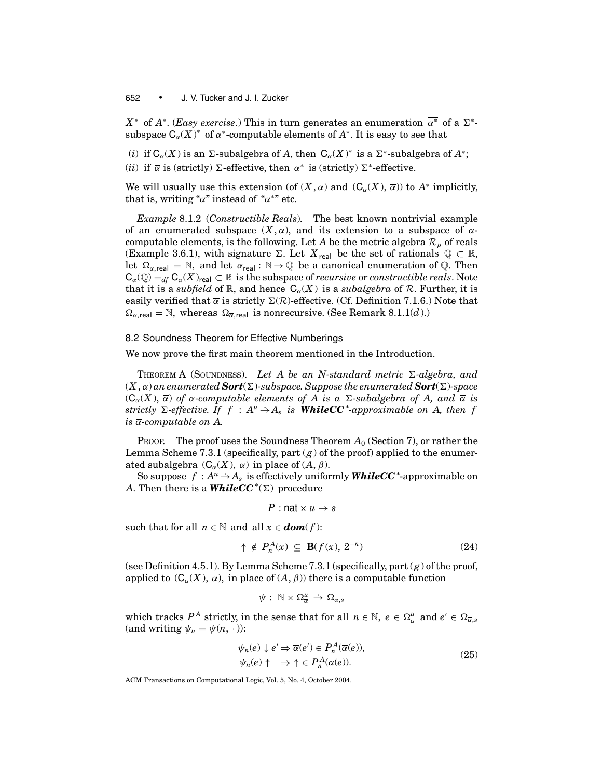*X*<sup>\*</sup> of *A*<sup>\*</sup>. (*Easy exercise*.) This in turn generates an enumeration  $\overline{\alpha^*}$  of a  $\Sigma^*$ subspace  $\mathsf{C}_\alpha(X)^*$  of  $\alpha^*$ -computable elements of  $A^*.$  It is easy to see that

(*i*) if  $C_{\alpha}(X)$  is an  $\Sigma$ -subalgebra of *A*, then  $C_{\alpha}(X)^*$  is a  $\Sigma^*$ -subalgebra of  $A^*$ ; (*ii*) if  $\overline{\alpha}$  is (strictly)  $\Sigma$ -effective, then  $\overline{\alpha^*}$  is (strictly)  $\Sigma^*$ -effective.

We will usually use this extension (of  $(X, \alpha)$  and  $(C_{\alpha}(X), \overline{\alpha})$ ) to  $A^*$  implicitly, that is, writing " $\alpha$ " instead of " $\alpha$ <sup>\*"</sup> etc.

*Example* 8.1.2 (*Constructible Reals*)*.* The best known nontrivial example of an enumerated subspace  $(X, \alpha)$ , and its extension to a subspace of  $\alpha$ computable elements, is the following. Let *A* be the metric algebra  $\mathcal{R}_p$  of reals (Example 3.6.1), with signature  $\Sigma$ . Let  $X_{real}$  be the set of rationals  $\mathbb{Q} \subset \mathbb{R}$ , let  $\Omega_{\alpha, \text{real}} = \mathbb{N}$ , and let  $\alpha_{\text{real}} : \mathbb{N} \to \mathbb{Q}$  be a canonical enumeration of  $\mathbb{Q}$ . Then  $C_{\alpha}(\mathbb{Q}) =_{df} C_{\alpha}(X)_{\text{real}} \subset \mathbb{R}$  is the subspace of *recursive* or *constructible reals*. Note that it is a *subfield* of R, and hence  $C_{\alpha}(X)$  is a *subalgebra* of R. Further, it is easily verified that  $\overline{\alpha}$  is strictly  $\Sigma(\mathcal{R})$ -effective. (Cf. Definition 7.1.6.) Note that  $\Omega_{\alpha, \text{real}} = \mathbb{N}$ , whereas  $\Omega_{\overline{\alpha}, \text{real}}$  is nonrecursive. (See Remark 8.1.1(*d*).)

#### 8.2 Soundness Theorem for Effective Numberings

We now prove the first main theorem mentioned in the Introduction.

THEOREM A (SOUNDNESS). Let A be an N-standard metric  $\Sigma$ -algebra, and  $(X, \alpha)$  *an enumerated*  $\textbf{Sort}(\Sigma)$ *-subspace. Suppose the enumerated*  $\textbf{Sort}(\Sigma)$ -space  $(C_{\alpha}(X), \overline{\alpha})$  *of*  $\alpha$ -computable elements of A is a  $\Sigma$ -subalgebra of A, and  $\overline{\alpha}$  is  $\frac{1}{2}$  *strictly*  $\Sigma$ -effective. If  $f : A^u \rightarrow A_s$  is **WhileCC**<sup>\*</sup>-approximable on A, then f  $i\overline{s}$  *α-computable on A.* 

PROOF. The proof uses the Soundness Theorem  $A_0$  (Section 7), or rather the Lemma Scheme 7.3.1 (specifically, part  $(g)$  of the proof) applied to the enumerated subalgebra  $(C_{\alpha}(X), \overline{\alpha})$  in place of  $(A, \beta)$ .

So suppose  $f : A^u \to A_s$  is effectively uniformly **WhileCC**<sup>\*</sup>-approximable on *A*. Then there is a  $\textit{WhileCC}^*(\Sigma)$  procedure

$$
P:\text{nat}\times u\to s
$$

such that for all  $n \in \mathbb{N}$  and all  $x \in dom(f)$ :

$$
\uparrow \notin P_n^A(x) \subseteq \mathbf{B}(f(x), 2^{-n}) \tag{24}
$$

(see Definition 4.5.1). By Lemma Scheme 7.3.1 (specifically, part  $(g)$  of the proof, applied to  $(C_{\alpha}(X), \overline{\alpha})$ , in place of  $(A, \beta)$ ) there is a computable function

$$
\psi\,:\; {\mathbb N}\times \Omega^u_{\overline\alpha}\,\;\dot\to\,\Omega_{\overline\alpha,s}
$$

which tracks  $P^A$  strictly, in the sense that for all  $n \in \mathbb{N}$ ,  $e \in \Omega_{\overline{\alpha}}^u$  and  $e' \in \Omega_{\overline{\alpha},s}$ (and writing  $\psi_n = \psi(n, \cdot)$ ):

$$
\psi_n(e) \downarrow e' \Rightarrow \overline{\alpha}(e') \in P_n^A(\overline{\alpha}(e)), \n\psi_n(e) \uparrow \Rightarrow \uparrow \in P_n^A(\overline{\alpha}(e)).
$$
\n(25)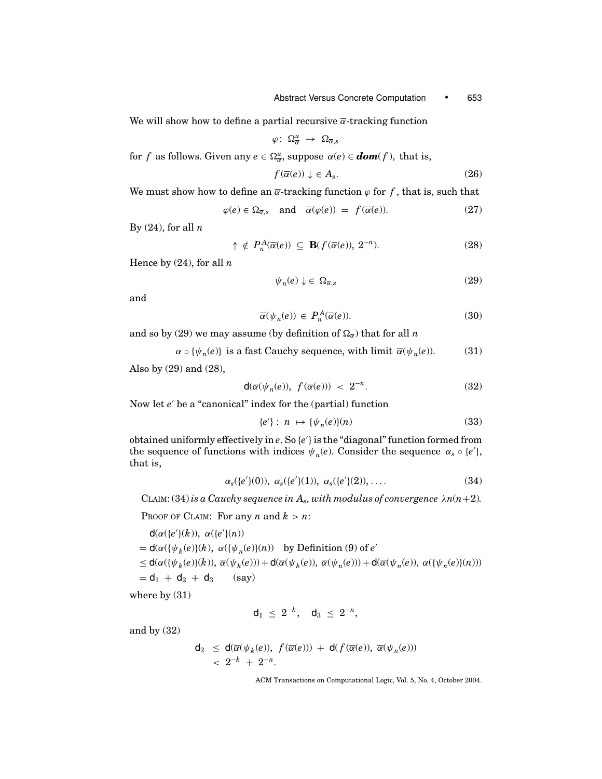We will show how to define a partial recursive  $\overline{\alpha}$ -tracking function

$$
\varphi\!:\;\Omega^u_{\overline{\alpha}}\;\to\;\Omega_{\overline{\alpha},s}
$$

for *f* as follows. Given any  $e \in \Omega_{\overline{\alpha}}^u$ , suppose  $\overline{\alpha}(e) \in \mathbf{dom}(f)$ , that is,

$$
f(\overline{\alpha}(e)) \downarrow \in A_s. \tag{26}
$$

We must show how to define an  $\bar{\alpha}$ -tracking function  $\varphi$  for f, that is, such that

$$
\varphi(e) \in \Omega_{\overline{\alpha},s} \quad \text{and} \quad \overline{\alpha}(\varphi(e)) = f(\overline{\alpha}(e)). \tag{27}
$$

By (24), for all *n*

$$
\uparrow \notin P_n^A(\overline{\alpha}(e)) \subseteq \mathbf{B}(f(\overline{\alpha}(e)), 2^{-n}). \tag{28}
$$

Hence by (24), for all *n*

$$
\psi_n(e) \downarrow \in \Omega_{\overline{\alpha},s} \tag{29}
$$

and

$$
\overline{\alpha}(\psi_n(e)) \in P_n^A(\overline{\alpha}(e)). \tag{30}
$$

and so by (29) we may assume (by definition of  $\Omega_{\overline{\alpha}}$ ) that for all  $n$ 

 $\alpha \circ {\psi_n(e)}$  is a fast Cauchy sequence, with limit  $\overline{\alpha}(\psi_n(e))$ . (31)

Also by (29) and (28),

$$
\mathsf{d}(\overline{\alpha}(\psi_n(e)),\ f(\overline{\alpha}(e)))\ <\ 2^{-n}.\tag{32}
$$

Now let *e'* be a "canonical" index for the (partial) function

$$
\{e'\}: n \mapsto \{\psi_n(e)\}(n) \tag{33}
$$

obtained uniformly effectively in *e*. So {*e* } is the "diagonal" function formed from the sequence of functions with indices  $\psi_n(e)$ . Consider the sequence  $\alpha_s \circ \{e'\},$ that is,

$$
\alpha_s(\{e'\}(0)), \ \alpha_s(\{e'\}(1)), \ \alpha_s(\{e'\}(2)), \ \ldots \tag{34}
$$

CLAIM: (34) *is a Cauchy sequence in A<sub>s</sub>, with modulus of convergence*  $\lambda n(n+2)$ *.* 

PROOF OF CLAIM: For any *n* and  $k > n$ :

**d**( $\alpha$ {{*e'*}(*k*)),  $\alpha$ ({*e'*}(*n*))  $= d(\alpha(\{\psi_k(e)\}(k), \alpha(\{\psi_n(e)\}(n)) \text{ by Definition (9) of } e^{\lambda})$  $\leq d(\alpha(\{\psi_k(e)(k)), \overline{\alpha}(\psi_k(e))\} + d(\overline{\alpha}(\psi_k(e)), \overline{\alpha}(\psi_n(e))) + d(\overline{\alpha}(\psi_n(e)), \alpha(\{\psi_n(e)(n))\})$  $= d_1 + d_2 + d_3$  (say)

where by (31)

$$
\mathsf{d}_1 \ \leq \ 2^{-k}, \quad \mathsf{d}_3 \ \leq \ 2^{-n},
$$

and by (32)

$$
\begin{array}{lcl} \mathsf{d}_2 & \leq \; \mathsf{d}(\overline{\alpha}(\psi_k(e)), \; f(\overline{\alpha}(e))) \; + \; \mathsf{d}(f(\overline{\alpha}(e)), \; \overline{\alpha}(\psi_n(e))) \\ & < \; 2^{-k} \; + \; 2^{-n}. \end{array}
$$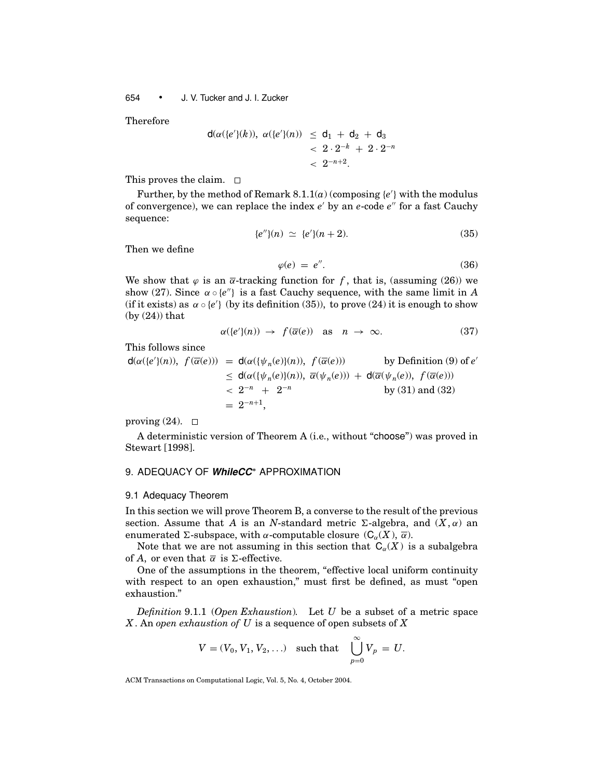Therefore

$$
d(\alpha({e'})(k)), \alpha({e'})(n)) \leq d_1 + d_2 + d_3
$$
  
< 
$$
< 2 \cdot 2^{-k} + 2 \cdot 2^{-n}
$$
  
< 
$$
< 2^{-n+2}.
$$

This proves the claim.  $\square$ 

Further, by the method of Remark  $8.1.1(a)$  (composing  $\{e'\}$  with the modulus of convergence), we can replace the index  $e'$  by an  $e$ -code  $e''$  for a fast Cauchy sequence:

$$
\{e''\}(n) \simeq \{e'\}(n+2). \tag{35}
$$

Then we define

$$
\varphi(e) = e''.
$$
\n(36)

We show that  $\varphi$  is an  $\bar{\alpha}$ -tracking function for f, that is, (assuming (26)) we show (27). Since  $\alpha \circ \{e''\}$  is a fast Cauchy sequence, with the same limit in A (if it exists) as  $\alpha \circ \{e'\}$  (by its definition (35)), to prove (24) it is enough to show  $(by (24)) that$ 

$$
\alpha({e'})(n) \rightarrow f(\overline{\alpha}(e)) \quad \text{as} \quad n \rightarrow \infty. \tag{37}
$$

This follows since

$$
\begin{array}{rcl}\n\mathsf{d}(\alpha(\{e'\}(n)), \ f(\overline{\alpha}(e))) & = \mathsf{d}(\alpha(\{\psi_n(e)\}(n)), \ f(\overline{\alpha}(e))) & \text{by Definition (9) of } e' \\
& \leq \mathsf{d}(\alpha(\{\psi_n(e)\}(n)), \ \overline{\alpha}(\psi_n(e))) \\
& < 2^{-n} + 2^{-n} & \text{by (31) and (32)} \\
& = 2^{-n+1},\n\end{array}
$$

proving  $(24)$ .  $\square$ 

A deterministic version of Theorem A (i.e., without "choose") was proved in Stewart [1998].

# 9. ADEQUACY OF *WhileCC<sup>∗</sup>* APPROXIMATION

#### 9.1 Adequacy Theorem

In this section we will prove Theorem B, a converse to the result of the previous section. Assume that *A* is an *N*-standard metric  $\Sigma$ -algebra, and  $(X, \alpha)$  an enumerated  $\Sigma$ -subspace, with  $\alpha$ -computable closure  $(C_{\alpha}(X), \overline{\alpha})$ .

Note that we are not assuming in this section that  $C_{\alpha}(X)$  is a subalgebra of *A*, or even that  $\overline{\alpha}$  is  $\Sigma$ -effective.

One of the assumptions in the theorem, "effective local uniform continuity with respect to an open exhaustion," must first be defined, as must "open exhaustion."

*Definition* 9.1.1 (*Open Exhaustion*)*.* Let *U* be a subset of a metric space *X* . An *open exhaustion of U* is a sequence of open subsets of *X*

$$
V = (V_0, V_1, V_2, \ldots) \text{ such that } \bigcup_{p=0}^{\infty} V_p = U.
$$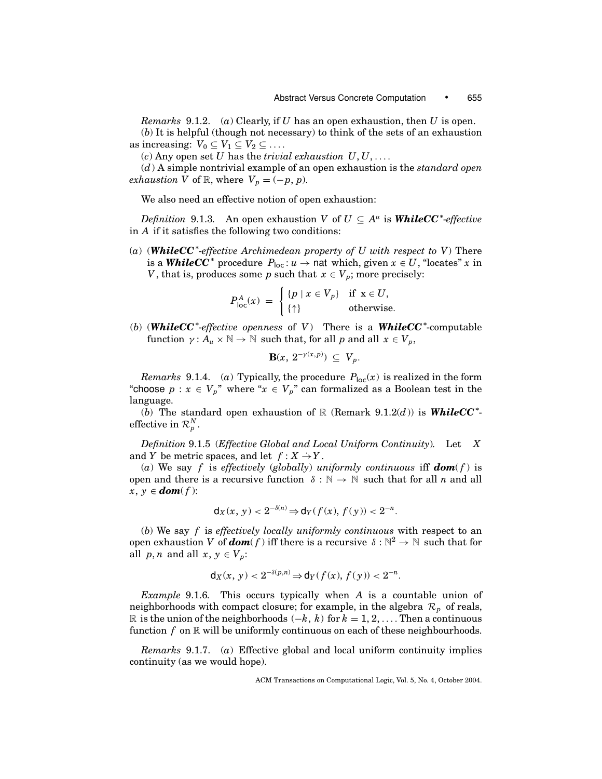*Remarks* 9.1.2. (*a*) Clearly, if *U* has an open exhaustion, then *U* is open. (*b*) It is helpful (though not necessary) to think of the sets of an exhaustion as increasing:  $V_0 \subseteq V_1 \subseteq V_2 \subseteq \ldots$ 

 $(c)$  Any open set *U* has the *trivial exhaustion*  $U, U, \ldots$ *.* 

(*d*) A simple nontrivial example of an open exhaustion is the *standard open exhaustion V* of  $\mathbb{R}$ , where  $V_p = (-p, p)$ .

We also need an effective notion of open exhaustion:

*Definition* 9.1.3. An open exhaustion *V* of  $U \subseteq A^u$  is **WhileCC**<sup>\*</sup>-effective in *A* if it satisfies the following two conditions:

(*a*) (*WhileCC<sup>∗</sup>* -*effective Archimedean property of U with respect to V*) There is a **WhileCC**<sup>\*</sup> procedure  $P_{loc}: u \to \text{nat which, given } x \in U$ , "locates" *x* in *V*, that is, produces some *p* such that  $x \in V_p$ ; more precisely:

$$
P_{\text{loc}}^A(x) = \begin{cases} \{p \mid x \in V_p\} & \text{if } x \in U, \\ \{\uparrow\} & \text{otherwise.} \end{cases}
$$

(*b*) (*WhileCC<sup>∗</sup>* -*effective openness* of *V* ) There is a *WhileCC<sup>∗</sup>* -computable function  $\gamma: A_u \times \mathbb{N} \to \mathbb{N}$  such that, for all *p* and all  $x \in V_p$ ,

$$
\mathbf{B}(x, 2^{-\gamma(x,p)}) \subseteq V_p.
$$

*Remarks* 9.1.4. (*a*) Typically, the procedure  $P_{\text{loc}}(x)$  is realized in the form "choose  $p : x \in V_p$ " where " $x \in V_p$ " can formalized as a Boolean test in the language.

(*b*) The standard open exhaustion of R (Remark 9.1.2(*d*)) is *WhileCC<sup>∗</sup>* effective in  $\mathcal{R}_p^N$ .

*Definition* 9.1.5 (*Effective Global and Local Uniform Continuity*)*.* Let *X* and *Y* be metric spaces, and let  $f: X \rightarrow Y$ .

(*a*) We say *f* is *effectively* (*globally*) *uniformly continuous* iff *dom*(*f*) is open and there is a recursive function  $\delta : \mathbb{N} \to \mathbb{N}$  such that for all *n* and all  $x, y \in \mathbf{dom}(f)$ :

$$
\mathsf{d}_X(x,\,y)<2^{-\delta(n)}\Rightarrow \mathsf{d}_Y(f(x),\,f(y))<2^{-n}.
$$

(*b*) We say *f* is *effectively locally uniformly continuous* with respect to an open exhaustion *V* of *dom*(*f*) iff there is a recursive  $\delta : \mathbb{N}^2 \to \mathbb{N}$  such that for all  $p, n$  and all  $x, y \in V_p$ :

$$
\mathsf{d}_X(x,\,y)<2^{-\delta(p,n)}\Rightarrow \mathsf{d}_Y(f(x),\,f(y))<2^{-n}.
$$

*Example* 9.1.6*.* This occurs typically when *A* is a countable union of neighborhoods with compact closure; for example, in the algebra  $\mathcal{R}_p$  of reals, R is the union of the neighborhoods  $(-k, k)$  for  $k = 1, 2, \ldots$ . Then a continuous function *f* on R will be uniformly continuous on each of these neighbourhoods.

*Remarks* 9.1.7. (*a*) Effective global and local uniform continuity implies continuity (as we would hope).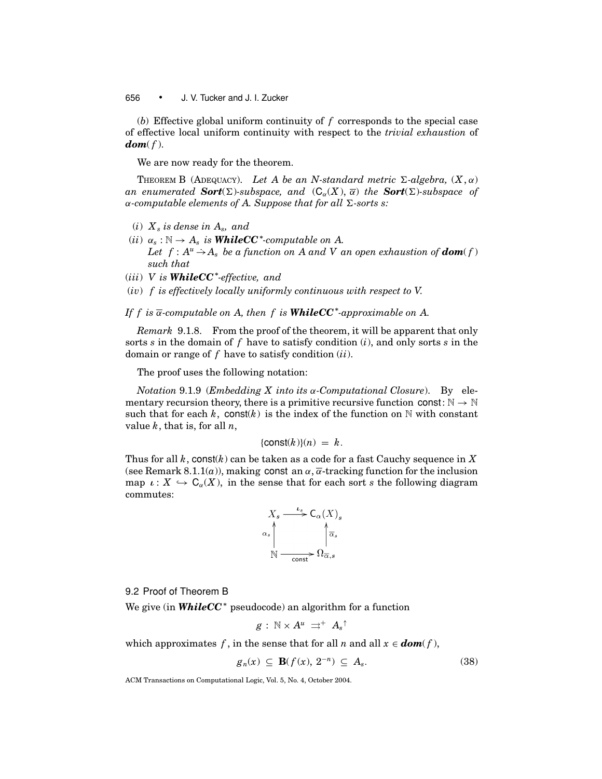(*b*) Effective global uniform continuity of *f* corresponds to the special case of effective local uniform continuity with respect to the *trivial exhaustion* of  $dom(f)$ .

We are now ready for the theorem.

THEOREM B (ADEQUACY). Let A be an N-standard metric  $\Sigma$ -algebra,  $(X, \alpha)$ *an enumerated Sort*( $\Sigma$ )-subspace, and  $(C_{\alpha}(X), \overline{\alpha})$  *the Sort*( $\Sigma$ )-subspace of α*-computable elements of A. Suppose that for all -sorts s:*

- $(i)$   $X_s$  *is dense in*  $A_s$ *, and*
- $(iii)$   $\alpha_s : \mathbb{N} \to A_s$  *is WhileCC<sup>\*</sup>-computable on A. Let*  $f: A^u \rightarrow A_s$  *be a function on A and V an open exhaustion of <i>dom*( $f$ ) *such that*
- (*iii*) *V is WhileCC<sup>∗</sup> -effective, and*
- (*iv*) *f is effectively locally uniformly continuous with respect to V.*

*If f is* α*-computable on A, then f is WhileCC<sup>∗</sup> -approximable on A.*

*Remark* 9.1.8. From the proof of the theorem, it will be apparent that only sorts *s* in the domain of *f* have to satisfy condition (*i*), and only sorts *s* in the domain or range of *f* have to satisfy condition (*ii*).

The proof uses the following notation:

*Notation* 9.1.9 (*Embedding X into its* α*-Computational Closure*). By elementary recursion theory, there is a primitive recursive function const:  $\mathbb{N} \to \mathbb{N}$ such that for each  $k$ , const $(k)$  is the index of the function on N with constant value *k*, that is, for all *n*,

$$
\{\text{const}(k)\}(n) = k.
$$

Thus for all *k*, const(*k*) can be taken as a code for a fast Cauchy sequence in *X* (see Remark 8.1.1(*a*)), making const an  $\alpha$ ,  $\overline{\alpha}$ -tracking function for the inclusion map  $\iota: X \hookrightarrow C_{\alpha}(X)$ , in the sense that for each sort *s* the following diagram commutes:

$$
X_s \xrightarrow{\iota_s} \mathsf{C}_{\alpha}(X)_s
$$
\n
$$
\uparrow \qquad \qquad \uparrow \qquad \qquad \uparrow \qquad \downarrow \qquad \downarrow \qquad \downarrow
$$
\n
$$
\mathbb{N} \xrightarrow{\iota_s} \Omega_{\overline{\alpha}, s}
$$

9.2 Proof of Theorem B

We give (in *WhileCC<sup>∗</sup>* pseudocode) an algorithm for a function

$$
g\,:\; {\mathbb N}\times A^u\; \rightrightarrows^+ \; A_s{}^\uparrow
$$

which approximates *f*, in the sense that for all *n* and all  $x \in dom(f)$ ,

$$
g_n(x) \subseteq \mathbf{B}(f(x), 2^{-n}) \subseteq A_s. \tag{38}
$$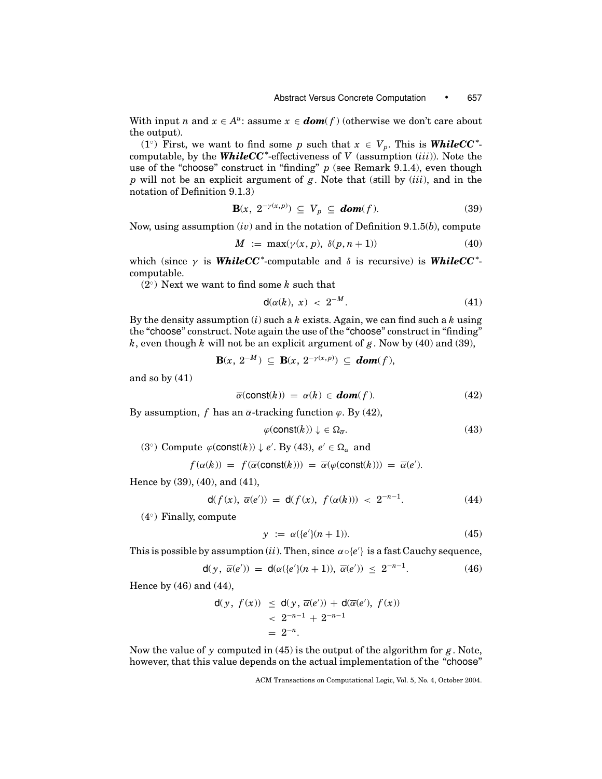With input *n* and  $x \in A^u$ : assume  $x \in dom(f)$  (otherwise we don't care about the output).

(1<sup>o</sup>) First, we want to find some *p* such that  $x \in V_p$ . This is **WhileCC**<sup>\*</sup>computable, by the *WhileCC<sup>∗</sup>* -effectiveness of *V* (assumption (*iii*)). Note the use of the "choose" construct in "finding" *p* (see Remark 9.1.4), even though *p* will not be an explicit argument of *g*. Note that (still by (*iii*), and in the notation of Definition 9.1.3)

$$
\mathbf{B}(x, 2^{-\gamma(x,p)}) \subseteq V_p \subseteq \text{dom}(f). \tag{39}
$$

Now, using assumption (*iv*) and in the notation of Definition 9.1.5(*b*), compute

$$
M := \max(\gamma(x, p), \ \delta(p, n+1)) \tag{40}
$$

which (since γ is **WhileCC**<sup>\*</sup>-computable and δ is recursive) is **WhileCC**<sup>\*</sup>computable.

(2◦) Next we want to find some *k* such that

$$
\mathsf{d}(\alpha(k),\ x)\ <\ 2^{-M}.\tag{41}
$$

By the density assumption (*i*) such a *k* exists. Again, we can find such a *k* using the "choose" construct. Note again the use of the "choose" construct in "finding" *k*, even though *k* will not be an explicit argument of *g*. Now by (40) and (39),

$$
\mathbf{B}(x, 2^{-M}) \subseteq \mathbf{B}(x, 2^{-\gamma(x,p)}) \subseteq \mathbf{dom}(f),
$$

and so by (41)

$$
\overline{\alpha}(\text{const}(k)) = \alpha(k) \in \text{dom}(f). \tag{42}
$$

By assumption, *f* has an  $\overline{\alpha}$ -tracking function  $\varphi$ . By (42),

$$
\varphi(\text{const}(k)) \downarrow \in \Omega_{\overline{\alpha}}.\tag{43}
$$

(3°) Compute  $\varphi$ (const(k))  $\downarrow$  *e'*. By (43),  $e' \in \Omega_{\alpha}$  and

$$
f(\alpha(k)) = f(\overline{\alpha}(\text{const}(k))) = \overline{\alpha}(\varphi(\text{const}(k))) = \overline{\alpha}(e').
$$

Hence by (39), (40), and (41),

$$
\mathsf{d}(f(x), \overline{\alpha}(e')) = \mathsf{d}(f(x), \ f(\alpha(k))) < 2^{-n-1}.\tag{44}
$$

 $(4°)$  Finally, compute

$$
y := \alpha(\lbrace e' \rbrace (n+1)). \tag{45}
$$

This is possible by assumption  $(ii)$ . Then, since  $\alpha \circ \{e'\}$  is a fast Cauchy sequence,

$$
\mathsf{d}(y,\ \overline{\alpha}(e')) = \mathsf{d}(\alpha(\{e'\}(n+1)),\ \overline{\alpha}(e')) \le 2^{-n-1}.\tag{46}
$$

Hence by  $(46)$  and  $(44)$ ,

$$
\begin{array}{lcl} \mathsf{d}(y, \ f(x)) & \leq \ \mathsf{d}(y, \ \overline{\alpha}(e')) + \mathsf{d}(\overline{\alpha}(e'), \ f(x)) \\ & < \ 2^{-n-1} + 2^{-n-1} \\ & = \ 2^{-n} . \end{array}
$$

Now the value of *y* computed in (45) is the output of the algorithm for *g*. Note, however, that this value depends on the actual implementation of the "choose"

ACM Transactions on Computational Logic, Vol. 5, No. 4, October 2004.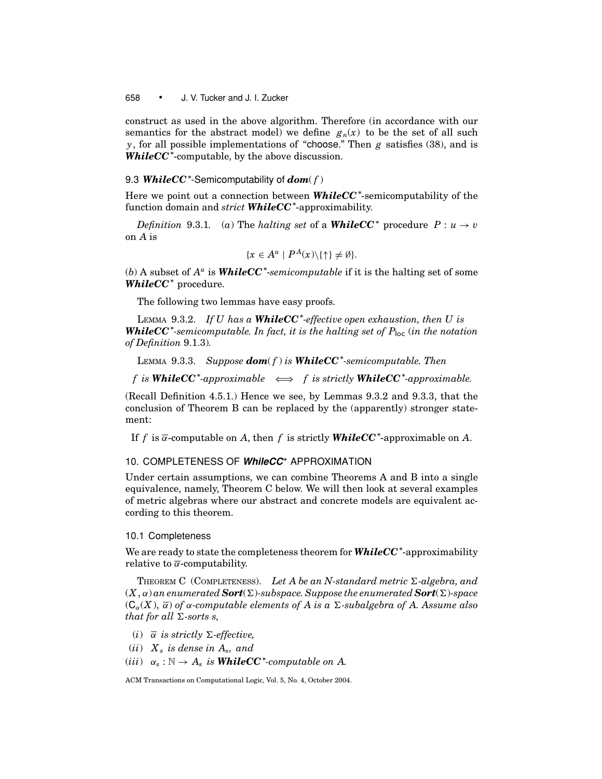construct as used in the above algorithm. Therefore (in accordance with our semantics for the abstract model) we define  $g_n(x)$  to be the set of all such *y*, for all possible implementations of "choose." Then *g* satisfies (38), and is *WhileCC<sup>∗</sup>* -computable, by the above discussion.

# 9.3 *WhileCC<sup>∗</sup>* -Semicomputability of *dom*( *f* )

Here we point out a connection between *WhileCC<sup>∗</sup>* -semicomputability of the function domain and *strict WhileCC<sup>∗</sup>* -approximability.

*Definition* 9.3.1*.* (*a*) The *halting set* of a *WhileCC***<sup>\*</sup>** procedure  $P: u \rightarrow v$ on *A* is

$$
\{x \in A^u \mid P^A(x) \setminus \{\uparrow\} \neq \emptyset\}.
$$

(*b*) A subset of *Au* is *WhileCC<sup>∗</sup>* -*semicomputable* if it is the halting set of some *WhileCC<sup>∗</sup>* procedure.

The following two lemmas have easy proofs.

LEMMA 9.3.2. *If U has a WhileCC<sup>∗</sup> -effective open exhaustion, then U is WhileCC<sup>∗</sup> -semicomputable. In fact, it is the halting set of P*loc (*in the notation of Definition* 9.1.3)*.*

LEMMA 9.3.3. *Suppose dom*( *f* ) *is WhileCC<sup>∗</sup> -semicomputable. Then*

 $f$  is **WhileCC**<sup>\*</sup>-approximable  $\iff$   $f$  is strictly **WhileCC**<sup>\*</sup>-approximable.

(Recall Definition 4.5.1.) Hence we see, by Lemmas 9.3.2 and 9.3.3, that the conclusion of Theorem B can be replaced by the (apparently) stronger statement:

If *f* is  $\overline{\alpha}$ -computable on *A*, then *f* is strictly *WhileCC***<sup>\*</sup>**-approximable on *A*.

# 10. COMPLETENESS OF *WhileCC<sup>∗</sup>* APPROXIMATION

Under certain assumptions, we can combine Theorems A and B into a single equivalence, namely, Theorem C below. We will then look at several examples of metric algebras where our abstract and concrete models are equivalent according to this theorem.

#### 10.1 Completeness

We are ready to state the completeness theorem for *WhileCC<sup>∗</sup>* -approximability relative to  $\overline{\alpha}$ -computability.

THEOREM C (COMPLETENESS). Let A be an N-standard metric  $\Sigma$ -algebra, and  $(X, \alpha)$  *an enumerated Sort*( $\Sigma$ )-subspace. Suppose the enumerated **Sort**( $\Sigma$ )-space  $(C_{\alpha}(X), \overline{\alpha})$  *of*  $\alpha$ -computable elements of A is a  $\Sigma$ -subalgebra of A. Assume also *that for all*  $\Sigma$ -sorts s,

- (*i*)  $\overline{\alpha}$  *is strictly*  $\Sigma$ -*effective*,
- $(iii)$   $X_s$  *is dense in*  $A_s$ *, and*
- $(iii)$   $\alpha_s : \mathbb{N} \to A_s$  *is WhileCC<sup>\*</sup>-computable on A.*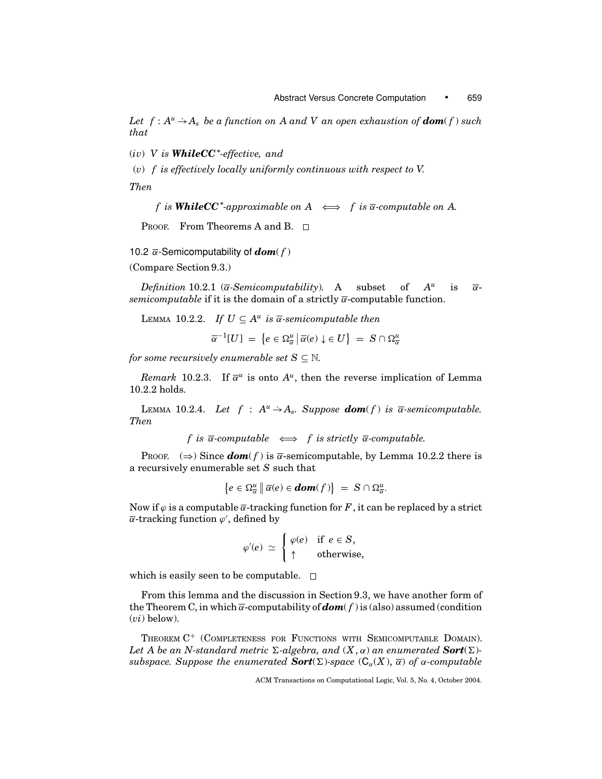*Let*  $f: A^u \rightarrow A_s$  *be a function on A and V an open exhaustion of <i>dom*(f) such *that*

(*iv*) *V is WhileCC<sup>∗</sup> -effective, and*

(*v*) *f is effectively locally uniformly continuous with respect to V.*

*Then*

*f* is **WhileCC**<sup>\*</sup>-approximable on  $A \iff f$  is  $\overline{\alpha}$ -computable on  $A$ .

PROOF. From Theorems A and B.  $\Box$ 

10.2  $\bar{\alpha}$ -Semicomputability of *dom*(f)

(Compare Section 9.3.)

*Definition* 10.2.1 ( $\overline{\alpha}$ -Semicomputability). A subset of  $A^u$  is  $\overline{\alpha}$ *semicomputable* if it is the domain of a strictly  $\overline{\alpha}$ -computable function.

LEMMA 10.2.2. *If*  $U \subseteq A^u$  *is*  $\overline{\alpha}$ -semicomputable then

 $\overline{\alpha}^{-1}[U] = \{e \in \Omega^u_{\overline{\alpha}} \mid \overline{\alpha}(e) \downarrow \in U\} = S \cap \Omega^u_{\overline{\alpha}}$ 

*for some recursively enumerable set*  $S \subseteq \mathbb{N}$ *.* 

*Remark* 10.2.3. If  $\bar{\alpha}^u$  is onto  $A^u$ , then the reverse implication of Lemma 10.2.2 holds.

LEMMA 10.2.4. Let  $f : A^u \rightarrow A_s$ . Suppose **dom**( $f$ ) is  $\overline{\alpha}$ -semicomputable. *Then*

*f* is  $\overline{\alpha}$ -computable  $\iff$  *f* is strictly  $\overline{\alpha}$ -computable.

PROOF.  $(\Rightarrow)$  Since *dom*(*f*) is  $\overline{\alpha}$ -semicomputable, by Lemma 10.2.2 there is a recursively enumerable set *S* such that

$$
\{e\in\Omega^u_{\overline{\alpha}}\,\|\,\overline{\alpha}(e)\in\textbf{dom}(f)\}\ =\ S\cap\Omega^u_{\overline{\alpha}}.
$$

Now if  $\varphi$  is a computable  $\overline{\alpha}$ -tracking function for *F*, it can be replaced by a strict  $\overline{\alpha}$ -tracking function  $\varphi'$ , defined by

$$
\varphi'(e) \ \simeq \ \left\{ \begin{array}{ll} \varphi(e) & \text{if} \ \ e \in S, \\ \uparrow & \text{otherwise,} \end{array} \right.
$$

which is easily seen to be computable.  $\Box$ 

From this lemma and the discussion in Section 9.3, we have another form of the Theorem C, in which  $\bar{\alpha}$ -computability of **dom**( $f$ ) is (also) assumed (condition (*vi*) below).

THEOREM C<sup>+</sup> (COMPLETENESS FOR FUNCTIONS WITH SEMICOMPUTABLE DOMAIN). *Let A be an N-standard metric*  $\Sigma$ -*algebra, and*  $(X, \alpha)$  *an enumerated Sort*( $\Sigma$ )*subspace. Suppose the enumerated*  $\textbf{Sort}(\Sigma)$ *-space*  $(C_{\alpha}(X), \overline{\alpha})$  *of*  $\alpha$ -computable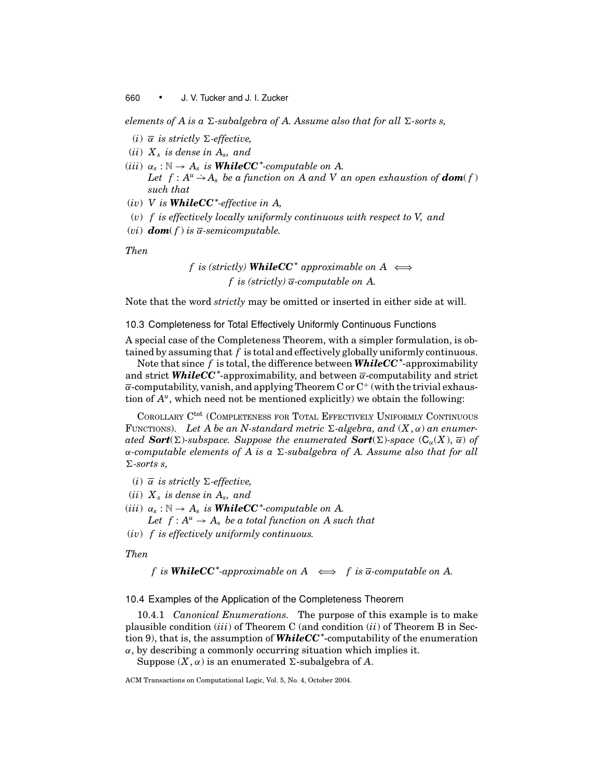*elements of A is a*  $\Sigma$ -subalgebra of A. Assume also that for all  $\Sigma$ -sorts s,

- (*i*)  $\overline{\alpha}$  *is strictly*  $\Sigma$ -effective,
- $(iii)$   $X_s$  *is dense in*  $A_s$ *, and*
- $(iii)$   $\alpha_s : \mathbb{N} \to A_s$  *is WhileCC<sup>\*</sup>-computable on A. Let*  $f: A^u \rightarrow A_s$  *be a function on A and V an open exhaustion of <i>dom*( $f$ ) *such that*
- (*iv*) *V is WhileCC<sup>∗</sup> -effective in A,*
- (*v*) *f is effectively locally uniformly continuous with respect to V, and*
- (*vi*)  $dom(f)$  *is*  $\overline{\alpha}$ -semicomputable.

*Then*

# *f* is (strictly) **WhileCC**<sup>\*</sup> approximable on  $A \iff$ *f is* (*strictly*)  $\overline{\alpha}$ -*computable on A.*

Note that the word *strictly* may be omitted or inserted in either side at will.

10.3 Completeness for Total Effectively Uniformly Continuous Functions

A special case of the Completeness Theorem, with a simpler formulation, is obtained by assuming that *f* is total and effectively globally uniformly continuous.

Note that since *f* is total, the difference between *WhileCC<sup>∗</sup>* -approximability and strict *WhileCC<sup>∗</sup>* -approximability, and between α-computability and strict  $\overline{\alpha}$ -computability, vanish, and applying Theorem C or  $C^+$  (with the trivial exhaustion of *Au*, which need not be mentioned explicitly) we obtain the following:

 $\,$  COROLLARY  $C^{\rm tot}$  (COMPLETENESS FOR TOTAL EFFECTIVELY UNIFORMLY CONTINUOUS FUNCTIONS). Let A be an N-standard metric  $\Sigma$ -algebra, and  $(X, \alpha)$  an enumer*ated Sort*( $\Sigma$ )-subspace. Suppose the enumerated **Sort**( $\Sigma$ )-space ( $C_{\alpha}(X)$ ,  $\overline{\alpha}$ ) of α*-computable elements of A is a -subalgebra of A. Assume also that for all -sorts s,*

- (*i*)  $\overline{\alpha}$  *is strictly*  $\Sigma$ -effective,
- $(iii)$   $X_s$  *is dense in*  $A_s$ *, and*
- $(iii)$   $\alpha_s : \mathbb{N} \to A_s$  *is WhileCC<sup>\*</sup>-computable on A.* 
	- Let  $f: A^u \to A_s$  be a total function on A such that
- (*iv*) *f is effectively uniformly continuous.*

*Then*

*f* is **WhileCC**<sup>\*</sup>-approximable on  $A \iff f$  is  $\overline{\alpha}$ -computable on  $A$ .

10.4 Examples of the Application of the Completeness Theorem

10.4.1 *Canonical Enumerations.* The purpose of this example is to make plausible condition (*iii*) of Theorem C (and condition (*ii*) of Theorem B in Section 9), that is, the assumption of *WhileCC<sup>∗</sup>* -computability of the enumeration  $\alpha$ , by describing a commonly occurring situation which implies it.

Suppose  $(X, \alpha)$  is an enumerated  $\Sigma$ -subalgebra of A.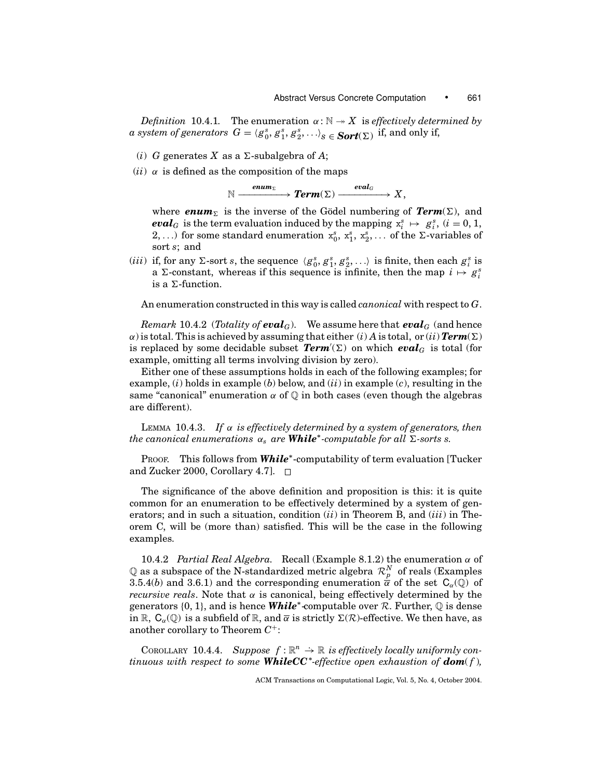$Definition \; \; 10.4.1. \quad \text{The enumeration} \; \alpha:\mathbb{N} \twoheadrightarrow X \; \; \text{is effectively determined by}$ *a* system of generators  $G = \langle g_0^s, g_1^s, g_2^s, \ldots \rangle_S \in \text{Sort}(\Sigma)$  if, and only if,

- (*i*) *G* generates *X* as a  $\Sigma$ -subalgebra of *A*;
- $(iii)$   $\alpha$  is defined as the composition of the maps

 $\mathbb{N} \xrightarrow{\textit{enum}_\Sigma} \textit{Term}(\Sigma) \xrightarrow{\textit{eval}_G} X,$ 

where **enum**<sub> $\Sigma$ </sub> is the inverse of the Gödel numbering of **Term**( $\Sigma$ ), and  $\boldsymbol{eval}_{G}$  is the term evaluation induced by the mapping  $x_i^s \mapsto g_i^s$ ,  $(i = 0, 1, 1)$ 2, ...) for some standard enumeration  $x_0^s, x_1^s, x_2^s, \ldots$  of the  $\Sigma$ -variables of sort *s*; and

(*iii*) if, for any  $\Sigma$ -sort *s*, the sequence  $\langle g_0^s, g_1^s, g_2^s, \ldots \rangle$  is finite, then each  $g_i^s$  is a  $\Sigma$ -constant, whereas if this sequence is infinite, then the map  $i \mapsto g_i^s$ is a  $\Sigma$ -function.

An enumeration constructed in this way is called *canonical* with respect to *G*.

*Remark* 10.4.2 *(Totality of eval<sub>G</sub>*). We assume here that  $eval_G$  (and hence  $\alpha$ ) is total. This is achieved by assuming that either (*i*) *A* is total, or (*ii*) **Term**( $\Sigma$ ) is replaced by some decidable subset  $\overline{\textit{Term}}'(\Sigma)$  on which  $\textit{eval}_G$  is total (for example, omitting all terms involving division by zero).

Either one of these assumptions holds in each of the following examples; for example, (*i*) holds in example (*b*) below, and (*ii*) in example (*c*), resulting in the same "canonical" enumeration  $\alpha$  of  $\mathbb Q$  in both cases (even though the algebras are different).

LEMMA 10.4.3. *If* α *is effectively determined by a system of generators, then the canonical enumerations* α*<sup>s</sup> are While<sup>∗</sup> -computable for all -sorts s.*

PROOF. This follows from *While<sup>∗</sup>* -computability of term evaluation [Tucker and Zucker 2000, Corollary 4.7].  $\Box$ 

The significance of the above definition and proposition is this: it is quite common for an enumeration to be effectively determined by a system of generators; and in such a situation, condition (*ii*) in Theorem B, and (*iii*) in Theorem C, will be (more than) satisfied. This will be the case in the following examples.

10.4.2 *Partial Real Algebra.* Recall (Example 8.1.2) the enumeration  $\alpha$  of  $\mathbb{Q}$  as a subspace of the N-standardized metric algebra  $\mathcal{R}_p^N$  of reals (Examples 3.5.4(*b*) and 3.6.1) and the corresponding enumeration  $\bar{\alpha}$  of the set  $C_{\alpha}(\mathbb{Q})$  of *recursive reals*. Note that  $\alpha$  is canonical, being effectively determined by the generators {0, 1}, and is hence *While<sup>∗</sup>* -computable over R. Further, Q is dense in R,  $C_{\alpha}(\mathbb{Q})$  is a subfield of R, and  $\overline{\alpha}$  is strictly  $\Sigma(\mathcal{R})$ -effective. We then have, as another corollary to Theorem *C*<sup>+</sup>:

COROLLARY 10.4.4. *Suppose*  $f: \mathbb{R}^n \to \mathbb{R}$  *is effectively locally uniformly continuous with respect to some WhileCC<sup>∗</sup> -effective open exhaustion of dom*( *f* )*,*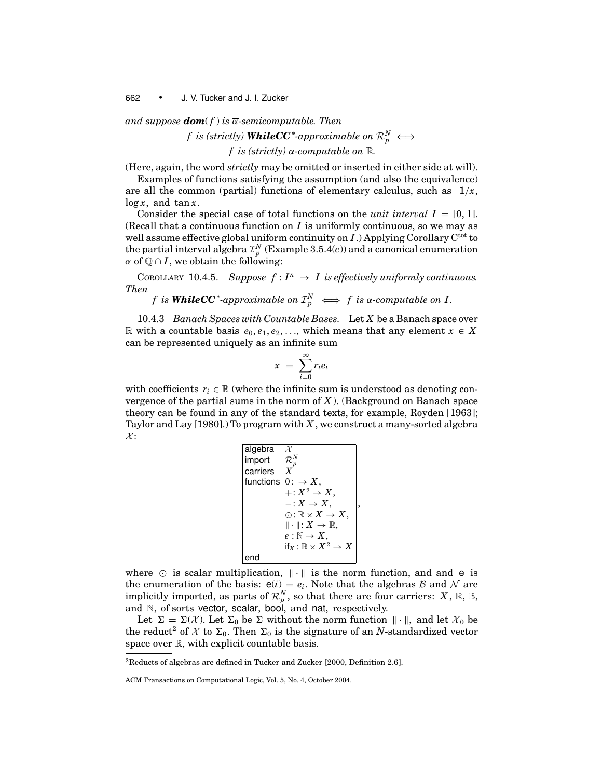*and suppose dom* $(f)$  *is*  $\overline{\alpha}$ *-semicomputable. Then* 

# $f$  is (strictly)  $\textbf{WhileCC}^*$ -approximable on  $\mathcal{R}_p^N \iff$ *f is* (*strictly*)  $\overline{\alpha}$ *-computable on*  $\mathbb{R}$ .

(Here, again, the word *strictly* may be omitted or inserted in either side at will).

Examples of functions satisfying the assumption (and also the equivalence) are all the common (partial) functions of elementary calculus, such as  $1/x$ , log *x*, and tan *x*.

Consider the special case of total functions on the *unit interval*  $I = [0, 1]$ . (Recall that a continuous function on *I* is uniformly continuous, so we may as well assume effective global uniform continuity on  $I$ .) Applying Corollary C<sup>tot</sup> to the partial interval algebra  $\mathcal{I}_p^N$  (Example 3.5.4(*c*)) and a canonical enumeration  $\alpha$  of  $\mathbb{Q} \cap I$ , we obtain the following:

COROLLARY 10.4.5. *Suppose*  $f: I^n \to I$  *is effectively uniformly continuous. Then*

*f* is **WhileCC**<sup>\*</sup>-approximable on  $\mathcal{I}_p^N$   $\iff$   $f$  is  $\overline{\alpha}$ -computable on I.

10.4.3 *Banach Spaces with Countable Bases.* Let *X* be a Banach space over R with a countable basis  $e_0, e_1, e_2, \ldots$ , which means that any element *x* ∈ *X* can be represented uniquely as an infinite sum

$$
x = \sum_{i=0}^{\infty} r_i e_i
$$

with coefficients  $r_i \in \mathbb{R}$  (where the infinite sum is understood as denoting convergence of the partial sums in the norm of  $X$ ). (Background on Banach space theory can be found in any of the standard texts, for example, Royden [1963]; Taylor and Lay [1980].) To program with *X* , we construct a many-sorted algebra  $\mathcal{X}$ :

| algebra                                               | $X$                |
|-------------------------------------------------------|--------------------|
| import                                                | $\mathcal{R}_p^N$  |
| carriers                                              | $X$                |
| functions                                             | $0: \rightarrow X$ |
| $+: X^2 \rightarrow X$                                |                    |
| $-: X \rightarrow X$                                  |                    |
| $-: X \rightarrow X$                                  |                    |
| $0: \mathbb{R} \times X \rightarrow X$                |                    |
| $\parallel \cdot \parallel: X \rightarrow \mathbb{R}$ |                    |
| $e: \mathbb{N} \rightarrow X$                         |                    |
| iff $x: \mathbb{B} \times X^2 \rightarrow X$          |                    |

\nend

where  $\odot$  is scalar multiplication,  $\|\cdot\|$  is the norm function, and and e is the enumeration of the basis:  $e(i) = e_i$ . Note that the algebras B and N are implicitly imported, as parts of  $\mathcal{R}_p^N$ , so that there are four carriers:  $X$ ,  $\mathbb{R}$ ,  $\mathbb{B}$ , and N, of sorts vector, scalar, bool, and nat, respectively.

Let  $\Sigma = \Sigma(\mathcal{X})$ . Let  $\Sigma_0$  be  $\Sigma$  without the norm function  $\|\cdot\|$ , and let  $\mathcal{X}_0$  be the reduct<sup>2</sup> of X to  $\Sigma_0$ . Then  $\Sigma_0$  is the signature of an N-standardized vector space over  $\mathbb R$ , with explicit countable basis.

 $2$ Reducts of algebras are defined in Tucker and Zucker [2000, Definition 2.6].

ACM Transactions on Computational Logic, Vol. 5, No. 4, October 2004.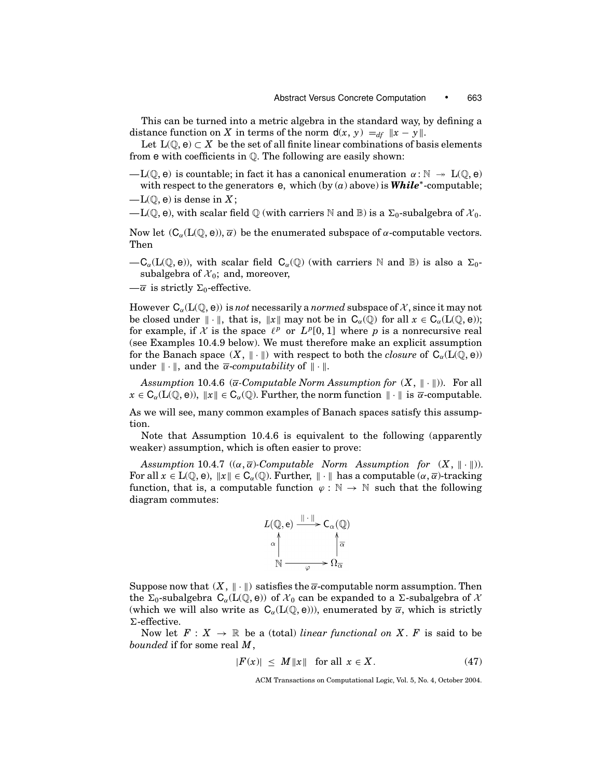This can be turned into a metric algebra in the standard way, by defining a distance function on *X* in terms of the norm  $d(x, y) =_{df} ||x - y||$ .

Let  $L(Q, e) \subset X$  be the set of all finite linear combinations of basis elements from e with coefficients in Q. The following are easily shown:

 $-\mathrm{L}(\mathbb{Q},\mathsf{e})$  is countable; in fact it has a canonical enumeration  $\alpha\colon\mathbb{N} \twoheadrightarrow \mathrm{L}(\mathbb{Q},\mathsf{e})$ with respect to the generators e, which (by (*a*) above) is *While<sup>∗</sup>* -computable;

 $-L(\mathbb{Q}, e)$  is dense in X;

 $-L(Q, e)$ , with scalar field Q (with carriers N and B) is a  $\Sigma_0$ -subalgebra of  $\mathcal{X}_0$ .

Now let  $(C_\alpha(L(\mathbb{Q}, e)), \overline{\alpha})$  be the enumerated subspace of  $\alpha$ -computable vectors. Then

 $-C_{\alpha}(L(\mathbb{Q}, e))$ , with scalar field  $C_{\alpha}(\mathbb{Q})$  (with carriers N and B) is also a  $\Sigma_0$ subalgebra of  $\mathcal{X}_0$ ; and, moreover,

 $-\overline{\alpha}$  is strictly  $\Sigma_0$ -effective.

However  $C_{\alpha}(L(\mathbb{Q}, e))$  is *not* necessarily a *normed* subspace of X, since it may not be closed under  $\|\cdot\|$ , that is,  $\|x\|$  may not be in  $C_\alpha(\mathbb{Q})$  for all  $x \in C_\alpha(L(\mathbb{Q}, \mathbf{e}))$ ; for example, if X is the space  $\ell^p$  or  $L^p[0, 1]$  where p is a nonrecursive real (see Examples 10.4.9 below). We must therefore make an explicit assumption for the Banach space  $(X, \|\cdot\|)$  with respect to both the *closure* of  $C_{\alpha}(L(\mathbb{Q}, e))$ under  $\|\cdot\|$ , and the  $\overline{\alpha}$ -*computability* of  $\|\cdot\|$ .

*Assumption* 10.4.6 ( $\overline{\alpha}$ -Computable Norm Assumption for  $(X, \|\cdot\|)$ ). For all  $x \in C_{\alpha}(L(\mathbb{Q}, \mathbf{e}))$ ,  $||x|| \in C_{\alpha}(\mathbb{Q})$ . Further, the norm function  $||\cdot||$  is  $\overline{\alpha}$ -computable.

As we will see, many common examples of Banach spaces satisfy this assumption.

Note that Assumption 10.4.6 is equivalent to the following (apparently weaker) assumption, which is often easier to prove:

*Assumption* 10.4.7 (( $\alpha$ ,  $\overline{\alpha}$ )-Computable Norm Assumption for  $(X, \|\cdot\|)$ ). For all  $x \in L(\mathbb{Q}, e)$ ,  $||x|| \in C_{\alpha}(\mathbb{Q})$ . Further,  $|| \cdot ||$  has a computable  $(\alpha, \overline{\alpha})$ -tracking function, that is, a computable function  $\varphi : \mathbb{N} \to \mathbb{N}$  such that the following diagram commutes:



Suppose now that  $(X, \|\cdot\|)$  satisfies the  $\overline{\alpha}$ -computable norm assumption. Then the  $\Sigma_0$ -subalgebra  $C_\alpha(L(\mathbb{Q}, e))$  of  $\mathcal{X}_0$  can be expanded to a  $\Sigma$ -subalgebra of  $\mathcal X$ (which we will also write as  $C_{\alpha}(L(\mathbb{Q}, e))$ ), enumerated by  $\overline{\alpha}$ , which is strictly  $\Sigma$ -effective.

Now let  $F: X \to \mathbb{R}$  be a (total) *linear functional on* X. F is said to be *bounded* if for some real *M*,

$$
|F(x)| \le M \|x\| \quad \text{for all } x \in X. \tag{47}
$$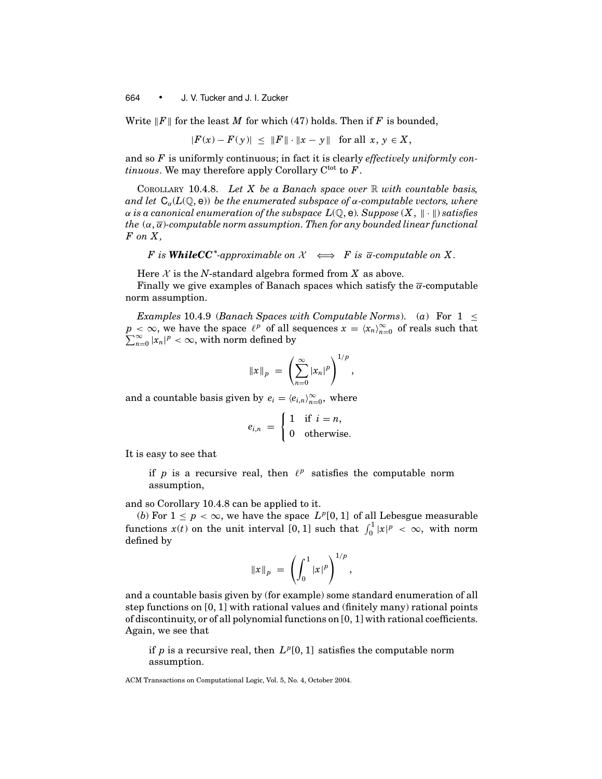Write  $||F||$  for the least *M* for which (47) holds. Then if *F* is bounded,

$$
|F(x) - F(y)| \leq ||F|| \cdot ||x - y|| \quad \text{for all } x, y \in X,
$$

and so *F* is uniformly continuous; in fact it is clearly *effectively uniformly continuous*. We may therefore apply Corollary  $C<sup>tot</sup>$  to  $F$ .

COROLLARY 10.4.8. *Let X be a Banach space over* R *with countable basis, and let*  $C_{\alpha}(L(\mathbb{Q}, \mathbf{e}))$  *be the enumerated subspace of*  $\alpha$ -computable vectors, where α *is a canonical enumeration of the subspace L*(Q, e)*. Suppose* (*X* , !·!) *satisfies the*  $(\alpha, \overline{\alpha})$ -computable norm assumption. Then for any bounded linear functional *F on X ,*

*F* is **WhileCC**<sup>\*</sup>-approximable on  $X \iff F$  is  $\overline{\alpha}$ -computable on X.

Here  $X$  is the *N*-standard algebra formed from  $X$  as above.

Finally we give examples of Banach spaces which satisfy the  $\overline{\alpha}$ -computable norm assumption.

*Examples* 10.4.9 (*Banach Spaces with Computable Norms*). (*a*) For 1 ≤  $p < \infty$ , we have the space  $\ell^p$  of all sequences  $x = \langle x_n \rangle_{n=0}^{\infty}$  of reals such that  $\sum_{n=0}^{\infty} |x_n|^p < \infty$ , with norm defined by

$$
||x||_p = \left(\sum_{n=0}^{\infty} |x_n|^p\right)^{1/p},
$$

and a countable basis given by  $e_i = \langle e_{i,n} \rangle_{n=0}^{\infty}$ , where

$$
e_{i,n} = \begin{cases} 1 & \text{if } i = n, \\ 0 & \text{otherwise.} \end{cases}
$$

It is easy to see that

if  $p$  is a recursive real, then  $l^p$  satisfies the computable norm assumption,

and so Corollary 10.4.8 can be applied to it.

(*b*) For  $1 \leq p < \infty$ , we have the space  $L^p[0,1]$  of all Lebesgue measurable functions  $x(t)$  on the unit interval [0, 1] such that  $\int_0^1 |x|^p < \infty$ , with norm defined by

$$
\|x\|_p = \left(\int_0^1 |x|^p\right)^{1/p},\,
$$

and a countable basis given by (for example) some standard enumeration of all step functions on [0, 1] with rational values and (finitely many) rational points of discontinuity, or of all polynomial functions on [0, 1] with rational coefficients. Again, we see that

if *p* is a recursive real, then  $L^p[0, 1]$  satisfies the computable norm assumption.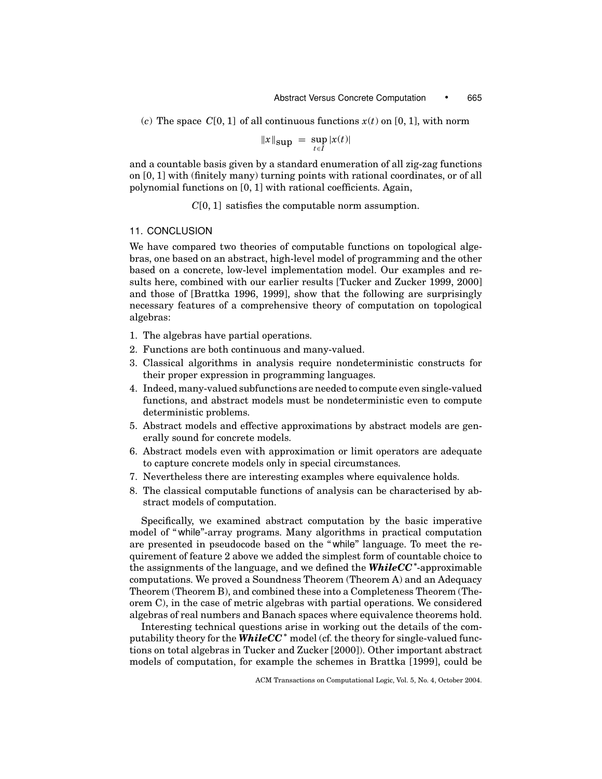(*c*) The space *C*[0, 1] of all continuous functions *x*(*t*) on [0, 1], with norm

$$
\|x\|_{\sup} = \sup_{t \in I} |x(t)|
$$

and a countable basis given by a standard enumeration of all zig-zag functions on [0, 1] with (finitely many) turning points with rational coordinates, or of all polynomial functions on [0, 1] with rational coefficients. Again,

*C*[0, 1] satisfies the computable norm assumption.

# 11. CONCLUSION

We have compared two theories of computable functions on topological algebras, one based on an abstract, high-level model of programming and the other based on a concrete, low-level implementation model. Our examples and results here, combined with our earlier results [Tucker and Zucker 1999, 2000] and those of [Brattka 1996, 1999], show that the following are surprisingly necessary features of a comprehensive theory of computation on topological algebras:

- 1. The algebras have partial operations.
- 2. Functions are both continuous and many-valued.
- 3. Classical algorithms in analysis require nondeterministic constructs for their proper expression in programming languages.
- 4. Indeed, many-valued subfunctions are needed to compute even single-valued functions, and abstract models must be nondeterministic even to compute deterministic problems.
- 5. Abstract models and effective approximations by abstract models are generally sound for concrete models.
- 6. Abstract models even with approximation or limit operators are adequate to capture concrete models only in special circumstances.
- 7. Nevertheless there are interesting examples where equivalence holds.
- 8. The classical computable functions of analysis can be characterised by abstract models of computation.

Specifically, we examined abstract computation by the basic imperative model of " while"-array programs. Many algorithms in practical computation are presented in pseudocode based on the " while" language. To meet the requirement of feature 2 above we added the simplest form of countable choice to the assignments of the language, and we defined the *WhileCC<sup>∗</sup>* -approximable computations. We proved a Soundness Theorem (Theorem A) and an Adequacy Theorem (Theorem B), and combined these into a Completeness Theorem (Theorem C), in the case of metric algebras with partial operations. We considered algebras of real numbers and Banach spaces where equivalence theorems hold.

Interesting technical questions arise in working out the details of the computability theory for the **WhileCC**<sup>\*</sup> model (cf. the theory for single-valued functions on total algebras in Tucker and Zucker [2000]). Other important abstract models of computation, for example the schemes in Brattka [1999], could be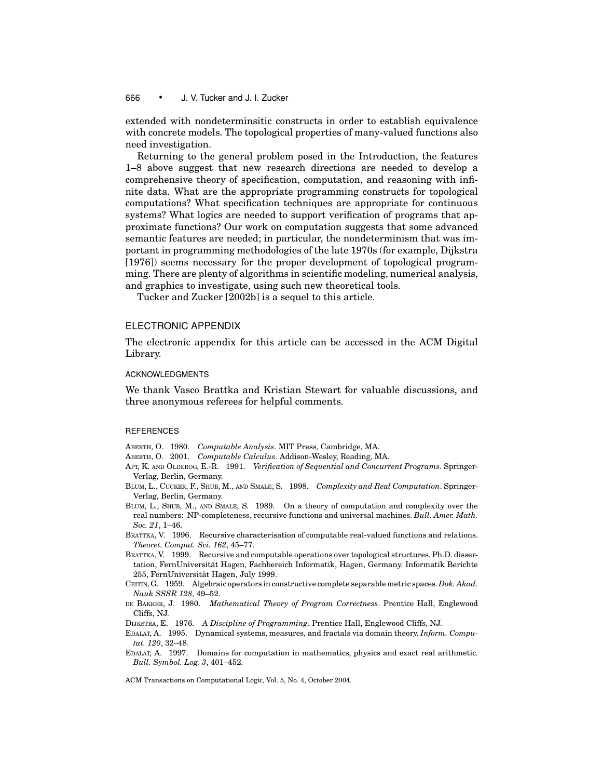extended with nondeterminsitic constructs in order to establish equivalence with concrete models. The topological properties of many-valued functions also need investigation.

Returning to the general problem posed in the Introduction, the features 1–8 above suggest that new research directions are needed to develop a comprehensive theory of specification, computation, and reasoning with infinite data. What are the appropriate programming constructs for topological computations? What specification techniques are appropriate for continuous systems? What logics are needed to support verification of programs that approximate functions? Our work on computation suggests that some advanced semantic features are needed; in particular, the nondeterminism that was important in programming methodologies of the late 1970s (for example, Dijkstra [1976]) seems necessary for the proper development of topological programming. There are plenty of algorithms in scientific modeling, numerical analysis, and graphics to investigate, using such new theoretical tools.

Tucker and Zucker [2002b] is a sequel to this article.

# ELECTRONIC APPENDIX

The electronic appendix for this article can be accessed in the ACM Digital Library.

#### ACKNOWLEDGMENTS

We thank Vasco Brattka and Kristian Stewart for valuable discussions, and three anonymous referees for helpful comments.

#### REFERENCES

ABERTH, O. 1980. *Computable Analysis*. MIT Press, Cambridge, MA.

ABERTH, O. 2001. *Computable Calculus*. Addison-Wesley, Reading, MA.

- APT, K. AND OLDEROG, E.-R. 1991. *Verification of Sequential and Concurrent Programs*. Springer-Verlag, Berlin, Germany.
- BLUM, L., CUCKER, F., SHUB, M., AND SMALE, S. 1998. *Complexity and Real Computation*. Springer-Verlag, Berlin, Germany.
- BLUM, L., SHUB, M., AND SMALE, S. 1989. On a theory of computation and complexity over the real numbers: NP-completeness, recursive functions and universal machines. *Bull. Amer. Math. Soc. 21*, 1–46.
- BRATTKA, V. 1996. Recursive characterisation of computable real-valued functions and relations. *Theoret. Comput. Sci. 162*, 45–77.
- BRATTKA, V. 1999. Recursive and computable operations over topological structures. Ph.D. dissertation, FernUniversitat Hagen, Fachbereich Informatik, Hagen, Germany. Informatik Berichte ¨ 255, FernUniversitat Hagen, July 1999. ¨
- CEITIN, G. 1959. Algebraic operators in constructive complete separable metric spaces. *Dok. Akad. Nauk SSSR 128*, 49–52.
- DE BAKKER, J. 1980. *Mathematical Theory of Program Correctness*. Prentice Hall, Englewood Cliffs, NJ.
- DIJKSTRA, E. 1976. *A Discipline of Programming*. Prentice Hall, Englewood Cliffs, NJ.
- EDALAT, A. 1995. Dynamical systems, measures, and fractals via domain theory. *Inform. Computat. 120*, 32–48.
- EDALAT, A. 1997. Domains for computation in mathematics, physics and exact real arithmetic. *Bull. Symbol. Log. 3*, 401–452.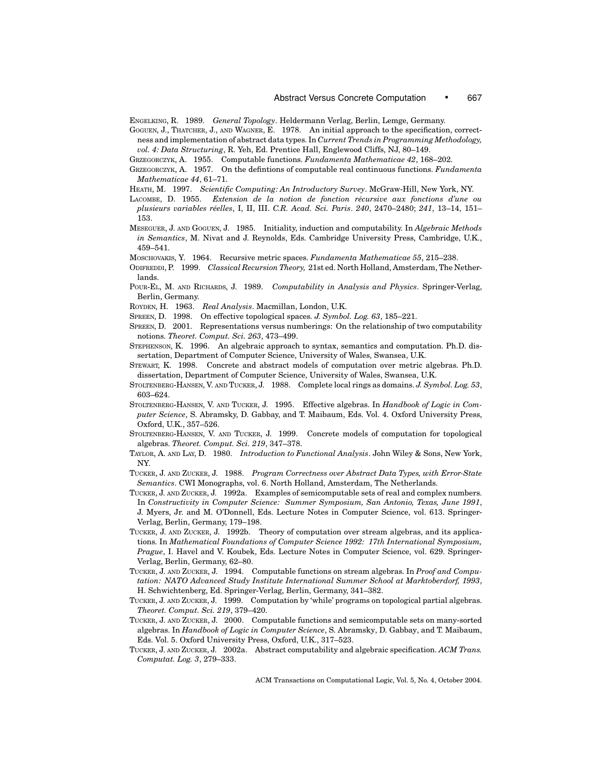ENGELKING, R. 1989. *General Topology*. Heldermann Verlag, Berlin, Lemge, Germany.

GOGUEN, J., THATCHER, J., AND WAGNER, E. 1978. An initial approach to the specification, correctness and implementation of abstract data types. In *Current Trends in Programming Methodology, vol. 4: Data Structuring*, R. Yeh, Ed. Prentice Hall, Englewood Cliffs, NJ, 80–149.

GRZEGORCZYK, A. 1955. Computable functions. *Fundamenta Mathematicae 42*, 168–202.

GRZEGORCZYK, A. 1957. On the defintions of computable real continuous functions. *Fundamenta Mathematicae 44*, 61–71.

HEATH, M. 1997. *Scientific Computing: An Introductory Survey*. McGraw-Hill, New York, NY.

- LACOMBE, D. 1955. *Extension de la notion de fonction récursive aux fonctions d'une ou plusieurs variables r´eelles*, I, II, III. *C.R. Acad. Sci. Paris*. *240*, 2470–2480; *241*, 13–14, 151– 153.
- MESEGUER, J. AND GOGUEN, J. 1985. Initiality, induction and computability. In *Algebraic Methods in Semantics*, M. Nivat and J. Reynolds, Eds. Cambridge University Press, Cambridge, U.K., 459–541.
- MOSCHOVAKIS, Y. 1964. Recursive metric spaces. *Fundamenta Mathematicae 55*, 215–238.
- ODIFREDDI, P. 1999. *Classical Recursion Theory,* 21st ed. North Holland, Amsterdam, The Netherlands.
- POUR-EL, M. AND RICHARDS, J. 1989. *Computability in Analysis and Physics*. Springer-Verlag, Berlin, Germany.
- ROYDEN, H. 1963. *Real Analysis*. Macmillan, London, U.K.
- SPREEN, D. 1998. On effective topological spaces. *J. Symbol. Log. 63*, 185–221.
- SPREEN, D. 2001. Representations versus numberings: On the relationship of two computability notions. *Theoret. Comput. Sci. 263*, 473–499.
- STEPHENSON, K. 1996. An algebraic approach to syntax, semantics and computation. Ph.D. dissertation, Department of Computer Science, University of Wales, Swansea, U.K.
- STEWART, K. 1998. Concrete and abstract models of computation over metric algebras. Ph.D. dissertation, Department of Computer Science, University of Wales, Swansea, U.K.
- STOLTENBERG-HANSEN, V. AND TUCKER, J. 1988. Complete local rings as domains. *J. Symbol. Log. 53*, 603–624.
- STOLTENBERG-HANSEN, V. AND TUCKER, J. 1995. Effective algebras. In *Handbook of Logic in Computer Science*, S. Abramsky, D. Gabbay, and T. Maibaum, Eds. Vol. 4. Oxford University Press, Oxford, U.K., 357–526.
- STOLTENBERG-HANSEN, V. AND TUCKER, J. 1999. Concrete models of computation for topological algebras. *Theoret. Comput. Sci. 219*, 347–378.
- TAYLOR, A. AND LAY, D. 1980. *Introduction to Functional Analysis*. John Wiley & Sons, New York, NY.
- TUCKER, J. AND ZUCKER, J. 1988. *Program Correctness over Abstract Data Types, with Error-State Semantics*. CWI Monographs, vol. 6. North Holland, Amsterdam, The Netherlands.
- TUCKER, J. AND ZUCKER, J. 1992a. Examples of semicomputable sets of real and complex numbers. In *Constructivity in Computer Science: Summer Symposium, San Antonio, Texas, June 1991*, J. Myers, Jr. and M. O'Donnell, Eds. Lecture Notes in Computer Science, vol. 613. Springer-Verlag, Berlin, Germany, 179–198.
- TUCKER, J. AND ZUCKER, J. 1992b. Theory of computation over stream algebras, and its applications. In *Mathematical Foundations of Computer Science 1992: 17th International Symposium, Prague*, I. Havel and V. Koubek, Eds. Lecture Notes in Computer Science, vol. 629. Springer-Verlag, Berlin, Germany, 62–80.
- TUCKER, J. AND ZUCKER, J. 1994. Computable functions on stream algebras. In *Proof and Computation: NATO Advanced Study Institute International Summer School at Marktoberdorf, 1993*, H. Schwichtenberg, Ed. Springer-Verlag, Berlin, Germany, 341–382.
- TUCKER, J. AND ZUCKER, J. 1999. Computation by 'while' programs on topological partial algebras. *Theoret. Comput. Sci. 219*, 379–420.
- TUCKER, J. AND ZUCKER, J. 2000. Computable functions and semicomputable sets on many-sorted algebras. In *Handbook of Logic in Computer Science*, S. Abramsky, D. Gabbay, and T. Maibaum, Eds. Vol. 5. Oxford University Press, Oxford, U.K., 317–523.
- TUCKER, J. AND ZUCKER, J. 2002a. Abstract computability and algebraic specification. *ACM Trans. Computat. Log. 3*, 279–333.